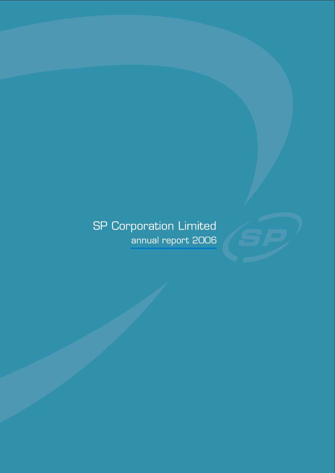# **SP Corporation Limited** annual report 2006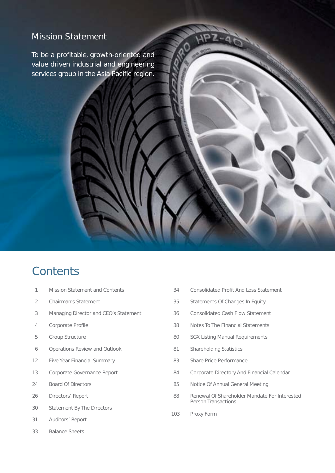# Mission Statement

To be a profitable, growth-oriented and value driven industrial and engineering services group in the Asia Pacific region.

# **Contents**

- 1 Mission Statement and Contents
- 2 Chairman's Statement
- 3 Managing Director and CEO's Statement
- 4 Corporate Profile
- 5 Group Structure
- 6 Operations Review and Outlook
- 12 Five Year Financial Summary
- 13 Corporate Governance Report
- 24 Board Of Directors
- 26 Directors' Report
- 30 Statement By The Directors
- 31 Auditors' Report
- 33 Balance Sheets
- 34 Consolidated Profit And Loss Statement
- 35 Statements Of Changes In Equity
- 36 Consolidated Cash Flow Statement
- 38 Notes To The Financial Statements
- 80 SGX Listing Manual Requirements
- 81 Shareholding Statistics
- 83 Share Price Performance
- 84 Corporate Directory And Financial Calendar
- 85 Notice Of Annual General Meeting
- 88 Renewal Of Shareholder Mandate For Interested Person Transactions
- 103 Proxy Form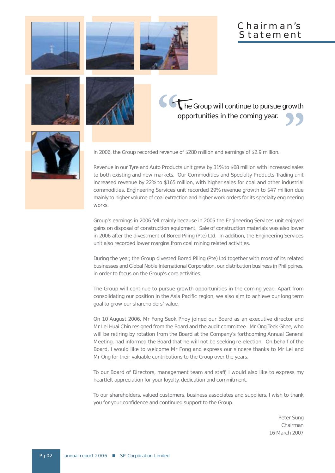





# Chairman's Statement





he Group will continue to pursue growth opportunities in the coming year. T



In 2006, the Group recorded revenue of \$280 million and earnings of \$2.9 million.

Revenue in our Tyre and Auto Products unit grew by 31% to \$68 million with increased sales to both existing and new markets. Our Commodities and Specialty Products Trading unit increased revenue by 22% to \$165 million, with higher sales for coal and other industrial commodities. Engineering Services unit recorded 29% revenue growth to \$47 million due mainly to higher volume of coal extraction and higher work orders for its specialty engineering works.

Group's earnings in 2006 fell mainly because in 2005 the Engineering Services unit enjoyed gains on disposal of construction equipment. Sale of construction materials was also lower in 2006 after the divestment of Bored Piling (Pte) Ltd. In addition, the Engineering Services unit also recorded lower margins from coal mining related activities.

During the year, the Group divested Bored Piling (Pte) Ltd together with most of its related businesses and Global Noble International Corporation, our distribution business in Philippines, in order to focus on the Group's core activities.

The Group will continue to pursue growth opportunities in the coming year. Apart from consolidating our position in the Asia Pacific region, we also aim to achieve our long term goal to grow our shareholders' value.

On 10 August 2006, Mr Fong Seok Phoy joined our Board as an executive director and Mr Lei Huai Chin resigned from the Board and the audit committee. Mr Ong Teck Ghee, who will be retiring by rotation from the Board at the Company's forthcoming Annual General Meeting, had informed the Board that he will not be seeking re-election. On behalf of the Board, I would like to welcome Mr Fong and express our sincere thanks to Mr Lei and Mr Ong for their valuable contributions to the Group over the years.

To our Board of Directors, management team and staff, I would also like to express my heartfelt appreciation for your loyalty, dedication and commitment.

To our shareholders, valued customers, business associates and suppliers, I wish to thank you for your confidence and continued support to the Group.

> Peter Sung Chairman 16 March 2007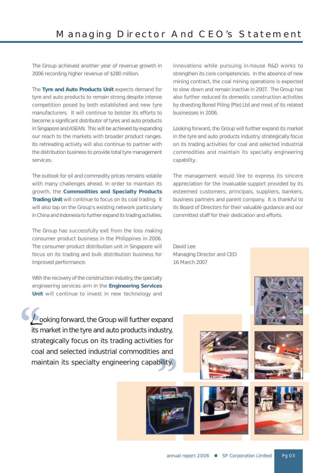The Group achieved another year of revenue growth in 2006 recording higher revenue of \$280 million.

The **Tyre and Auto Products Unit** expects demand for tyre and auto products to remain strong despite intense competition posed by both established and new tyre manufacturers. It will continue to bolster its efforts to become a significant distributor of tyres and auto products in Singapore and ASEAN. This will be achieved by expanding our reach to the markets with broader product ranges. Its retreading activity will also continue to partner with the distribution business to provide total tyre management services.

The outlook for oil and commodity prices remains volatile with many challenges ahead. In order to maintain its growth, the **Commodities and Specialty Products Trading Unit** will continue to focus on its coal trading. It will also tap on the Group's existing network particularly in China and Indonesia to further expand its trading activities.

The Group has successfully exit from the loss making consumer product business in the Philippines in 2006. The consumer product distribution unit in Singapore will focus on its trading and bulk distribution business for improved performance.

With the recovery of the construction industry, the specialty engineering services arm in the **Engineering Services Unit** will continue to invest in new technology and

innovations while pursuing in-house R&D works to strengthen its core competencies. In the absence of new mining contract, the coal mining operations is expected to slow down and remain inactive in 2007. The Group has also further reduced its domestic construction activities by divesting Bored Piling (Pte) Ltd and most of its related businesses in 2006.

Looking forward, the Group will further expand its market in the tyre and auto products industry, strategically focus on its trading activities for coal and selected industrial commodities and maintain its specialty engineering capability.

The management would like to express its sincere appreciation for the invaluable support provided by its esteemed customers, principals, suppliers, bankers, business partners and parent company. It is thankful to its Board of Directors for their valuable guidance and our committed staff for their dedication and efforts.

David Lee Managing Director and CEO 16 March 2007

ooking forward, the Group will further expand<br>its market in the ture and sute products industry its market in the tyre and auto products industry, strategically focus on its trading activities for coal and selected industrial commodities and maintain its specialty engineering capability.







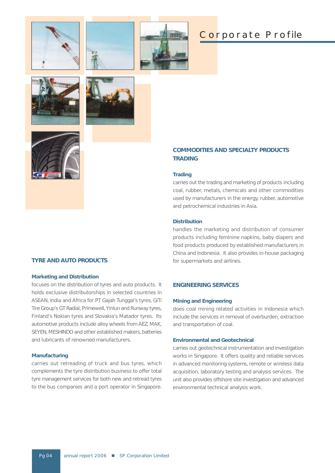





# Corporate Profile







# **COMMODITIES AND SPECIALTY PRODUCTS TRADING**

#### **Trading**

carries out the trading and marketing of products including coal, rubber, metals, chemicals and other commodities used by manufacturers in the energy, rubber, automotive and petrochemical industries in Asia.

### **Distribution**

handles the marketing and distribution of consumer products including feminine napkins, baby diapers and food products produced by established manufacturers in China and Indonesia. It also provides in-house packaging for supermarkets and airlines.

# **ENGINEERING SERVICES**

#### **Mining and Engineering**

does coal mining related activities in Indonesia which include the services in removal of overburden, extraction and transportation of coal.

#### **Environmental and Geotechnical**

carries out geotechnical instrumentation and investigation works in Singapore. It offers quality and reliable services in advanced monitoring systems, remote or wireless data acquisition, laboratory testing and analysis services. The unit also provides offshore site investigation and advanced environmental technical analysis work.

#### **TYRE AND AUTO PRODUCTS**

#### **Marketing and Distribution**

focuses on the distribution of tyres and auto products. It holds exclusive distributorships in selected countries in ASEAN, India and Africa for PT Gajah Tunggal's tyres, GiTi Tire Group's GT Radial, Primewell, Yinlun and Runway tyres, Finland's Nokian tyres and Slovakia's Matador tyres. Its automotive products include alloy wheels from AEZ, MAK, SEYEN, MESHINDO and other established makers, batteries and lubricants of renowned manufacturers.

### **Manufacturing**

carries out retreading of truck and bus tyres, which complements the tyre distribution business to offer total tyre management services for both new and retread tyres to the bus companies and a port operator in Singapore.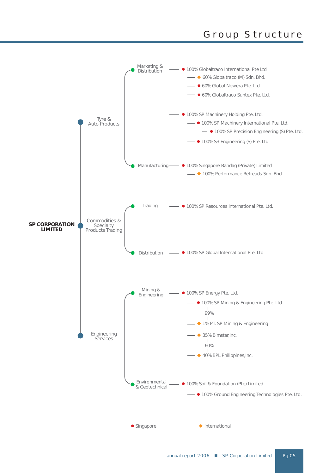# Group Structure

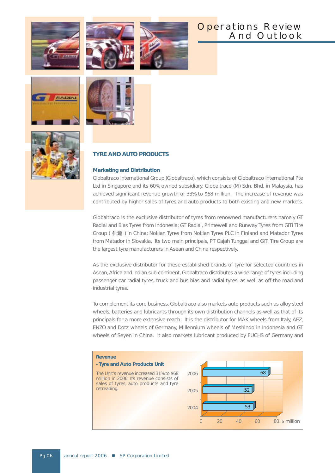





# Operations Review And Outlook







# **TYRE AND AUTO PRODUCTS**

#### **Marketing and Distribution**

Globaltraco International Group (Globaltraco), which consists of Globaltraco International Pte Ltd in Singapore and its 60% owned subsidiary, Globaltraco (M) Sdn. Bhd. in Malaysia, has achieved significant revenue growth of 33% to \$68 million. The increase of revenue was contributed by higher sales of tyres and auto products to both existing and new markets.

Globaltraco is the exclusive distributor of tyres from renowned manufacturers namely GT Radial and Bias Tyres from Indonesia; GT Radial, Primewell and Runway Tyres from GiTi Tire Group ( 佳通) in China; Nokian Tyres from Nokian Tyres PLC in Finland and Matador Tyres from Matador in Slovakia. Its two main principals, PT Gajah Tunggal and GiTi Tire Group are the largest tyre manufacturers in Asean and China respectively.

As the exclusive distributor for these established brands of tyre for selected countries in Asean, Africa and Indian sub-continent, Globaltraco distributes a wide range of tyres including passenger car radial tyres, truck and bus bias and radial tyres, as well as off-the road and industrial tyres.

To complement its core business, Globaltraco also markets auto products such as alloy steel wheels, batteries and lubricants through its own distribution channels as well as that of its principals for a more extensive reach. It is the distributor for MAK wheels from Italy, AEZ, ENZO and Dotz wheels of Germany, Millennium wheels of Meshindo in Indonesia and GT wheels of Seyen in China. It also markets lubricant produced by FUCHS of Germany and

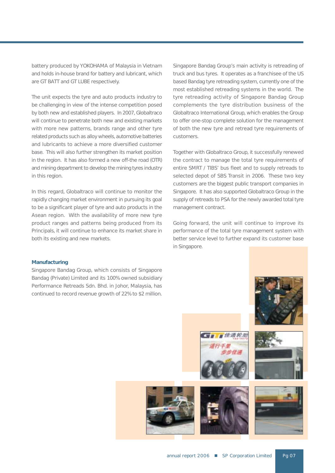battery produced by YOKOHAMA of Malaysia in Vietnam and holds in-house brand for battery and lubricant, which are GT BATT and GT LUBE respectively.

The unit expects the tyre and auto products industry to be challenging in view of the intense competition posed by both new and established players. In 2007, Globaltraco will continue to penetrate both new and existing markets with more new patterns, brands range and other tyre related products such as alloy wheels, automotive batteries and lubricants to achieve a more diversified customer base. This will also further strengthen its market position in the region. It has also formed a new off-the road (OTR) and mining department to develop the mining tyres industry in this region.

In this regard, Globaltraco will continue to monitor the rapidly changing market environment in pursuing its goal to be a significant player of tyre and auto products in the Asean region. With the availability of more new tyre product ranges and patterns being produced from its Principals, it will continue to enhance its market share in both its existing and new markets.

Singapore Bandag Group's main activity is retreading of truck and bus tyres. It operates as a franchisee of the US based Bandag tyre retreading system, currently one of the most established retreading systems in the world. The tyre retreading activity of Singapore Bandag Group complements the tyre distribution business of the Globaltraco International Group, which enables the Group to offer one-stop complete solution for the management of both the new tyre and retread tyre requirements of customers.

Together with Globaltraco Group, it successfully renewed the contract to manage the total tyre requirements of entire SMRT / TIBS' bus fleet and to supply retreads to selected depot of SBS Transit in 2006. These two key customers are the biggest public transport companies in Singapore. It has also supported Globaltraco Group in the supply of retreads to PSA for the newly awarded total tyre management contract.

Going forward, the unit will continue to improve its performance of the total tyre management system with better service level to further expand its customer base in Singapore.

# **Manufacturing**

Singapore Bandag Group, which consists of Singapore Bandag (Private) Limited and its 100% owned subsidiary Performance Retreads Sdn. Bhd. in Johor, Malaysia, has continued to record revenue growth of 22% to \$2 million.



■佳道轮龙

步步佳调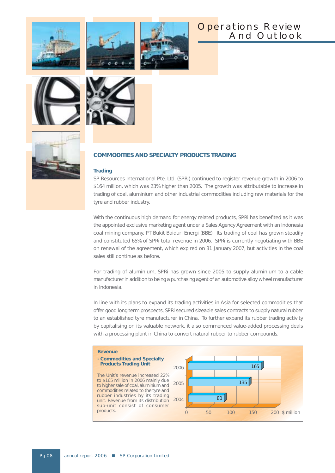





# Operations Review And Outlook







# **COMMODITIES AND SPECIALTY PRODUCTS TRADING**

# **Trading**

SP Resources International Pte. Ltd. (SPRi) continued to register revenue growth in 2006 to \$164 million, which was 23% higher than 2005. The growth was attributable to increase in trading of coal, aluminium and other industrial commodities including raw materials for the tyre and rubber industry.

With the continuous high demand for energy related products, SPRi has benefited as it was the appointed exclusive marketing agent under a Sales Agency Agreement with an Indonesia coal mining company, PT Bukit Baiduri Energi (BBE). Its trading of coal has grown steadily and constituted 65% of SPRi total revenue in 2006. SPRi is currently negotiating with BBE on renewal of the agreement, which expired on 31 January 2007, but activities in the coal sales still continue as before.

For trading of aluminium, SPRi has grown since 2005 to supply aluminium to a cable manufacturer in addition to being a purchasing agent of an automotive alloy wheel manufacturer in Indonesia.

In line with its plans to expand its trading activities in Asia for selected commodities that offer good long term prospects, SPRi secured sizeable sales contracts to supply natural rubber to an established tyre manufacturer in China. To further expand its rubber trading activity by capitalising on its valuable network, it also commenced value-added processing deals with a processing plant in China to convert natural rubber to rubber compounds.

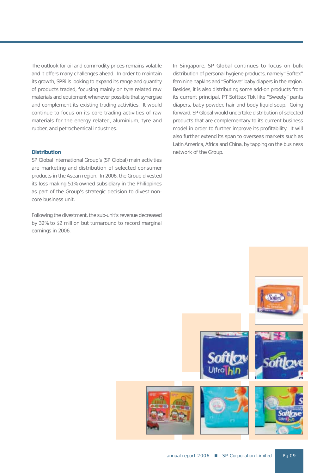The outlook for oil and commodity prices remains volatile and it offers many challenges ahead. In order to maintain its growth, SPRi is looking to expand its range and quantity of products traded, focusing mainly on tyre related raw materials and equipment whenever possible that synergise and complement its existing trading activities. It would continue to focus on its core trading activities of raw materials for the energy related, aluminium, tyre and rubber, and petrochemical industries.

#### **Distribution**

SP Global International Group's (SP Global) main activities are marketing and distribution of selected consumer products in the Asean region. In 2006, the Group divested its loss making 51% owned subsidiary in the Philippines as part of the Group's strategic decision to divest noncore business unit.

Following the divestment, the sub-unit's revenue decreased by 32% to \$2 million but turnaround to record marginal earnings in 2006.

In Singapore, SP Global continues to focus on bulk distribution of personal hygiene products, namely "Softex" feminine napkins and "Softlove" baby diapers in the region. Besides, it is also distributing some add-on products from its current principal, PT Softtex Tbk like "Sweety" pants diapers, baby powder, hair and body liquid soap. Going forward, SP Global would undertake distribution of selected products that are complementary to its current business model in order to further improve its profitability. It will also further extend its span to overseas markets such as Latin America, Africa and China, by tapping on the business network of the Group.

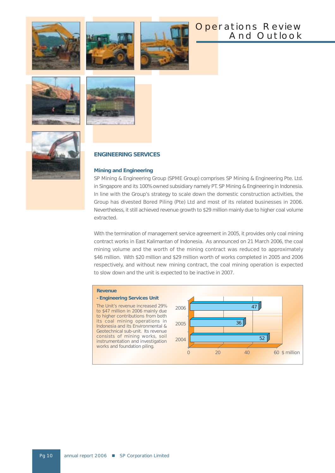





# **Operations Review** And Outlook







# **ENGINEERING SERVICES**

# **Mining and Engineering**

SP Mining & Engineering Group (SPME Group) comprises SP Mining & Engineering Pte. Ltd. in Singapore and its 100% owned subsidiary namely PT. SP Mining & Engineering in Indonesia. In line with the Group's strategy to scale down the domestic construction activities, the Group has divested Bored Piling (Pte) Ltd and most of its related businesses in 2006. Nevertheless, it still achieved revenue growth to \$29 million mainly due to higher coal volume extracted.

With the termination of management service agreement in 2005, it provides only coal mining contract works in East Kalimantan of Indonesia. As announced on 21 March 2006, the coal mining volume and the worth of the mining contract was reduced to approximately \$46 million. With \$20 million and \$29 million worth of works completed in 2005 and 2006 respectively, and without new mining contract, the coal mining operation is expected to slow down and the unit is expected to be inactive in 2007.



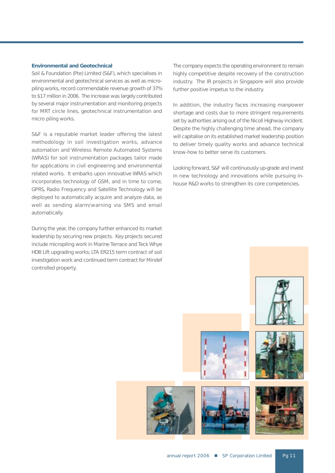# **Environmental and Geotechnical**

Soil & Foundation (Pte) Limited (S&F), which specialises in environmental and geotechnical services as well as micropiling works, record commendable revenue growth of 37% to \$17 million in 2006. The increase was largely contributed by several major instrumentation and monitoring projects for MRT circle lines, geotechnical instrumentation and micro piling works.

S&F is a reputable market leader offering the latest methodology in soil investigation works, advance automation and Wireless Remote Automated Systems (WRAS) for soil instrumentation packages tailor made for applications in civil engineering and environmental related works. It embarks upon innovative WRAS which incorporates technology of GSM, and in time to come, GPRS, Radio Frequency and Satellite Technology will be deployed to automatically acquire and analyze data, as well as sending alarm/warning via SMS and email automatically.

During the year, the company further enhanced its market leadership by securing new projects. Key projects secured include micropiling work in Marine Terrace and Teck Whye HDB Lift upgrading works; LTA ER215 term contract of soil investigation work and continued term contract for Mindef controlled property.

The company expects the operating environment to remain highly competitive despite recovery of the construction industry. The IR projects in Singapore will also provide further positive impetus to the industry.

In addition, the industry faces increasing manpower shortage and costs due to more stringent requirements set by authorities arising out of the Nicoll Highway incident. Despite the highly challenging time ahead, the company will capitalise on its established market leadership position to deliver timely quality works and advance technical know-how to better serve its customers.

Looking forward, S&F will continuously up-grade and invest in new technology and innovations while pursuing inhouse R&D works to strengthen its core competencies.

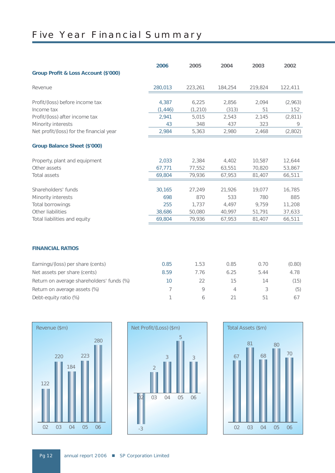| 2006     | 2005            | 2004                     | 2003            | 2002            |
|----------|-----------------|--------------------------|-----------------|-----------------|
|          |                 |                          |                 |                 |
| 280,013  | 223,261         | 184,254                  | 219,824         | 122,411         |
| 4,387    |                 | 2,856                    |                 | (2,963)         |
| (1, 446) | (1, 210)        | (313)                    | 51              | 152             |
| 2,941    | 5,015           | 2,543                    | 2,145           | (2, 811)        |
| 43       | 348             | 437                      | 323             | 9               |
| 2,984    | 5,363           | 2,980                    | 2,468           | (2,802)         |
|          |                 |                          |                 |                 |
|          |                 |                          | 10,587          | 12,644          |
| 67,771   | 77,552          | 63,551                   | 70,820          | 53,867          |
| 69,804   | 79.936          | 67,953                   | 81,407          | 66,511          |
|          |                 |                          |                 |                 |
|          |                 |                          |                 | 16,785          |
| 698      | 870             | 533                      | 780             | 885             |
| 255      | 1,737           | 4,497                    | 9,759           | 11,208          |
| 38,686   | 50,080          | 40,997                   | 51,791          | 37,633          |
| 69,804   | 79,936          | 67,953                   | 81,407          | 66,511          |
|          | 2,033<br>30,165 | 6,225<br>2,384<br>27,249 | 4,402<br>21,926 | 2,094<br>19,077 |

# **FINANCIAL RATIOS**

| Earnings/(loss) per share (cents)         | 0.85 | 1.53 | 0.85 | 0.70 | (0.80) |
|-------------------------------------------|------|------|------|------|--------|
| Net assets per share (cents)              | 8.59 | 7.76 | 6.25 | 5.44 | 4.78   |
| Return on average shareholders' funds (%) | 10   |      | Ίh   |      | (15)   |
| Return on average assets (%)              |      |      |      |      | (5)    |
| Debt-equity ratio (%)                     |      |      |      | 51   | 6'     |





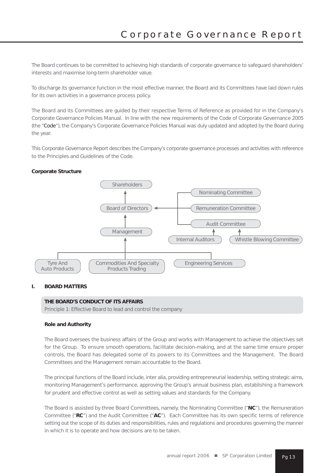The Board continues to be committed to achieving high standards of corporate governance to safeguard shareholders' interests and maximise long-term shareholder value.

To discharge its governance function in the most effective manner, the Board and its Committees have laid down rules for its own activities in a governance process policy.

The Board and its Committees are guided by their respective Terms of Reference as provided for in the Company's Corporate Governance Policies Manual. In line with the new requirements of the Code of Corporate Governance 2005 (the "Code"), the Company's Corporate Governance Policies Manual was duly updated and adopted by the Board during the year.

This Corporate Governance Report describes the Company's corporate governance processes and activities with reference to the Principles and Guidelines of the Code.

# **Corporate Structure**



# **I. BOARD MATTERS**

# **THE BOARD'S CONDUCT OF ITS AFFAIRS**

Principle 1: Effective Board to lead and control the company

# **Role and Authority**

The Board oversees the business affairs of the Group and works with Management to achieve the objectives set for the Group. To ensure smooth operations, facilitate decision-making, and at the same time ensure proper controls, the Board has delegated some of its powers to its Committees and the Management. The Board Committees and the Management remain accountable to the Board.

The principal functions of the Board include, *inter alia*, providing entrepreneurial leadership, setting strategic aims, monitoring Management's performance, approving the Group's annual business plan, establishing a framework for prudent and effective control as well as setting values and standards for the Company.

The Board is assisted by three Board Committees, namely, the Nominating Committee ("**NC**"), the Remuneration Committee ("**RC**") and the Audit Committee ("**AC**"). Each Committee has its own specific terms of reference setting out the scope of its duties and responsibilities, rules and regulations and procedures governing the manner in which it is to operate and how decisions are to be taken.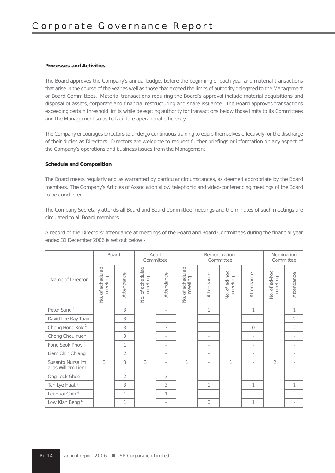# **Processes and Activities**

The Board approves the Company's annual budget before the beginning of each year and material transactions that arise in the course of the year as well as those that exceed the limits of authority delegated to the Management or Board Committees. Material transactions requiring the Board's approval include material acquisitions and disposal of assets, corporate and financial restructuring and share issuance. The Board approves transactions exceeding certain threshold limits while delegating authority for transactions below those limits to its Committees and the Management so as to facilitate operational efficiency.

The Company encourages Directors to undergo continuous training to equip themselves effectively for the discharge of their duties as Directors. Directors are welcome to request further briefings or information on any aspect of the Company's operations and business issues from the Management.

# **Schedule and Composition**

The Board meets regularly and as warranted by particular circumstances, as deemed appropriate by the Board members. The Company's Articles of Association allow telephonic and video-conferencing meetings of the Board to be conducted.

The Company Secretary attends all Board and Board Committee meetings and the minutes of such meetings are circulated to all Board members.

A record of the Directors' attendance at meetings of the Board and Board Committees during the financial year ended 31 December 2006 is set out below:-

|                                        | Board                       |                | Audit<br>Committee            |              | Remuneration<br>Committee   |                |                          |            | Nominating<br>Committee  |                |  |  |  |  |  |  |  |  |  |  |  |  |
|----------------------------------------|-----------------------------|----------------|-------------------------------|--------------|-----------------------------|----------------|--------------------------|------------|--------------------------|----------------|--|--|--|--|--|--|--|--|--|--|--|--|
| Name of Director                       | No. of scheduled<br>meeting | Attendance     | of scheduled<br>meeting<br>Q. | Attendance   | No. of scheduled<br>meeting | Attendance     | No. of ad-hoc<br>meeting | Attendance | No. of ad-hoc<br>meeting | Attendance     |  |  |  |  |  |  |  |  |  |  |  |  |
| Peter Sung <sup>1</sup>                |                             | 3              |                               |              |                             | 1              |                          | 1          |                          | 1              |  |  |  |  |  |  |  |  |  |  |  |  |
| David Lee Kay Tuan                     |                             | 3              |                               |              |                             |                |                          |            |                          | $\overline{2}$ |  |  |  |  |  |  |  |  |  |  |  |  |
| Cheng Hong Kok <sup>2</sup>            |                             | 3              |                               | 3            |                             | $\mathbf{1}$   |                          | $\Omega$   |                          | $\overline{2}$ |  |  |  |  |  |  |  |  |  |  |  |  |
| Chong Chou Yuen                        |                             | 3              |                               |              |                             |                |                          |            |                          |                |  |  |  |  |  |  |  |  |  |  |  |  |
| Fong Seok Phoy <sup>3</sup>            |                             | 1              |                               |              |                             |                |                          |            |                          |                |  |  |  |  |  |  |  |  |  |  |  |  |
| Liem Chin Chiang                       |                             | $\overline{2}$ |                               |              |                             |                |                          |            |                          |                |  |  |  |  |  |  |  |  |  |  |  |  |
| Susanto Nursalim<br>alias William Liem | 3                           | 3              | 3                             |              | 1                           |                | 1                        |            | $\overline{2}$           |                |  |  |  |  |  |  |  |  |  |  |  |  |
| Ong Teck Ghee                          |                             | $\overline{2}$ |                               | 3            |                             |                |                          |            |                          |                |  |  |  |  |  |  |  |  |  |  |  |  |
| Tan Lye Huat <sup>4</sup>              |                             | 3              |                               | 3            |                             | $\mathbf 1$    |                          | 1          |                          | $\mathbf{1}$   |  |  |  |  |  |  |  |  |  |  |  |  |
| Lei Huai Chin 5                        |                             | $\mathbf{1}$   |                               | $\mathbf{1}$ |                             |                |                          |            |                          |                |  |  |  |  |  |  |  |  |  |  |  |  |
| Low Kian Beng <sup>6</sup>             |                             | 1              |                               |              |                             | $\overline{0}$ |                          | 1          |                          |                |  |  |  |  |  |  |  |  |  |  |  |  |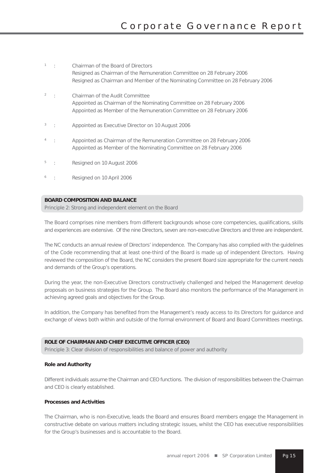- <sup>1</sup> : Chairman of the Board of Directors Resigned as Chairman of the Remuneration Committee on 28 February 2006 Resigned as Chairman and Member of the Nominating Committee on 28 February 2006
- <sup>2</sup> : Chairman of the Audit Committee Appointed as Chairman of the Nominating Committee on 28 February 2006 Appointed as Member of the Remuneration Committee on 28 February 2006
- <sup>3</sup> : Appointed as Executive Director on 10 August 2006
- $4$  : Appointed as Chairman of the Remuneration Committee on 28 February 2006 Appointed as Member of the Nominating Committee on 28 February 2006
- <sup>5</sup> : Resigned on 10 August 2006
- <sup>6</sup> : Resigned on 10 April 2006

# **BOARD COMPOSITION AND BALANCE**

Principle 2: Strong and independent element on the Board

The Board comprises nine members from different backgrounds whose core competencies, qualifications, skills and experiences are extensive. Of the nine Directors, seven are non-executive Directors and three are independent.

The NC conducts an annual review of Directors' independence. The Company has also complied with the guidelines of the Code recommending that at least one-third of the Board is made up of independent Directors. Having reviewed the composition of the Board, the NC considers the present Board size appropriate for the current needs and demands of the Group's operations.

During the year, the non-Executive Directors constructively challenged and helped the Management develop proposals on business strategies for the Group. The Board also monitors the performance of the Management in achieving agreed goals and objectives for the Group.

In addition, the Company has benefited from the Management's ready access to its Directors for guidance and exchange of views both within and outside of the formal environment of Board and Board Committees meetings.

# **ROLE OF CHAIRMAN AND CHIEF EXECUTIVE OFFICER (CEO)**

Principle 3: Clear division of responsibilities and balance of power and authority

# **Role and Authority**

Different individuals assume the Chairman and CEO functions. The division of responsibilities between the Chairman and CEO is clearly established.

# **Processes and Activities**

The Chairman, who is non-Executive, leads the Board and ensures Board members engage the Management in constructive debate on various matters including strategic issues, whilst the CEO has executive responsibilities for the Group's businesses and is accountable to the Board.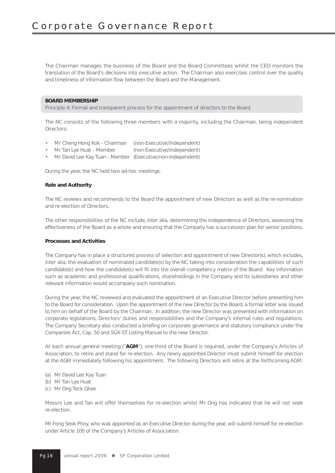The Chairman manages the business of the Board and the Board Committees whilst the CEO monitors the translation of the Board's decisions into executive action. The Chairman also exercises control over the quality and timeliness of information flow between the Board and the Management.

#### **BOARD MEMBERSHIP**

Principle 4: Formal and transparent process for the appointment of directors to the Board

The NC consists of the following three members with a majority, including the Chairman, being independent Directors:

- Mr Cheng Hong Kok Chairman (non-Executive/Independent)
- Mr Tan Lye Huat Member (non-Executive/Independent)
- Mr David Lee Kay Tuan Member (Executive/non-Independent)

During the year, the NC held two ad-hoc meetings.

#### **Role and Authority**

The NC reviews and recommends to the Board the appointment of new Directors as well as the re-nomination and re-election of Directors.

The other responsibilities of the NC include, *inter alia*, determining the independence of Directors, assessing the effectiveness of the Board as a whole and ensuring that the Company has a succession plan for senior positions.

#### **Processes and Activities**

The Company has in place a structured process of selection and appointment of new Director(s), which includes, *inter alia*, the evaluation of nominated candidate(s) by the NC taking into consideration the capabilities of such candidate(s) and how the candidate(s) will fit into the overall competency matrix of the Board. Key information such as academic and professional qualifications, shareholdings in the Company and its subsidiaries and other relevant information would accompany such nomination.

During the year, the NC reviewed and evaluated the appointment of an Executive Director before presenting him to the Board for consideration. Upon the appointment of the new Director by the Board, a formal letter was issued to him on behalf of the Board by the Chairman. In addition, the new Director was presented with information on corporate legislations, Directors' duties and responsibilities and the Company's internal rules and regulations. The Company Secretary also conducted a briefing on corporate governance and statutory compliance under the Companies Act, Cap. 50 and SGX-ST Listing Manual to the new Director.

At each annual general meeting ("**AGM**"), one-third of the Board is required, under the Company's Articles of Association, to retire and stand for re-election. Any newly appointed Director must submit himself for election at the AGM immediately following his appointment. The following Directors will retire at the forthcoming AGM:

- (a) Mr David Lee Kay Tuan
- (b) Mr Tan Lye Huat
- (c) Mr Ong Teck Ghee

Messrs Lee and Tan will offer themselves for re-election whilst Mr Ong has indicated that he will not seek re-election.

Mr Fong Seok Phoy, who was appointed as an Executive Director during the year, will submit himself for re-election under Article 100 of the Company's Articles of Association.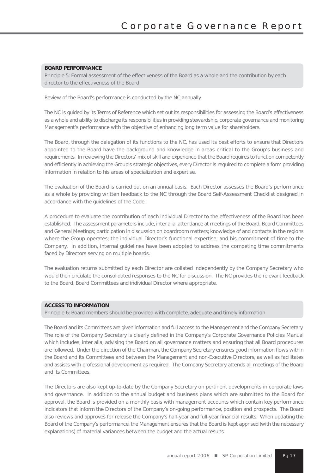# **BOARD PERFORMANCE**

Principle 5: Formal assessment of the effectiveness of the Board as a whole and the contribution by each director to the effectiveness of the Board

Review of the Board's performance is conducted by the NC annually.

The NC is guided by its Terms of Reference which set out its responsibilities for assessing the Board's effectiveness as a whole and ability to discharge its responsibilities in providing stewardship, corporate governance and monitoring Management's performance with the objective of enhancing long term value for shareholders.

The Board, through the delegation of its functions to the NC, has used its best efforts to ensure that Directors appointed to the Board have the background and knowledge in areas critical to the Group's business and requirements. In reviewing the Directors' mix of skill and experience that the Board requires to function competently and efficiently in achieving the Group's strategic objectives, every Director is required to complete a form providing information in relation to his areas of specialization and expertise.

The evaluation of the Board is carried out on an annual basis. Each Director assesses the Board's performance as a whole by providing written feedback to the NC through the Board Self-Assessment Checklist designed in accordance with the guidelines of the Code.

A procedure to evaluate the contribution of each individual Director to the effectiveness of the Board has been established. The assessment parameters include, *inter alia*, attendance at meetings of the Board, Board Committees and General Meetings; participation in discussion on boardroom matters; knowledge of and contacts in the regions where the Group operates; the individual Director's functional expertise; and his commitment of time to the Company. In addition, internal guidelines have been adopted to address the competing time commitments faced by Directors serving on multiple boards.

The evaluation returns submitted by each Director are collated independently by the Company Secretary who would then circulate the consolidated responses to the NC for discussion. The NC provides the relevant feedback to the Board, Board Committees and individual Director where appropriate.

# **ACCESS TO INFORMATION**

Principle 6: Board members should be provided with complete, adequate and timely information

The Board and its Committees are given information and full access to the Management and the Company Secretary. The role of the Company Secretary is clearly defined in the Company's Corporate Governance Policies Manual which includes, *inter alia*, advising the Board on all governance matters and ensuring that all Board procedures are followed. Under the direction of the Chairman, the Company Secretary ensures good information flows within the Board and its Committees and between the Management and non-Executive Directors, as well as facilitates and assists with professional development as required. The Company Secretary attends all meetings of the Board and its Committees.

The Directors are also kept up-to-date by the Company Secretary on pertinent developments in corporate laws and governance. In addition to the annual budget and business plans which are submitted to the Board for approval, the Board is provided on a monthly basis with management accounts which contain key performance indicators that inform the Directors of the Company's on-going performance, position and prospects. The Board also reviews and approves for release the Company's half-year and full-year financial results. When updating the Board of the Company's performance, the Management ensures that the Board is kept apprised (with the necessary explanations) of material variances between the budget and the actual results.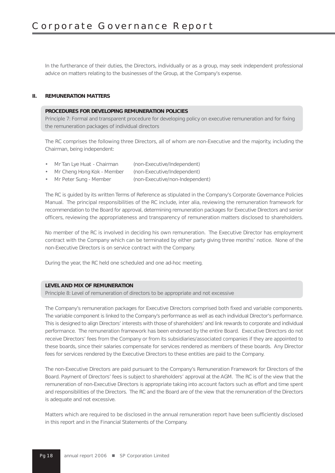In the furtherance of their duties, the Directors, individually or as a group, may seek independent professional advice on matters relating to the businesses of the Group, at the Company's expense.

# **II. REMUNERATION MATTERS**

#### **PROCEDURES FOR DEVELOPING REMUNERATION POLICIES**

Principle 7: Formal and transparent procedure for developing policy on executive remuneration and for fixing the remuneration packages of individual directors

The RC comprises the following three Directors, all of whom are non-Executive and the majority, including the Chairman, being independent:

- Mr Tan Lye Huat Chairman (non-Executive/Independent)
- Mr Cheng Hong Kok Member (non-Executive/Independent)
- Mr Peter Sung Member (non-Executive/non-Independent)

The RC is guided by its written Terms of Reference as stipulated in the Company's Corporate Governance Policies Manual. The principal responsibilities of the RC include, *inter alia*, reviewing the remuneration framework for recommendation to the Board for approval, determining remuneration packages for Executive Directors and senior officers, reviewing the appropriateness and transparency of remuneration matters disclosed to shareholders.

No member of the RC is involved in deciding his own remuneration. The Executive Director has employment contract with the Company which can be terminated by either party giving three months' notice. None of the non-Executive Directors is on service contract with the Company.

During the year, the RC held one scheduled and one ad-hoc meeting.

# **LEVEL AND MIX OF REMUNERATION**

Principle 8: Level of remuneration of directors to be appropriate and not excessive

The Company's remuneration packages for Executive Directors comprised both fixed and variable components. The variable component is linked to the Company's performance as well as each individual Director's performance. This is designed to align Directors' interests with those of shareholders' and link rewards to corporate and individual performance. The remuneration framework has been endorsed by the entire Board. Executive Directors do not receive Directors' fees from the Company or from its subsidiaries/associated companies if they are appointed to these boards, since their salaries compensate for services rendered as members of these boards. Any Director fees for services rendered by the Executive Directors to these entities are paid to the Company.

The non-Executive Directors are paid pursuant to the Company's Remuneration Framework for Directors of the Board. Payment of Directors' fees is subject to shareholders' approval at the AGM. The RC is of the view that the remuneration of non-Executive Directors is appropriate taking into account factors such as effort and time spent and responsibilities of the Directors. The RC and the Board are of the view that the remuneration of the Directors is adequate and not excessive.

Matters which are required to be disclosed in the annual remuneration report have been sufficiently disclosed in this report and in the Financial Statements of the Company.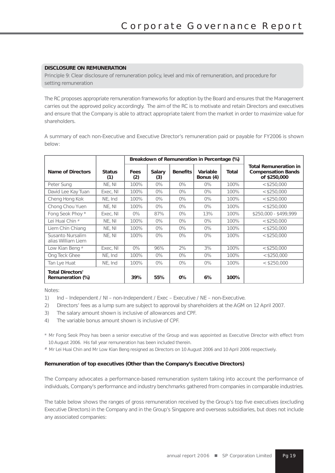# **DISCLOSURE ON REMUNERATION**

Principle 9: Clear disclosure of remuneration policy, level and mix of remuneration, and procedure for setting remuneration

The RC proposes appropriate remuneration frameworks for adoption by the Board and ensures that the Management carries out the approved policy accordingly. The aim of the RC is to motivate and retain Directors and executives and ensure that the Company is able to attract appropriate talent from the market in order to maximize value for shareholders.

A summary of each non-Executive and Executive Director's remuneration paid or payable for FY2006 is shown below:

|                                             |                      |             |               | Breakdown of Remuneration in Percentage (%) |                       |       |                                                                           |
|---------------------------------------------|----------------------|-------------|---------------|---------------------------------------------|-----------------------|-------|---------------------------------------------------------------------------|
| Name of Directors                           | <b>Status</b><br>(1) | Fees<br>(2) | Salary<br>(3) | <b>Benefits</b>                             | Variable<br>Bonus (4) | Total | <b>Total Remuneration in</b><br><b>Compensation Bands</b><br>of \$250,000 |
| Peter Sung                                  | NE, NI               | 100%        | $0\%$         | $0\%$                                       | $0\%$                 | 100%  | $<$ \$250,000                                                             |
| David Lee Kay Tuan                          | Exec, NI             | 100%        | $0\%$         | $0\%$                                       | $0\%$                 | 100%  | $<$ \$250,000                                                             |
| Cheng Hong Kok                              | NE, Ind              | 100%        | $0\%$         | $0\%$                                       | $0\%$                 | 100%  | $<$ \$250,000                                                             |
| Chong Chou Yuen                             | NE. NI               | 100%        | $0\%$         | $0\%$                                       | $0\%$                 | 100%  | $<$ \$250,000                                                             |
| Fong Seok Phoy *                            | Exec, NI             | $0\%$       | 87%           | $0\%$                                       | 13%                   | 100%  | \$250,000 - \$499,999                                                     |
| Lei Huai Chin #                             | NE, NI               | 100%        | $0\%$         | $0\%$                                       | $0\%$                 | 100%  | $<$ \$250,000                                                             |
| Liem Chin Chiang                            | NE. NI               | 100%        | $0\%$         | $0\%$                                       | $0\%$                 | 100%  | $<$ \$250,000                                                             |
| Susanto Nursalim<br>alias William Liem      | NE. NI               | 100%        | $0\%$         | $0\%$                                       | $0\%$                 | 100%  | $<$ \$250,000                                                             |
| Low Kian Beng #                             | Exec, NI             | $0\%$       | 96%           | 2%                                          | 3%                    | 100%  | $<$ \$250,000                                                             |
| Ong Teck Ghee                               | NE, Ind              | 100%        | $0\%$         | 0%                                          | $0\%$                 | 100%  | $<$ \$250,000                                                             |
| Tan Lye Huat                                | NE, Ind              | 100%        | $0\%$         | $0\%$                                       | $0\%$                 | 100%  | $<$ \$250,000                                                             |
| <b>Total Directors'</b><br>Remuneration (%) |                      | 39%         | 55%           | 0%                                          | 6%                    | 100%  |                                                                           |

Notes:

- 1) Ind Independent / NI non-Independent / Exec Executive / NE non-Executive.
- 2) Directors' fees as a lump sum are subject to approval by shareholders at the AGM on 12 April 2007.
- 3) The salary amount shown is inclusive of allowances and CPF.
- 4) The variable bonus amount shown is inclusive of CPF.
- *\* Mr Fong Seok Phoy has been a senior executive of the Group and was appointed as Executive Director with effect from 10 August 2006. His fall year remuneration has been included therein.*
- *# Mr Lei Huai Chin and Mr Low Kian Beng resigned as Directors on 10 August 2006 and 10 April 2006 respectively.*

# **Remuneration of top executives (Other than the Company's Executive Directors)**

The Company advocates a performance-based remuneration system taking into account the performance of individuals, Company's performance and industry benchmarks gathered from companies in comparable industries.

The table below shows the ranges of gross remuneration received by the Group's top five executives (excluding Executive Directors) in the Company and in the Group's Singapore and overseas subsidiaries, but does not include any associated companies: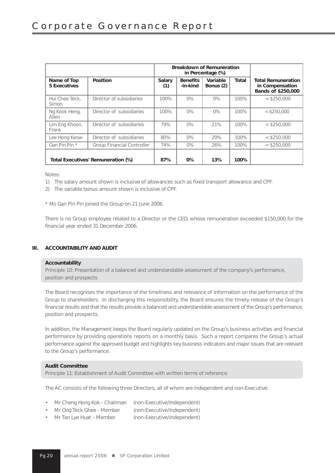|                                    |                                   | <b>Breakdown of Remuneration</b><br>in Percentage (%) |                             |                       |       |                                                                    |
|------------------------------------|-----------------------------------|-------------------------------------------------------|-----------------------------|-----------------------|-------|--------------------------------------------------------------------|
| Name of Top<br><b>5 Executives</b> | Position                          | Salary<br>(1)                                         | <b>Benefits</b><br>-in-kind | Variable<br>Bonus (2) | Total | <b>Total Remuneration</b><br>in Compensation<br>Bands of \$250,000 |
| Hui Chee Teck,<br>Simon            | Director of subsidiaries          | 100%                                                  | $0\%$                       | $0\%$                 | 100%  | $<$ \$250,000                                                      |
| Ng Keok Heng,<br>Allen             | Director of subsidiaries          | 100%                                                  | $0\%$                       | $0\%$                 | 100%  | $<$ \$250,000                                                      |
| Lim Eng Khoon,<br>Frank            | Director of subsidiaries          | 79%                                                   | $0\%$                       | 21%                   | 100%  | $<$ \$250,000                                                      |
| Lee Hong Keow                      | Director of subsidiaries          | 80%                                                   | $0\%$                       | 20%                   | 100%  | $<$ \$250,000                                                      |
| Gan Pin Pin *                      | <b>Group Financial Controller</b> | 74%                                                   | $0\%$                       | 26%                   | 100%  | $<$ \$250,000                                                      |
| Total Executives' Remuneration (%) |                                   | 87%                                                   | 0%                          | 13%                   | 100%  |                                                                    |

Notes:

- 1) The salary amount shown is inclusive of allowances such as fixed transport allowance and CPF.
- 2) The variable bonus amount shown is inclusive of CPF.

\* Ms Gan Pin Pin joined the Group on 21 June 2006.

There is no Group employee related to a Director or the CEO, whose remuneration exceeded \$150,000 for the financial year ended 31 December 2006.

# **III. ACCOUNTABILITY AND AUDIT**

#### **Accountability**

Principle 10: Presentation of a balanced and understandable assessment of the company's performance, position and prospects

The Board recognises the importance of the timeliness and relevance of information on the performance of the Group to shareholders. In discharging this responsibility, the Board ensures the timely release of the Group's financial results and that the results provide a balanced and understandable assessment of the Group's performance, position and prospects.

In addition, the Management keeps the Board regularly updated on the Group's business activities and financial performance by providing operations reports on a monthly basis. Such a report compares the Group's actual performance against the approved budget and highlights key business indicators and major issues that are relevant to the Group's performance.

#### **Audit Committee**

Principle 11: Establishment of Audit Committee with written terms of reference

The AC consists of the following three Directors, all of whom are independent and non-Executive:

- Mr Cheng Hong Kok Chairman (non-Executive/Independent)
- Mr Ong Teck Ghee Member (non-Executive/Independent)
- Mr Tan Lye Huat Member (non-Executive/Independent)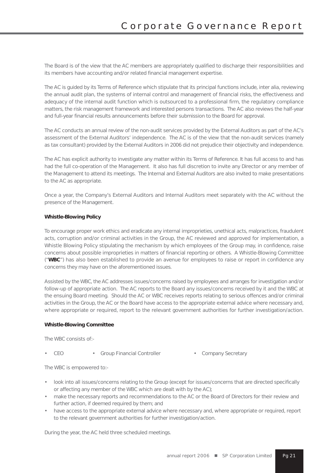The Board is of the view that the AC members are appropriately qualified to discharge their responsibilities and its members have accounting and/or related financial management expertise.

The AC is guided by its Terms of Reference which stipulate that its principal functions include, *inter alia*, reviewing the annual audit plan, the systems of internal control and management of financial risks, the effectiveness and adequacy of the internal audit function which is outsourced to a professional firm, the regulatory compliance matters, the risk management framework and interested persons transactions. The AC also reviews the half-year and full-year financial results announcements before their submission to the Board for approval.

The AC conducts an annual review of the non-audit services provided by the External Auditors as part of the AC's assessment of the External Auditors' independence. The AC is of the view that the non-audit services (namely as tax consultant) provided by the External Auditors in 2006 did not prejudice their objectivity and independence.

The AC has explicit authority to investigate any matter within its Terms of Reference. It has full access to and has had the full co-operation of the Management. It also has full discretion to invite any Director or any member of the Management to attend its meetings. The Internal and External Auditors are also invited to make presentations to the AC as appropriate.

Once a year, the Company's External Auditors and Internal Auditors meet separately with the AC without the presence of the Management.

# **Whistle-Blowing Policy**

To encourage proper work ethics and eradicate any internal improprieties, unethical acts, malpractices, fraudulent acts, corruption and/or criminal activities in the Group, the AC reviewed and approved for implementation, a Whistle Blowing Policy stipulating the mechanism by which employees of the Group may, in confidence, raise concerns about possible improprieties in matters of financial reporting or others. A Whistle-Blowing Committee ("**WBC**") has also been established to provide an avenue for employees to raise or report in confidence any concerns they may have on the aforementioned issues.

Assisted by the WBC, the AC addresses issues/concerns raised by employees and arranges for investigation and/or follow-up of appropriate action. The AC reports to the Board any issues/concerns received by it and the WBC at the ensuing Board meeting. Should the AC or WBC receives reports relating to serious offences and/or criminal activities in the Group, the AC or the Board have access to the appropriate external advice where necessary and, where appropriate or required, report to the relevant government authorities for further investigation/action.

# **Whistle-Blowing Committee**

The WBC consists of:-

- CEO Group Financial Controller Company Secretary
	-

The WBC is empowered to:-

- look into all issues/concerns relating to the Group (except for issues/concerns that are directed specifically or affecting any member of the WBC which are dealt with by the AC);
- make the necessary reports and recommendations to the AC or the Board of Directors for their review and further action, if deemed required by them; and
- have access to the appropriate external advice where necessary and, where appropriate or required, report to the relevant government authorities for further investigation/action.

During the year, the AC held three scheduled meetings.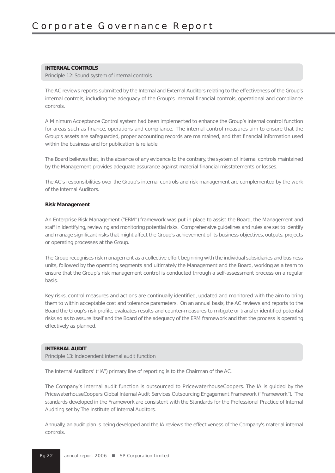# **INTERNAL CONTROLS**

Principle 12: Sound system of internal controls

The AC reviews reports submitted by the Internal and External Auditors relating to the effectiveness of the Group's internal controls, including the adequacy of the Group's internal financial controls, operational and compliance controls.

A Minimum Acceptance Control system had been implemented to enhance the Group's internal control function for areas such as finance, operations and compliance. The internal control measures aim to ensure that the Group's assets are safeguarded, proper accounting records are maintained, and that financial information used within the business and for publication is reliable.

The Board believes that, in the absence of any evidence to the contrary, the system of internal controls maintained by the Management provides adequate assurance against material financial misstatements or losses.

The AC's responsibilities over the Group's internal controls and risk management are complemented by the work of the Internal Auditors.

#### **Risk Management**

An Enterprise Risk Management ("ERM") framework was put in place to assist the Board, the Management and staff in identifying, reviewing and monitoring potential risks. Comprehensive guidelines and rules are set to identify and manage significant risks that might affect the Group's achievement of its business objectives, outputs, projects or operating processes at the Group.

The Group recognises risk management as a collective effort beginning with the individual subsidiaries and business units, followed by the operating segments and ultimately the Management and the Board, working as a team to ensure that the Group's risk management control is conducted through a self-assessment process on a regular basis.

Key risks, control measures and actions are continually identified, updated and monitored with the aim to bring them to within acceptable cost and tolerance parameters. On an annual basis, the AC reviews and reports to the Board the Group's risk profile, evaluates results and counter-measures to mitigate or transfer identified potential risks so as to assure itself and the Board of the adequacy of the ERM framework and that the process is operating effectively as planned.

# **INTERNAL AUDIT**

Principle 13: Independent internal audit function

The Internal Auditors' ("IA") primary line of reporting is to the Chairman of the AC.

The Company's internal audit function is outsourced to PricewaterhouseCoopers. The IA is guided by the PricewaterhouseCoopers Global Internal Audit Services Outsourcing Engagement Framework ("Framework"). The standards developed in the Framework are consistent with the Standards for the Professional Practice of Internal Auditing set by The Institute of Internal Auditors.

Annually, an audit plan is being developed and the IA reviews the effectiveness of the Company's material internal controls.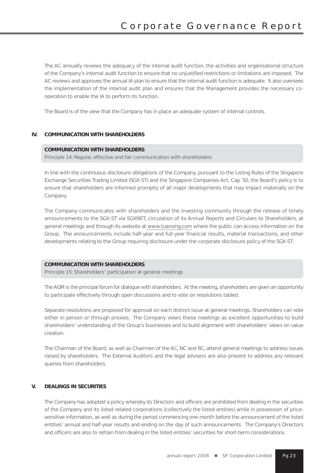The AC annually reviews the adequacy of the internal audit function, the activities and organisational structure of the Company's internal audit function to ensure that no unjustified restrictions or limitations are imposed. The AC reviews and approves the annual IA plan to ensure that the internal audit function is adequate. It also oversees the implementation of the internal audit plan and ensures that the Management provides the necessary cooperation to enable the IA to perform its function.

The Board is of the view that the Company has in place an adequate system of internal controls.

# **IV. COMMUNICATION WITH SHAREHOLDERS**

#### **COMMUNICATION WITH SHAREHOLDERS**

Principle 14: Regular, effective and fair communication with shareholders

In line with the continuous disclosure obligations of the Company, pursuant to the Listing Rules of the Singapore Exchange Securities Trading Limited (SGX-ST) and the Singapore Companies Act, Cap. 50, the Board's policy is to ensure that shareholders are informed promptly of all major developments that may impact materially on the Company.

The Company communicates with shareholders and the investing community through the release of timely announcements to the SGX-ST via SGXNET, circulation of its Annual Reports and Circulars to Shareholders, at general meetings and through its website at www.tuansing.com where the public can access information on the Group. The announcements include half-year and full-year financial results, material transactions, and other developments relating to the Group requiring disclosure under the corporate disclosure policy of the SGX-ST.

# **COMMUNICATION WITH SHAREHOLDERS**

Principle 15: Shareholders' participation at general meetings

The AGM is the principal forum for dialogue with shareholders. At the meeting, shareholders are given an opportunity to participate effectively through open discussions and to vote on resolutions tabled.

Separate resolutions are proposed for approval on each distinct issue at general meetings. Shareholders can vote either in person or through proxies. The Company views these meetings as excellent opportunities to build shareholders' understanding of the Group's businesses and to build alignment with shareholders' views on value creation.

The Chairman of the Board, as well as Chairmen of the AC, NC and RC, attend general meetings to address issues raised by shareholders. The External Auditors and the legal advisers are also present to address any relevant queries from shareholders.

# **V. DEALINGS IN SECURITIES**

The Company has adopted a policy whereby its Directors and officers are prohibited from dealing in the securities of the Company and its listed related corporations (collectively the listed entities) while in possession of pricesensitive information, as well as during the period commencing one month before the announcement of the listed entities' annual and half-year results and ending on the day of such announcements. The Company's Directors and officers are also to refrain from dealing in the listed entities' securities for short-term considerations.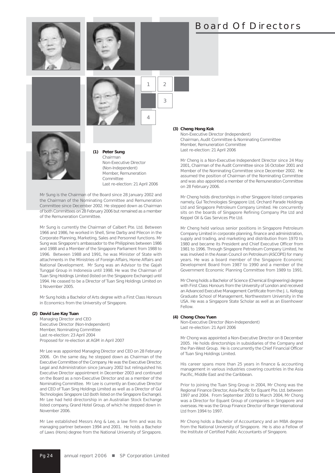# Board Of Directors







**(1) Peter Sung** *Chairman* Non-Executive Director (Non-Independent) Member, Remuneration Committee Last re-election: 21 April 2006

Mr Sung is the Chairman of the Board since 28 January 2002 and the Chairman of the Nominating Committee and Remuneration Committee since December 2002. He stepped down as Chairman of both Committees on 28 February 2006 but remained as a member of the Remuneration Committee.

Mr Sung is currently the Chairman of Calbert Pte. Ltd. Between 1966 and 1986, he worked in Shell, Sime Darby and Pilecon in the Corporate Planning, Marketing, Sales and Personnel functions. Mr Sung was Singapore's ambassador to the Philippines between 1986 and 1988 and a Member of the Singapore Parliament from 1988 to 1996. Between 1988 and 1991, he was Minister of State with attachments in the Ministries of Foreign Affairs, Home Affairs and National Development. Mr Sung was an Advisor to the Gajah Tunggal Group in Indonesia until 1998. He was the Chairman of Tuan Sing Holdings Limited (listed on the Singapore Exchange) until 1994. He ceased to be a Director of Tuan Sing Holdings Limited on 1 November 2005.

Mr Sung holds a Bachelor of Arts degree with a First Class Honours in Economics from the University of Singapore.

#### **(2) David Lee Kay Tuan**

*Managing Director and CEO* Executive Director (Non-Independent) Member, Nominating Committee Last re-election: 23 April 2004 Proposed for re-election at AGM in April 2007

Mr Lee was appointed Managing Director and CEO on 28 February 2006. On the same day, he stepped down as Chairman of the Executive Committee of the Company. He was the Executive Director, Legal and Administration since January 2002 but relinquished his Executive Director appointment in December 2003 and continued on the Board as a non-Executive Director and as a member of the Nominating Committee. Mr Lee is currently an Executive Director and CEO of Tuan Sing Holdings Limited as well as a Director of Gul Technologies Singapore Ltd (both listed on the Singapore Exchange). Mr Lee had held directorship in an Australian Stock Exchange listed company, Grand Hotel Group, of which he stepped down in November 2006.

Mr Lee established Messrs Ang & Lee, a law firm and was its managing partner between 1994 and 2001. He holds a Bachelor of Laws (Hons) degree from the National University of Singapore.

#### **(3) Cheng Hong Kok**

*Non-Executive Director (Independent)* Chairman, Audit Committee & Nominating Committee Member, Remuneration Committee Last re-election: 21 April 2006

Mr Cheng is a Non-Executive Independent Director since 24 May 2001, Chairman of the Audit Committee since 16 October 2001 and Member of the Nominating Committee since December 2002. He assumed the position of Chairman of the Nominating Committee and was also appointed a member of the Remuneration Committee on 28 February 2006.

Mr Cheng holds directorships in other Singapore listed companies namely, Gul Technologies Singapore Ltd, Orchard Parade Holdings Ltd and Singapore Petroleum Company Limited. He concurrently sits on the boards of Singapore Refining Company Pte Ltd and Keppel Oil & Gas Services Pte Ltd.

Mr Cheng held various senior positions in Singapore Petroleum Company Limited in corporate planning, finance and administration, supply and trading, and marketing and distribution from 1970 to 1980 and became its President and Chief Executive Officer from 1981 to 1996. Through Singapore Petroleum Company Limited, he was involved in the Asean Council on Petroleum (ASCOPE) for many years. He was a board member of the Singapore Economic Development Board from 1987 to 1990 and a member of the Government Economic Planning Committee from 1989 to 1991.

Mr Cheng holds a Bachelor of Science (Chemical Engineering) degree with First Class Honours from the University of London and received an Advanced Executive Management Certificate from the J. L. Kellogg Graduate School of Management, Northwestern University in the USA. He was a Singapore State Scholar as well as an Eisenhower Fellow.

#### **(4) Chong Chou Yuen**

*Non-Executive Director (Non-Independent)* Last re-election: 21 April 2006

Mr Chong was appointed a Non-Executive Director on 8 December 2005. He holds directorships in subsidiaries of the Company and the Pan-West Group. He is concurrently the Chief Financial Officer of Tuan Sing Holdings Limited.

His career spans more than 25 years in finance & accounting management in various industries covering countries in the Asia Pacific, Middle East and the Caribbean.

Prior to joining the Tuan Sing Group in 2004, Mr Chong was the Regional Finance Director, Asia-Pacific for Equant Pte. Ltd. between 1997 and 2004. From September 2003 to March 2004, Mr Chong was a Director for Equant Group of companies in Singapore and overseas. He was the Group Finance Director of Berger International Ltd from 1994 to 1997.

Mr Chong holds a Bachelor of Accountancy and an MBA degree from the National University of Singapore. He is also a Fellow of the Institute of Certified Public Accountants of Singapore.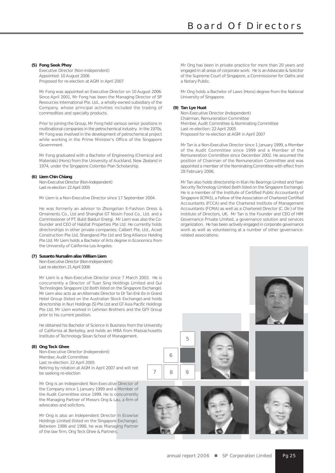#### **(5) Fong Seok Phoy**

*Executive Director (Non-Independent)* Appointed: 10 August 2006 Proposed for re-election at AGM in April 2007

Mr Fong was appointed an Executive Director on 10 August 2006. Since April 2001, Mr Fong has been the Managing Director of SP Resources International Pte. Ltd., a wholly-owned subsidiary of the Company, whose principal activities included the trading of commodities and specialty products.

Prior to joining the Group, Mr Fong held various senior positions in multinational companies in the petrochemical industry. In the 1970s, Mr Fong was involved in the development of petrochemical project while working in the Prime Minister's Office of the Singapore Government.

Mr Fong graduated with a Bachelor of Engineering (Chemical and Materials) (Hons) from the University of Auckland, New Zealand in 1974, under the Singapore Colombo Plan Scholarship.

#### **(6) Liem Chin Chiang**

*Non-Executive Director (Non-Independent)* Last re-election: 22 April 2005

Mr Liem is a Non-Executive Director since 17 September 2004.

He was formerly an advisor to Zhongshan E-Fashion Dress & Ornaments Co., Ltd and Shanghai GT Nissin Food Co., Ltd. and a Commissioner of PT. Bukit Baiduri Energi. Mr Liem was also the Cofounder and CEO of Habitat Properties Pte Ltd. He currently holds directorships in other private companies; Calbert Pte. Ltd., Acset Construction Pte Ltd, Shangland Pte Ltd and Sing Alliance Holding Pte Ltd. Mr Liem holds a Bachelor of Arts degree in Economics from the University of California Los Angeles.

#### **(7) Susanto Nursalim alias William Liem**

*Non-Executive Director (Non-Independent)* Last re-election: 21 April 2006

Mr Liem is a Non-Executive Director since 7 March 2003. He is concurrently a Director of Tuan Sing Holdings Limited and Gul Technologies Singapore Ltd (both listed on the Singapore Exchange). Mr Liem also acts as an Alternate Director to Dr Tan Enk Ee in Grand Hotel Group (listed on the Australian Stock Exchange) and holds directorship in Nuri Holdings (S) Pte Ltd and GT Asia Pacific Holdings Pte Ltd. Mr Liem worked in Lehman Brothers and the GITI Group prior to his current position.

He obtained his Bachelor of Science in Business from the University of California at Berkeley, and holds an MBA from Massachusetts Institute of Technology Sloan School of Management.

#### **(8) Ong Teck Ghee**

*Non-Executive Director (Independent)* Member, Audit Committee Last re-election: 22 April 2005 Retiring by rotation at AGM in April 2007 and will not be seeking re-election

Mr Ong is an Independent Non-Executive Director of the Company since 1 January 1999 and a Member of the Audit Committee since 1999. He is concurrently the Managing Partner of Messrs Ong & Lau, a firm of advocates and solicitors.

Mr Ong is also an Independent Director in Ecowise Holdings Limited (listed on the Singapore Exchange). Between 1986 and 1998, he was Managing Partner of the law firm, Ong Teck Ghee & Partners.

Mr Ong has been in private practice for more than 20 years and engaged in all areas of corporate work. He is an Advocate & Solicitor of the Supreme Court of Singapore, a Commissioner for Oaths and a Notary Public.

Mr Ong holds a Bachelor of Laws (Hons) degree from the National University of Singapore.

#### **(9) Tan Lye Huat**

*Non-Executive Director (Independent)* Chairman, Remuneration Committee Member, Audit Committee & Nominating Committee Last re-election: 22 April 2005 Proposed for re-election at AGM in April 2007

Mr Tan is a Non-Executive Director since 1 January 1999, a Member of the Audit Committee since 1999 and a Member of the Remuneration Committee since December 2002. He assumed the position of Chairman of the Remuneration Committee and was appointed a member of the Nominating Committee with effect from 28 February 2006.

Mr Tan also holds directorship in Kian Ho Bearings Limited and Yaan Security Technology Limited (both listed on the Singapore Exchange). He is a member of the Institute of Certified Public Accountants of Singapore (ICPAS), a Fellow of the Association of Chartered Certified Accountants (FCCA) and the Chartered Institute of Management Accountants (FCMA) as well as a Chartered Director (C. Dir.) of the Institute of Directors, UK. Mr Tan is the Founder and CEO of HIM Governance Private Limited, a governance solution and services organization. He has been actively engaged in corporate governance work as well as volunteering at a number of other governancerelated associations.



6

5



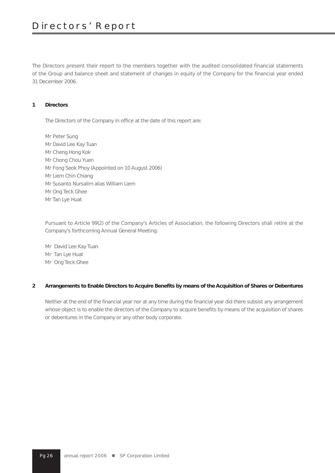The Directors present their report to the members together with the audited consolidated financial statements of the Group and balance sheet and statement of changes in equity of the Company for the financial year ended 31 December 2006.

# **1 Directors**

The Directors of the Company in office at the date of this report are:

Mr Peter Sung Mr David Lee Kay Tuan Mr Cheng Hong Kok Mr Chong Chou Yuen Mr Fong Seok Phoy (Appointed on 10 August 2006) Mr Liem Chin Chiang Mr Susanto Nursalim alias William Liem Mr Ong Teck Ghee Mr Tan Lye Huat

Pursuant to Article 99(2) of the Company's Articles of Association, the following Directors shall retire at the Company's forthcoming Annual General Meeting:

Mr David Lee Kay Tuan Mr Tan Lye Huat Mr Ong Teck Ghee

### **2 Arrangements to Enable Directors to Acquire Benefits by means of the Acquisition of Shares or Debentures**

Neither at the end of the financial year nor at any time during the financial year did there subsist any arrangement whose object is to enable the directors of the Company to acquire benefits by means of the acquisition of shares or debentures in the Company or any other body corporate.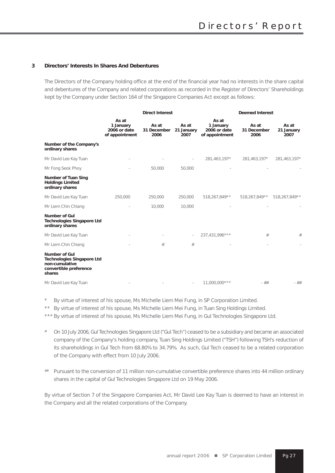# **3 Directors' Interests In Shares And Debentures**

The Directors of the Company holding office at the end of the financial year had no interests in the share capital and debentures of the Company and related corporations as recorded in the Register of Directors' Shareholdings kept by the Company under Section 164 of the Singapore Companies Act except as follows:

|                                                                                                   |                                                      | <b>Direct Interest</b>       |                             | <b>Deemed Interest</b>                               |                              |                             |  |
|---------------------------------------------------------------------------------------------------|------------------------------------------------------|------------------------------|-----------------------------|------------------------------------------------------|------------------------------|-----------------------------|--|
|                                                                                                   | As at<br>1 January<br>2006 or date<br>of appointment | As at<br>31 December<br>2006 | As at<br>21 January<br>2007 | As at<br>1 January<br>2006 or date<br>of appointment | As at<br>31 December<br>2006 | As at<br>21 January<br>2007 |  |
| Number of the Company's<br>ordinary shares                                                        |                                                      |                              |                             |                                                      |                              |                             |  |
| Mr David Lee Kay Tuan                                                                             |                                                      |                              |                             | 281,463,197*                                         | 281,463,197*                 | 281,463,197*                |  |
| Mr Fong Seok Phoy                                                                                 |                                                      | 50,000                       | 50,000                      |                                                      |                              |                             |  |
| Number of Tuan Sing<br><b>Holdings Limited</b><br>ordinary shares                                 |                                                      |                              |                             |                                                      |                              |                             |  |
| Mr David Lee Kay Tuan                                                                             | 250,000                                              | 250,000                      | 250,000                     | 518,267,849**                                        | 518.267.849**                | 518,267,849**               |  |
| Mr Liem Chin Chiang                                                                               |                                                      | 10,000                       | 10,000                      |                                                      |                              |                             |  |
| Number of Gul<br><b>Technologies Singapore Ltd</b><br>ordinary shares                             |                                                      |                              |                             |                                                      |                              |                             |  |
| Mr David Lee Kay Tuan                                                                             |                                                      |                              |                             | 237,431,996 ***                                      | #                            | $\#$                        |  |
| Mr Liem Chin Chiang                                                                               |                                                      | #                            | #                           |                                                      |                              |                             |  |
| Number of Gul<br>Technologies Singapore Ltd<br>non-cumulative<br>convertible preference<br>shares |                                                      |                              |                             |                                                      |                              |                             |  |
| Mr David Lee Kay Tuan                                                                             |                                                      |                              |                             | $11,000,000$ ***                                     | - ##                         | - ##                        |  |

\* By virtue of interest of his spouse, Ms Michelle Liem Mei Fung, in SP Corporation Limited.

\*\* By virtue of interest of his spouse, Ms Michelle Liem Mei Fung, in Tuan Sing Holdings Limited.

\*\*\* By virtue of interest of his spouse, Ms Michelle Liem Mei Fung, in Gul Technologies Singapore Ltd.

- # On 10 July 2006, Gul Technologies Singapore Ltd ("Gul Tech") ceased to be a subsidiary and became an associated company of the Company's holding company, Tuan Sing Holdings Limited ("TSH") following TSH's reduction of its shareholdings in Gul Tech from 68.80% to 34.79%. As such, Gul Tech ceased to be a related corporation of the Company with effect from 10 July 2006.
- ## Pursuant to the conversion of 11 million non-cumulative convertible preference shares into 44 million ordinary shares in the capital of Gul Technologies Singapore Ltd on 19 May 2006.

By virtue of Section 7 of the Singapore Companies Act, Mr David Lee Kay Tuan is deemed to have an interest in the Company and all the related corporations of the Company.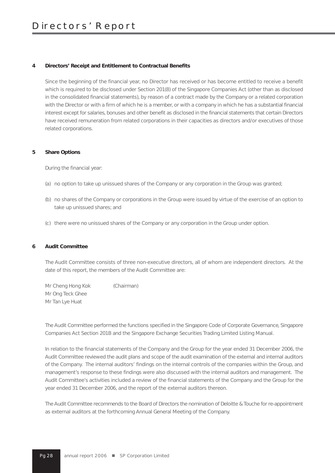### **4 Directors' Receipt and Entitlement to Contractual Benefits**

Since the beginning of the financial year, no Director has received or has become entitled to receive a benefit which is required to be disclosed under Section 201(8) of the Singapore Companies Act (other than as disclosed in the consolidated financial statements), by reason of a contract made by the Company or a related corporation with the Director or with a firm of which he is a member, or with a company in which he has a substantial financial interest except for salaries, bonuses and other benefit as disclosed in the financial statements that certain Directors have received remuneration from related corporations in their capacities as directors and/or executives of those related corporations.

#### **5 Share Options**

During the financial year:

- (a) no option to take up unissued shares of the Company or any corporation in the Group was granted;
- (b) no shares of the Company or corporations in the Group were issued by virtue of the exercise of an option to take up unissued shares; and
- (c) there were no unissued shares of the Company or any corporation in the Group under option.

# **6 Audit Committee**

The Audit Committee consists of three non-executive directors, all of whom are independent directors. At the date of this report, the members of the Audit Committee are:

Mr Cheng Hong Kok (Chairman) Mr Ong Teck Ghee Mr Tan Lye Huat

The Audit Committee performed the functions specified in the Singapore Code of Corporate Governance, Singapore Companies Act Section 201B and the Singapore Exchange Securities Trading Limited Listing Manual.

In relation to the financial statements of the Company and the Group for the year ended 31 December 2006, the Audit Committee reviewed the audit plans and scope of the audit examination of the external and internal auditors of the Company. The internal auditors' findings on the internal controls of the companies within the Group, and management's response to these findings were also discussed with the internal auditors and management. The Audit Committee's activities included a review of the financial statements of the Company and the Group for the year ended 31 December 2006, and the report of the external auditors thereon.

The Audit Committee recommends to the Board of Directors the nomination of Deloitte & Touche for re-appointment as external auditors at the forthcoming Annual General Meeting of the Company.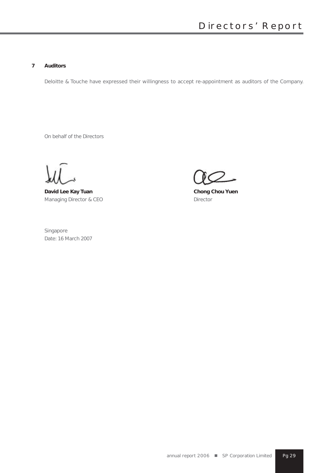# **7 Auditors**

Deloitte & Touche have expressed their willingness to accept re-appointment as auditors of the Company.

On behalf of the Directors

**David Lee Kay Tuan Chong Chou Yuen** Chong Chou Yuen Managing Director & CEO Director

Singapore Date: 16 March 2007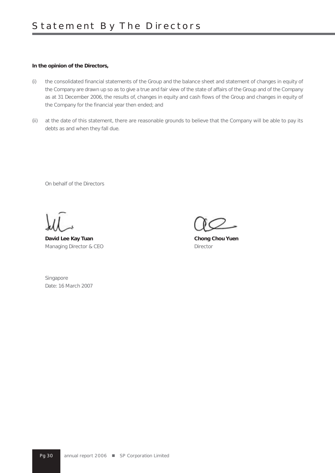### **In the opinion of the Directors,**

- (i) the consolidated financial statements of the Group and the balance sheet and statement of changes in equity of the Company are drawn up so as to give a true and fair view of the state of affairs of the Group and of the Company as at 31 December 2006, the results of, changes in equity and cash flows of the Group and changes in equity of the Company for the financial year then ended; and
- (ii) at the date of this statement, there are reasonable grounds to believe that the Company will be able to pay its debts as and when they fall due.

On behalf of the Directors

**David Lee Kay Tuan Chong Chou Yuen** Chong Chou Yuen Managing Director & CEO Director CHO Director

Singapore Date: 16 March 2007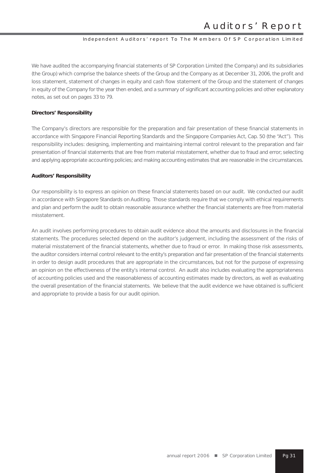# Auditors' Report

#### Independent Auditors' report To The Members Of SP Corporation Limited

We have audited the accompanying financial statements of SP Corporation Limited (the Company) and its subsidiaries (the Group) which comprise the balance sheets of the Group and the Company as at December 31, 2006, the profit and loss statement, statement of changes in equity and cash flow statement of the Group and the statement of changes in equity of the Company for the year then ended, and a summary of significant accounting policies and other explanatory notes, as set out on pages 33 to 79.

### **Directors' Responsibility**

The Company's directors are responsible for the preparation and fair presentation of these financial statements in accordance with Singapore Financial Reporting Standards and the Singapore Companies Act, Cap. 50 (the "Act"). This responsibility includes: designing, implementing and maintaining internal control relevant to the preparation and fair presentation of financial statements that are free from material misstatement, whether due to fraud and error; selecting and applying appropriate accounting policies; and making accounting estimates that are reasonable in the circumstances.

# **Auditors' Responsibility**

Our responsibility is to express an opinion on these financial statements based on our audit. We conducted our audit in accordance with Singapore Standards on Auditing. Those standards require that we comply with ethical requirements and plan and perform the audit to obtain reasonable assurance whether the financial statements are free from material misstatement.

An audit involves performing procedures to obtain audit evidence about the amounts and disclosures in the financial statements. The procedures selected depend on the auditor's judgement, including the assessment of the risks of material misstatement of the financial statements, whether due to fraud or error. In making those risk assessments, the auditor considers internal control relevant to the entity's preparation and fair presentation of the financial statements in order to design audit procedures that are appropriate in the circumstances, but not for the purpose of expressing an opinion on the effectiveness of the entity's internal control. An audit also includes evaluating the appropriateness of accounting policies used and the reasonableness of accounting estimates made by directors, as well as evaluating the overall presentation of the financial statements. We believe that the audit evidence we have obtained is sufficient and appropriate to provide a basis for our audit opinion.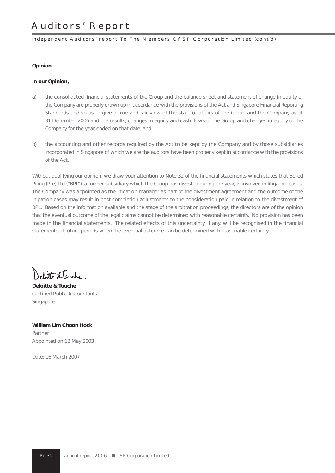# Auditors' Report

Independent Auditors' report To The Members Of SP Corporation Limited (cont'd)

### **Opinion**

#### **In our Opinion,**

- a) the consolidated financial statements of the Group and the balance sheet and statement of change in equity of the Company are properly drawn up in accordance with the provisions of the Act and Singapore Financial Reporting Standards and so as to give a true and fair view of the state of affairs of the Group and the Company as at 31 December 2006 and the results, changes in equity and cash flows of the Group and changes in equity of the Company for the year ended on that date; and
- b) the accounting and other records required by the Act to be kept by the Company and by those subsidiaries incorporated in Singapore of which we are the auditors have been properly kept in accordance with the provisions of the Act.

Without qualifying our opinion, we draw your attention to Note 32 of the financial statements which states that Bored Piling (Pte) Ltd ("BPL"), a former subsidiary which the Group has divested during the year, is involved in litigation cases. The Company was appointed as the litigation manager as part of the divestment agreement and the outcome of the litigation cases may result in post completion adjustments to the consideration paid in relation to the divestment of BPL. Based on the information available and the stage of the arbitration proceedings, the directors are of the opinion that the eventual outcome of the legal claims cannot be determined with reasonable certainty. No provision has been made in the financial statements. The related effects of this uncertainty, if any, will be recognised in the financial statements of future periods when the eventual outcome can be determined with reasonable certainty.

Debitte Storche.

**Deloitte & Touche** Certified Public Accountants Singapore

**William Lim Choon Hock** Partner Appointed on 12 May 2003

Date: 16 March 2007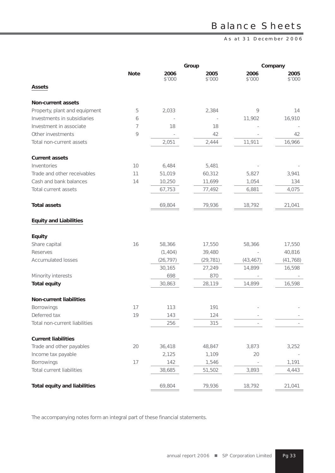# Balance Sheets

As at 31 December 2006

|                                     |             |                | Group          |                | Company        |  |
|-------------------------------------|-------------|----------------|----------------|----------------|----------------|--|
|                                     | <b>Note</b> | 2006<br>\$'000 | 2005<br>\$'000 | 2006<br>\$'000 | 2005<br>\$'000 |  |
| <b>Assets</b>                       |             |                |                |                |                |  |
| Non-current assets                  |             |                |                |                |                |  |
| Property, plant and equipment       | 5           | 2,033          | 2,384          | 9              | 14             |  |
| Investments in subsidiaries         | 6           |                |                | 11,902         | 16,910         |  |
| Investment in associate             | 7           | 18             | 18             |                |                |  |
| Other investments                   | 9           |                | 42             |                | 42             |  |
| Total non-current assets            |             | 2,051          | 2,444          | 11,911         | 16,966         |  |
| <b>Current assets</b>               |             |                |                |                |                |  |
| Inventories                         | 10          | 6,484          | 5,481          |                |                |  |
| Trade and other receivables         | 11          | 51,019         | 60,312         | 5,827          | 3,941          |  |
| Cash and bank balances              | 14          | 10,250         | 11,699         | 1,054          | 134            |  |
| Total current assets                |             | 67,753         | 77,492         | 6,881          | 4,075          |  |
| <b>Total assets</b>                 |             | 69,804         | 79,936         | 18,792         | 21,041         |  |
| <b>Equity and Liabilities</b>       |             |                |                |                |                |  |
| Equity                              |             |                |                |                |                |  |
| Share capital                       | 16          | 58,366         | 17,550         | 58,366         | 17,550         |  |
| Reserves                            |             | (1, 404)       | 39,480         |                | 40,816         |  |
| <b>Accumulated losses</b>           |             | (26, 797)      | (29, 781)      | (43, 467)      | (41, 768)      |  |
|                                     |             | 30,165         | 27,249         | 14,899         | 16,598         |  |
| Minority interests                  |             | 698            | 870            |                |                |  |
| <b>Total equity</b>                 |             | 30,863         | 28,119         | 14,899         | 16,598         |  |
| <b>Non-current liabilities</b>      |             |                |                |                |                |  |
| Borrowings                          | 17          | 113            | 191            |                |                |  |
| Deferred tax                        | 19          | 143            | 124            |                |                |  |
| Total non-current liabilities       |             | 256            | 315            |                |                |  |
| <b>Current liabilities</b>          |             |                |                |                |                |  |
| Trade and other payables            | 20          | 36,418         | 48,847         | 3,873          | 3,252          |  |
| Income tax payable                  |             | 2,125          | 1,109          | 20             |                |  |
| Borrowings                          | 17          | 142            | 1,546          |                | 1,191          |  |
| Total current liabilities           |             | 38,685         | 51,502         | 3,893          | 4,443          |  |
| <b>Total equity and liabilities</b> |             | 69,804         | 79,936         | 18,792         | 21,041         |  |

The accompanying notes form an integral part of these financial statements.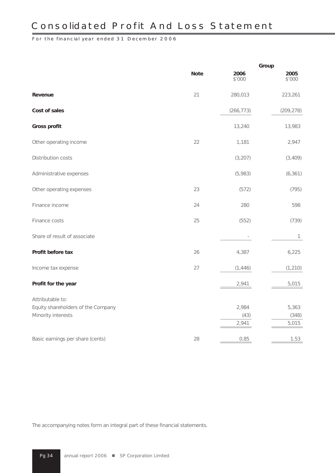# Consolidated Profit And Loss Statement

For the financial year ended 31 December 2006

|                                    |             |                | Group          |
|------------------------------------|-------------|----------------|----------------|
|                                    | <b>Note</b> | 2006<br>\$'000 | 2005<br>\$'000 |
| Revenue                            | 21          | 280,013        | 223,261        |
| Cost of sales                      |             | (266, 773)     | (209, 278)     |
| Gross profit                       |             | 13,240         | 13,983         |
| Other operating income             | 22          | 1,181          | 2,947          |
| Distribution costs                 |             | (3, 207)       | (3,409)        |
| Administrative expenses            |             | (5,983)        | (6, 361)       |
| Other operating expenses           | 23          | (572)          | (795)          |
| Finance income                     | 24          | 280            | 598            |
| Finance costs                      | 25          | (552)          | (739)          |
| Share of result of associate       |             |                | $\mathbf{1}$   |
| Profit before tax                  | 26          | 4,387          | 6,225          |
| Income tax expense                 | 27          | (1, 446)       | (1, 210)       |
| Profit for the year                |             | 2,941          | 5,015          |
| Attributable to:                   |             |                |                |
| Equity shareholders of the Company |             | 2,984          | 5,363          |
| Minority interests                 |             | (43)           | (348)          |
|                                    |             | 2,941          | 5,015          |
| Basic earnings per share (cents)   | 28          | 0.85           | 1.53           |

The accompanying notes form an integral part of these financial statements.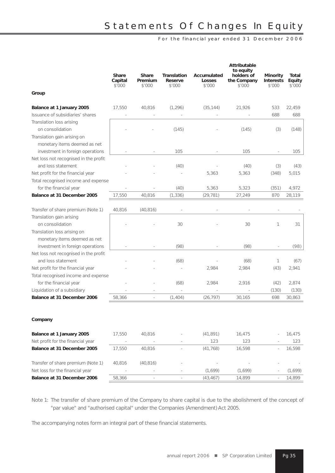# For the financial year ended 31 December 2006

|                                                            | Share<br>Capital<br>\$'000 | Share<br>Premium<br>\$'000 | <b>Translation</b><br>Reserve<br>\$'000 | Accumulated<br>Losses<br>\$'000 | Attributable<br>to equity<br>holders of<br>the Company<br>\$'000 | <b>Minority</b><br><b>Interests</b><br>\$'000 | Total<br>Equity<br>\$'000 |
|------------------------------------------------------------|----------------------------|----------------------------|-----------------------------------------|---------------------------------|------------------------------------------------------------------|-----------------------------------------------|---------------------------|
| Group                                                      |                            |                            |                                         |                                 |                                                                  |                                               |                           |
| Balance at 1 January 2005                                  | 17,550                     | 40,816                     | (1, 296)                                | (35, 144)                       | 21,926                                                           | 533                                           | 22,459                    |
| Issuance of subsidiaries' shares                           |                            |                            |                                         |                                 |                                                                  | 688                                           | 688                       |
| Translation loss arising                                   |                            |                            |                                         |                                 |                                                                  |                                               |                           |
| on consolidation                                           |                            |                            | (145)                                   |                                 | (145)                                                            | (3)                                           | (148)                     |
| Translation gain arising on                                |                            |                            |                                         |                                 |                                                                  |                                               |                           |
| monetary items deemed as net                               |                            |                            |                                         |                                 |                                                                  |                                               |                           |
| investment in foreign operations                           |                            |                            | 105                                     |                                 | 105                                                              |                                               | 105                       |
| Net loss not recognised in the profit                      |                            |                            |                                         |                                 |                                                                  |                                               |                           |
| and loss statement                                         |                            |                            | (40)                                    |                                 | (40)                                                             | (3)                                           | (43)                      |
| Net profit for the financial year                          |                            |                            |                                         | 5,363                           | 5,363                                                            | (348)                                         | 5,015                     |
| Total recognised income and expense                        |                            |                            |                                         |                                 |                                                                  |                                               |                           |
| for the financial year                                     |                            |                            | (40)                                    | 5,363                           | 5,323                                                            | (351)                                         | 4,972                     |
| Balance at 31 December 2005                                | 17,550                     | 40,816                     | (1, 336)                                | (29, 781)                       | 27,249                                                           | 870                                           | 28,119                    |
|                                                            |                            |                            |                                         |                                 |                                                                  |                                               |                           |
| Transfer of share premium (Note 1)                         | 40,816                     | (40, 816)                  |                                         |                                 |                                                                  |                                               |                           |
| Translation gain arising<br>on consolidation               |                            |                            |                                         |                                 |                                                                  |                                               |                           |
|                                                            |                            |                            | 30                                      |                                 | 30                                                               | 1                                             | 31                        |
| Translation loss arising on                                |                            |                            |                                         |                                 |                                                                  |                                               |                           |
| monetary items deemed as net                               |                            |                            |                                         |                                 |                                                                  |                                               |                           |
| investment in foreign operations                           |                            |                            | (98)                                    |                                 | (98)                                                             |                                               | (98)                      |
| Net loss not recognised in the profit                      |                            |                            |                                         |                                 |                                                                  |                                               |                           |
| and loss statement                                         |                            |                            | (68)                                    |                                 | (68)                                                             | 1                                             | (67)                      |
| Net profit for the financial year                          |                            |                            |                                         | 2,984                           | 2,984                                                            | (43)                                          | 2,941                     |
| Total recognised income and expense                        |                            |                            |                                         |                                 |                                                                  |                                               |                           |
| for the financial year                                     |                            |                            | (68)                                    | 2,984                           | 2,916                                                            | (42)                                          | 2,874                     |
| Liquidation of a subsidiary<br>Balance at 31 December 2006 |                            |                            |                                         |                                 |                                                                  | (130)                                         | (130)                     |
|                                                            | 58,366                     | $\overline{\phantom{a}}$   | (1, 404)                                | (26, 797)                       | 30,165                                                           | 698                                           | 30,863                    |
| Company                                                    |                            |                            |                                         |                                 |                                                                  |                                               |                           |
| Balance at 1 January 2005                                  | 17,550                     | 40,816                     |                                         | (41, 891)                       | 16,475                                                           |                                               | 16,475                    |
| Net profit for the financial year                          |                            |                            |                                         | 123                             | 123                                                              |                                               | 123                       |
| Balance at 31 December 2005                                | 17,550                     | 40,816                     | ÷,                                      | (41, 768)                       | 16,598                                                           |                                               | 16,598                    |
| Transfer of share premium (Note 1)                         | 40,816                     | (40, 816)                  |                                         |                                 |                                                                  |                                               |                           |
| Net loss for the financial year                            |                            |                            |                                         | (1,699)                         | (1,699)                                                          |                                               | (1,699)                   |
| Balance at 31 December 2006                                | 58,366                     | $\overline{\phantom{a}}$   | $\overline{\phantom{a}}$                | (43, 467)                       | 14,899                                                           |                                               | 14,899                    |
|                                                            |                            |                            |                                         |                                 |                                                                  |                                               |                           |

Note 1: The transfer of share premium of the Company to share capital is due to the abolishment of the concept of "par value" and "authorised capital" under the Companies (Amendment) Act 2005.

The accompanying notes form an integral part of these financial statements.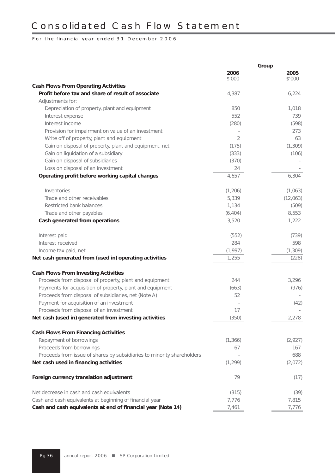# Consolidated Cash Flow Statement

For the financial year ended 31 December 2006

|                                                                        | Group          |                |
|------------------------------------------------------------------------|----------------|----------------|
|                                                                        | 2006<br>\$'000 | 2005<br>\$'000 |
| <b>Cash Flows From Operating Activities</b>                            |                |                |
| Profit before tax and share of result of associate                     | 4,387          | 6,224          |
| Adjustments for:                                                       |                |                |
| Depreciation of property, plant and equipment                          | 850            | 1,018          |
| Interest expense                                                       | 552            | 739            |
| Interest income                                                        | (280)          | (598)          |
| Provision for impairment on value of an investment                     |                | 273            |
| Write off of property, plant and equipment                             | $\overline{2}$ | 63             |
| Gain on disposal of property, plant and equipment, net                 | (175)          | (1, 309)       |
| Gain on liquidation of a subsidiary                                    | (333)          | (106)          |
| Gain on disposal of subsidiaries                                       | (370)          |                |
| Loss on disposal of an investment                                      | 24             |                |
| Operating profit before working capital changes                        | 4,657          | 6,304          |
| Inventories                                                            | (1, 206)       | (1,063)        |
| Trade and other receivables                                            | 5,339          | (12,063)       |
| Restricted bank balances                                               | 1,134          | (509)          |
| Trade and other payables                                               | (6, 404)       | 8,553          |
| Cash generated from operations                                         | 3,520          | 1,222          |
| Interest paid                                                          | (552)          | (739)          |
| Interest received                                                      | 284            | 598            |
| Income tax paid, net                                                   | (1,997)        | (1, 309)       |
| Net cash generated from (used in) operating activities                 | 1,255          | (228)          |
| <b>Cash Flows From Investing Activities</b>                            |                |                |
| Proceeds from disposal of property, plant and equipment                | 244            | 3,296          |
| Payments for acquisition of property, plant and equipment              | (663)          | (976)          |
| Proceeds from disposal of subsidiaries, net (Note A)                   | 52             |                |
| Payment for acquisition of an investment                               |                | (42)           |
| Proceeds from disposal of an investment                                | 17             |                |
| Net cash (used in) generated from investing activities                 | (350)          | 2,278          |
| <b>Cash Flows From Financing Activities</b>                            |                |                |
| Repayment of borrowings                                                | (1, 366)       | (2,927)        |
| Proceeds from borrowings                                               | 67             | 167            |
| Proceeds from issue of shares by subsidiaries to minority shareholders |                | 688            |
| Net cash used in financing activities                                  | (1, 299)       | (2,072)        |
| Foreign currency translation adjustment                                | 79             | (17)           |
| Net decrease in cash and cash equivalents                              | (315)          | (39)           |
| Cash and cash equivalents at beginning of financial year               | 7,776          | 7,815          |
| Cash and cash equivalents at end of financial year (Note 14)           | 7,461          | 7,776          |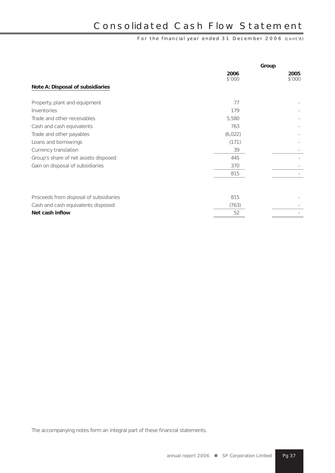For the financial year ended 31 December 2006 (cont'd)

|                                        | Group          |  |                |
|----------------------------------------|----------------|--|----------------|
|                                        | 2006<br>\$'000 |  | 2005<br>\$'000 |
| Note A: Disposal of subsidiaries       |                |  |                |
| Property, plant and equipment          | 77             |  |                |
| Inventories                            | 179            |  |                |
| Trade and other receivables            | 5,580          |  |                |
| Cash and cash equivalents              | 763            |  |                |
| Trade and other payables               | (6, 022)       |  |                |
| Loans and borrowings                   | (171)          |  |                |
| Currency translation                   | 39             |  |                |
| Group's share of net assets disposed   | 445            |  |                |
| Gain on disposal of subsidiaries       | 370            |  |                |
|                                        | 815            |  |                |
|                                        |                |  |                |
| Proceeds from disposal of subsidiaries | 815            |  |                |
| Cash and cash equivalents disposed     | (763)          |  |                |
| Net cash inflow                        | 52             |  |                |

The accompanying notes form an integral part of these financial statements.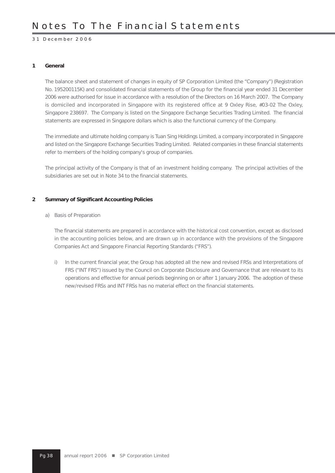## **1 General**

The balance sheet and statement of changes in equity of SP Corporation Limited (the "Company") (Registration No. 195200115K) and consolidated financial statements of the Group for the financial year ended 31 December 2006 were authorised for issue in accordance with a resolution of the Directors on 16 March 2007. The Company is domiciled and incorporated in Singapore with its registered office at 9 Oxley Rise, #03-02 The Oxley, Singapore 238697. The Company is listed on the Singapore Exchange Securities Trading Limited. The financial statements are expressed in Singapore dollars which is also the functional currency of the Company.

The immediate and ultimate holding company is Tuan Sing Holdings Limited, a company incorporated in Singapore and listed on the Singapore Exchange Securities Trading Limited. Related companies in these financial statements refer to members of the holding company's group of companies.

The principal activity of the Company is that of an investment holding company. The principal activities of the subsidiaries are set out in Note 34 to the financial statements.

## **2 Summary of Significant Accounting Policies**

a) Basis of Preparation

The financial statements are prepared in accordance with the historical cost convention, except as disclosed in the accounting policies below, and are drawn up in accordance with the provisions of the Singapore Companies Act and Singapore Financial Reporting Standards ("FRS").

i) In the current financial year, the Group has adopted all the new and revised FRSs and Interpretations of FRS ("INT FRS") issued by the Council on Corporate Disclosure and Governance that are relevant to its operations and effective for annual periods beginning on or after 1 January 2006. The adoption of these new/revised FRSs and INT FRSs has no material effect on the financial statements.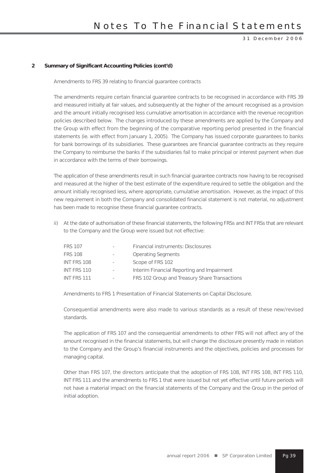## **2 Summary of Significant Accounting Policies (cont'd)**

#### *Amendments to FRS 39 relating to financial guarantee contracts*

The amendments require certain financial guarantee contracts to be recognised in accordance with FRS 39 and measured initially at fair values, and subsequently at the higher of the amount recognised as a provision and the amount initially recognised less cumulative amortisation in accordance with the revenue recognition policies described below. The changes introduced by these amendments are applied by the Company and the Group with effect from the beginning of the comparative reporting period presented in the financial statements (ie. with effect from January 1, 2005). The Company has issued corporate guarantees to banks for bank borrowings of its subsidiaries. These guarantees are financial guarantee contracts as they require the Company to reimburse the banks if the subsidiaries fail to make principal or interest payment when due in accordance with the terms of their borrowings.

The application of these amendments result in such financial guarantee contracts now having to be recognised and measured at the higher of the best estimate of the expenditure required to settle the obligation and the amount initially recognised less, where appropriate, cumulative amortisation. However, as the impact of this new requirement in both the Company and consolidated financial statement is not material, no adjustment has been made to recognise these financial guarantee contracts.

ii) At the date of authorisation of these financial statements, the following FRSs and INT FRSs that are relevant to the Company and the Group were issued but not effective:

| <b>FRS 108</b><br><b>Operating Segments</b>                            |  |
|------------------------------------------------------------------------|--|
|                                                                        |  |
| INT FRS 108<br>Scope of FRS 102<br>$\sim$                              |  |
| INT FRS 110<br>Interim Financial Reporting and Impairment<br>$\sim$    |  |
| INT FRS 111<br>FRS 102 Group and Treasury Share Transactions<br>$\sim$ |  |

Amendments to FRS 1 Presentation of Financial Statements on Capital Disclosure.

Consequential amendments were also made to various standards as a result of these new/revised standards.

The application of FRS 107 and the consequential amendments to other FRS will not affect any of the amount recognised in the financial statements, but will change the disclosure presently made in relation to the Company and the Group's financial instruments and the objectives, policies and processes for managing capital.

Other than FRS 107, the directors anticipate that the adoption of FRS 108, INT FRS 108, INT FRS 110, INT FRS 111 and the amendments to FRS 1 that were issued but not yet effective until future periods will not have a material impact on the financial statements of the Company and the Group in the period of initial adoption.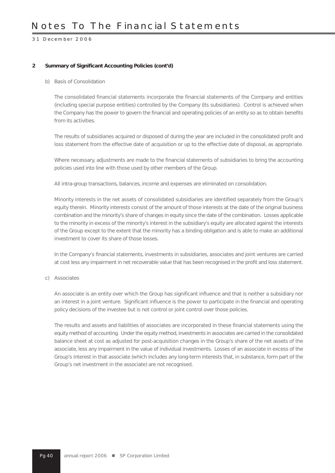#### 31 December 2006

## **2 Summary of Significant Accounting Policies (cont'd)**

b) Basis of Consolidation

The consolidated financial statements incorporate the financial statements of the Company and entities (including special purpose entities) controlled by the Company (its subsidiaries). Control is achieved when the Company has the power to govern the financial and operating policies of an entity so as to obtain benefits from its activities.

The results of subsidiaries acquired or disposed of during the year are included in the consolidated profit and loss statement from the effective date of acquisition or up to the effective date of disposal, as appropriate.

Where necessary, adjustments are made to the financial statements of subsidiaries to bring the accounting policies used into line with those used by other members of the Group.

All intra-group transactions, balances, income and expenses are eliminated on consolidation.

Minority interests in the net assets of consolidated subsidiaries are identified separately from the Group's equity therein. Minority interests consist of the amount of those interests at the date of the original business combination and the minority's share of changes in equity since the date of the combination. Losses applicable to the minority in excess of the minority's interest in the subsidiary's equity are allocated against the interests of the Group except to the extent that the minority has a binding obligation and is able to make an additional investment to cover its share of those losses.

In the Company's financial statements, investments in subsidiaries, associates and joint ventures are carried at cost less any impairment in net recoverable value that has been recognised in the profit and loss statement.

c) Associates

An associate is an entity over which the Group has significant influence and that is neither a subsidiary nor an interest in a joint venture. Significant influence is the power to participate in the financial and operating policy decisions of the investee but is not control or joint control over those policies.

The results and assets and liabilities of associates are incorporated in these financial statements using the equity method of accounting. Under the equity method, investments in associates are carried in the consolidated balance sheet at cost as adjusted for post-acquisition changes in the Group's share of the net assets of the associate, less any impairment in the value of individual investments. Losses of an associate in excess of the Group's interest in that associate (which includes any long-term interests that, in substance, form part of the Group's net investment in the associate) are not recognised.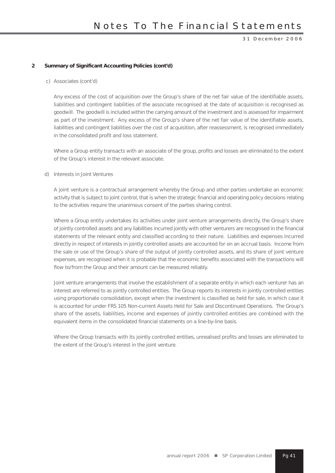## **2 Summary of Significant Accounting Policies (cont'd)**

### c) Associates (cont'd)

Any excess of the cost of acquisition over the Group's share of the net fair value of the identifiable assets, liabilities and contingent liabilities of the associate recognised at the date of acquisition is recognised as goodwill. The goodwill is included within the carrying amount of the investment and is assessed for impairment as part of the investment. Any excess of the Group's share of the net fair value of the identifiable assets, liabilities and contingent liabilities over the cost of acquisition, after reassessment, is recognised immediately in the consolidated profit and loss statement.

Where a Group entity transacts with an associate of the group, profits and losses are eliminated to the extent of the Group's interest in the relevant associate.

### d) Interests in Joint Ventures

A joint venture is a contractual arrangement whereby the Group and other parties undertake an economic activity that is subject to joint control, that is when the strategic financial and operating policy decisions relating to the activities require the unanimous consent of the parties sharing control.

Where a Group entity undertakes its activities under joint venture arrangements directly, the Group's share of jointly controlled assets and any liabilities incurred jointly with other venturers are recognised in the financial statements of the relevant entity and classified according to their nature. Liabilities and expenses incurred directly in respect of interests in jointly controlled assets are accounted for on an accrual basis. Income from the sale or use of the Group's share of the output of jointly controlled assets, and its share of joint venture expenses, are recognised when it is probable that the economic benefits associated with the transactions will flow to/from the Group and their amount can be measured reliably.

Joint venture arrangements that involve the establishment of a separate entity in which each venturer has an interest are referred to as jointly controlled entities. The Group reports its interests in jointly controlled entities using proportionate consolidation, except when the investment is classified as held for sale, in which case it is accounted for under *FRS 105 Non-current Assets Held for Sale and Discontinued Operations*. The Group's share of the assets, liabilities, income and expenses of jointly controlled entities are combined with the equivalent items in the consolidated financial statements on a line-by-line basis.

Where the Group transacts with its jointly controlled entities, unrealised profits and losses are eliminated to the extent of the Group's interest in the joint venture.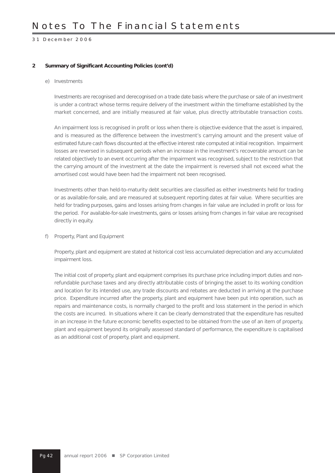## 31 December 2006

## **2 Summary of Significant Accounting Policies (cont'd)**

#### e) Investments

Investments are recognised and derecognised on a trade date basis where the purchase or sale of an investment is under a contract whose terms require delivery of the investment within the timeframe established by the market concerned, and are initially measured at fair value, plus directly attributable transaction costs.

An impairment loss is recognised in profit or loss when there is objective evidence that the asset is impaired, and is measured as the difference between the investment's carrying amount and the present value of estimated future cash flows discounted at the effective interest rate computed at initial recognition. Impairment losses are reversed in subsequent periods when an increase in the investment's recoverable amount can be related objectively to an event occurring after the impairment was recognised, subject to the restriction that the carrying amount of the investment at the date the impairment is reversed shall not exceed what the amortised cost would have been had the impairment not been recognised.

Investments other than held-to-maturity debt securities are classified as either investments held for trading or as available-for-sale, and are measured at subsequent reporting dates at fair value. Where securities are held for trading purposes, gains and losses arising from changes in fair value are included in profit or loss for the period. For available-for-sale investments, gains or losses arising from changes in fair value are recognised directly in equity.

f) Property, Plant and Equipment

Property, plant and equipment are stated at historical cost less accumulated depreciation and any accumulated impairment loss.

The initial cost of property, plant and equipment comprises its purchase price including import duties and nonrefundable purchase taxes and any directly attributable costs of bringing the asset to its working condition and location for its intended use, any trade discounts and rebates are deducted in arriving at the purchase price. Expenditure incurred after the property, plant and equipment have been put into operation, such as repairs and maintenance costs, is normally charged to the profit and loss statement in the period in which the costs are incurred. In situations where it can be clearly demonstrated that the expenditure has resulted in an increase in the future economic benefits expected to be obtained from the use of an item of property, plant and equipment beyond its originally assessed standard of performance, the expenditure is capitalised as an additional cost of property, plant and equipment.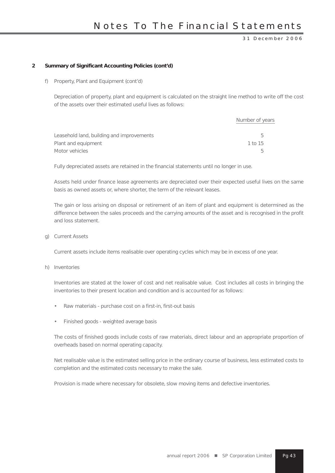## **2 Summary of Significant Accounting Policies (cont'd)**

f) Property, Plant and Equipment (cont'd)

Depreciation of property, plant and equipment is calculated on the straight line method to write off the cost of the assets over their estimated useful lives as follows:

|                                           | Number of years |
|-------------------------------------------|-----------------|
|                                           |                 |
| Leasehold land, building and improvements | h               |
| Plant and equipment                       | 1 to 15         |
| Motor vehicles                            | $\overline{a}$  |

Fully depreciated assets are retained in the financial statements until no longer in use.

Assets held under finance lease agreements are depreciated over their expected useful lives on the same basis as owned assets or, where shorter, the term of the relevant leases.

The gain or loss arising on disposal or retirement of an item of plant and equipment is determined as the difference between the sales proceeds and the carrying amounts of the asset and is recognised in the profit and loss statement.

g) Current Assets

Current assets include items realisable over operating cycles which may be in excess of one year.

h) Inventories

Inventories are stated at the lower of cost and net realisable value. Cost includes all costs in bringing the inventories to their present location and condition and is accounted for as follows:

- Raw materials purchase cost on a first-in, first-out basis
- Finished goods weighted average basis

The costs of finished goods include costs of raw materials, direct labour and an appropriate proportion of overheads based on normal operating capacity.

Net realisable value is the estimated selling price in the ordinary course of business, less estimated costs to completion and the estimated costs necessary to make the sale.

Provision is made where necessary for obsolete, slow moving items and defective inventories.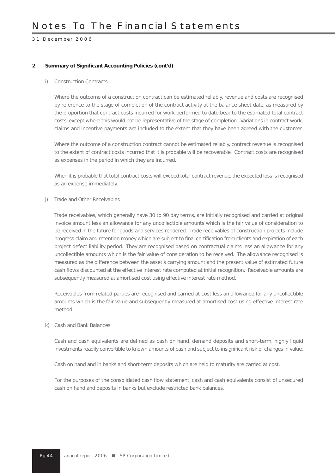#### 31 December 2006

## **2 Summary of Significant Accounting Policies (cont'd)**

#### i) Construction Contracts

Where the outcome of a construction contract can be estimated reliably, revenue and costs are recognised by reference to the stage of completion of the contract activity at the balance sheet date, as measured by the proportion that contract costs incurred for work performed to date bear to the estimated total contract costs, except where this would not be representative of the stage of completion. Variations in contract work, claims and incentive payments are included to the extent that they have been agreed with the customer.

Where the outcome of a construction contract cannot be estimated reliably, contract revenue is recognised to the extent of contract costs incurred that it is probable will be recoverable. Contract costs are recognised as expenses in the period in which they are incurred.

When it is probable that total contract costs will exceed total contract revenue, the expected loss is recognised as an expense immediately.

j) Trade and Other Receivables

Trade receivables, which generally have 30 to 90 day terms, are initially recognised and carried at original invoice amount less an allowance for any uncollectible amounts which is the fair value of consideration to be received in the future for goods and services rendered. Trade receivables of construction projects include progress claim and retention money which are subject to final certification from clients and expiration of each project defect liability period. They are recognised based on contractual claims less an allowance for any uncollectible amounts which is the fair value of consideration to be received. The allowance recognised is measured as the difference between the asset's carrying amount and the present value of estimated future cash flows discounted at the effective interest rate computed at initial recognition. Receivable amounts are subsequently measured at amortised cost using effective interest rate method.

Receivables from related parties are recognised and carried at cost less an allowance for any uncollectible amounts which is the fair value and subsequently measured at amortised cost using effective interest rate method.

k) Cash and Bank Balances

Cash and cash equivalents are defined as cash on hand, demand deposits and short-term, highly liquid investments readily convertible to known amounts of cash and subject to insignificant risk of changes in value.

Cash on hand and in banks and short-term deposits which are held to maturity are carried at cost.

For the purposes of the consolidated cash flow statement, cash and cash equivalents consist of unsecured cash on hand and deposits in banks but exclude restricted bank balances.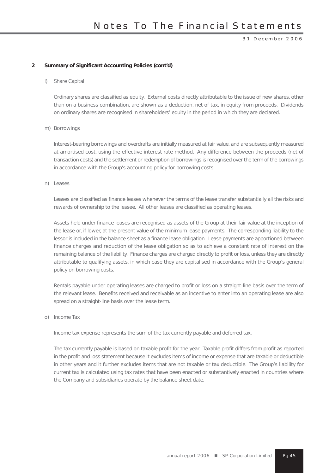## **2 Summary of Significant Accounting Policies (cont'd)**

#### l) Share Capital

Ordinary shares are classified as equity. External costs directly attributable to the issue of new shares, other than on a business combination, are shown as a deduction, net of tax, in equity from proceeds. Dividends on ordinary shares are recognised in shareholders' equity in the period in which they are declared.

#### m) Borrowings

Interest-bearing borrowings and overdrafts are initially measured at fair value, and are subsequently measured at amortised cost, using the effective interest rate method. Any difference between the proceeds (net of transaction costs) and the settlement or redemption of borrowings is recognised over the term of the borrowings in accordance with the Group's accounting policy for borrowing costs.

### n) Leases

Leases are classified as finance leases whenever the terms of the lease transfer substantially all the risks and rewards of ownership to the lessee. All other leases are classified as operating leases.

Assets held under finance leases are recognised as assets of the Group at their fair value at the inception of the lease or, if lower, at the present value of the minimum lease payments. The corresponding liability to the lessor is included in the balance sheet as a finance lease obligation. Lease payments are apportioned between finance charges and reduction of the lease obligation so as to achieve a constant rate of interest on the remaining balance of the liability. Finance charges are charged directly to profit or loss, unless they are directly attributable to qualifying assets, in which case they are capitalised in accordance with the Group's general policy on borrowing costs.

Rentals payable under operating leases are charged to profit or loss on a straight-line basis over the term of the relevant lease. Benefits received and receivable as an incentive to enter into an operating lease are also spread on a straight-line basis over the lease term.

#### o) Income Tax

Income tax expense represents the sum of the tax currently payable and deferred tax.

The tax currently payable is based on taxable profit for the year. Taxable profit differs from profit as reported in the profit and loss statement because it excludes items of income or expense that are taxable or deductible in other years and it further excludes items that are not taxable or tax deductible. The Group's liability for current tax is calculated using tax rates that have been enacted or substantively enacted in countries where the Company and subsidiaries operate by the balance sheet date.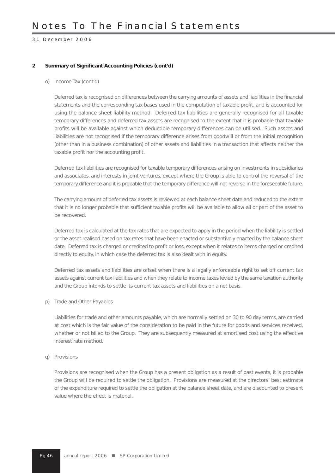## 31 December 2006

## **2 Summary of Significant Accounting Policies (cont'd)**

o) Income Tax (cont'd)

Deferred tax is recognised on differences between the carrying amounts of assets and liabilities in the financial statements and the corresponding tax bases used in the computation of taxable profit, and is accounted for using the balance sheet liability method. Deferred tax liabilities are generally recognised for all taxable temporary differences and deferred tax assets are recognised to the extent that it is probable that taxable profits will be available against which deductible temporary differences can be utilised. Such assets and liabilities are not recognised if the temporary difference arises from goodwill or from the initial recognition (other than in a business combination) of other assets and liabilities in a transaction that affects neither the taxable profit nor the accounting profit.

Deferred tax liabilities are recognised for taxable temporary differences arising on investments in subsidiaries and associates, and interests in joint ventures, except where the Group is able to control the reversal of the temporary difference and it is probable that the temporary difference will not reverse in the foreseeable future.

The carrying amount of deferred tax assets is reviewed at each balance sheet date and reduced to the extent that it is no longer probable that sufficient taxable profits will be available to allow all or part of the asset to be recovered.

Deferred tax is calculated at the tax rates that are expected to apply in the period when the liability is settled or the asset realised based on tax rates that have been enacted or substantively enacted by the balance sheet date. Deferred tax is charged or credited to profit or loss, except when it relates to items charged or credited directly to equity, in which case the deferred tax is also dealt with in equity.

Deferred tax assets and liabilities are offset when there is a legally enforceable right to set off current tax assets against current tax liabilities and when they relate to income taxes levied by the same taxation authority and the Group intends to settle its current tax assets and liabilities on a net basis.

p) Trade and Other Payables

Liabilities for trade and other amounts payable, which are normally settled on 30 to 90 day terms, are carried at cost which is the fair value of the consideration to be paid in the future for goods and services received, whether or not billed to the Group. They are subsequently measured at amortised cost using the effective interest rate method.

q) Provisions

Provisions are recognised when the Group has a present obligation as a result of past events, it is probable the Group will be required to settle the obligation. Provisions are measured at the directors' best estimate of the expenditure required to settle the obligation at the balance sheet date, and are discounted to present value where the effect is material.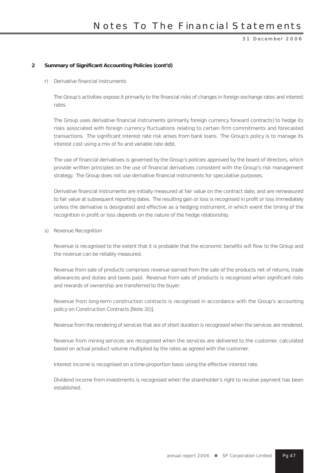## **2 Summary of Significant Accounting Policies (cont'd)**

r) Derivative financial instruments

The Group's activities expose it primarily to the financial risks of changes in foreign exchange rates and interest rates.

The Group uses derivative financial instruments (primarily foreign currency forward contracts) to hedge its risks associated with foreign currency fluctuations relating to certain firm commitments and forecasted transactions. The significant interest rate risk arises from bank loans. The Group's policy is to manage its interest cost using a mix of fix and variable rate debt.

The use of financial derivatives is governed by the Group's policies approved by the board of directors, which provide written principles on the use of financial derivatives consistent with the Group's risk management strategy. The Group does not use derivative financial instruments for speculative purposes.

Derivative financial instruments are initially measured at fair value on the contract date, and are remeasured to fair value at subsequent reporting dates. The resulting gain or loss is recognised in profit or loss immediately unless the derivative is designated and effective as a hedging instrument, in which event the timing of the recognition in profit or loss depends on the nature of the hedge relationship.

s) Revenue Recognition

Revenue is recognised to the extent that it is probable that the economic benefits will flow to the Group and the revenue can be reliably measured.

Revenue from sale of products comprises revenue earned from the sale of the products net of returns, trade allowances and duties and taxes paid. Revenue from sale of products is recognised when significant risks and rewards of ownership are transferred to the buyer.

Revenue from long-term construction contracts is recognised in accordance with the Group's accounting policy on Construction Contracts [Note 2(i)].

Revenue from the rendering of services that are of short duration is recognised when the services are rendered.

Revenue from mining services are recognised when the services are delivered to the customer, calculated based on actual product volume multiplied by the rates as agreed with the customer.

Interest income is recognised on a time-proportion basis using the effective interest rate.

Dividend income from investments is recognised when the shareholder's right to receive payment has been established.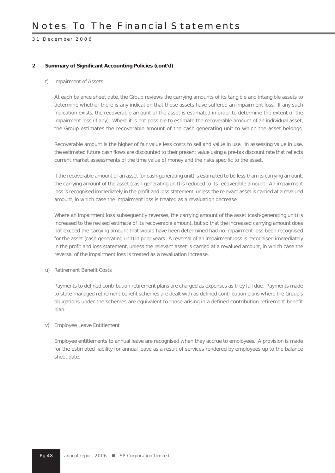#### 31 December 2006

### **2 Summary of Significant Accounting Policies (cont'd)**

#### t) Impairment of Assets

At each balance sheet date, the Group reviews the carrying amounts of its tangible and intangible assets to determine whether there is any indication that those assets have suffered an impairment loss. If any such indication exists, the recoverable amount of the asset is estimated in order to determine the extent of the impairment loss (if any). Where it is not possible to estimate the recoverable amount of an individual asset, the Group estimates the recoverable amount of the cash-generating unit to which the asset belongs.

Recoverable amount is the higher of fair value less costs to sell and value in use. In assessing value in use, the estimated future cash flows are discounted to their present value using a pre-tax discount rate that reflects current market assessments of the time value of money and the risks specific to the asset.

If the recoverable amount of an asset (or cash-generating unit) is estimated to be less than its carrying amount, the carrying amount of the asset (cash-generating unit) is reduced to its recoverable amount. An impairment loss is recognised immediately in the profit and loss statement, unless the relevant asset is carried at a revalued amount, in which case the impairment loss is treated as a revaluation decrease.

Where an impairment loss subsequently reverses, the carrying amount of the asset (cash-generating unit) is increased to the revised estimate of its recoverable amount, but so that the increased carrying amount does not exceed the carrying amount that would have been determined had no impairment loss been recognised for the asset (cash-generating unit) in prior years. A reversal of an impairment loss is recognised immediately in the profit and loss statement, unless the relevant asset is carried at a revalued amount, in which case the reversal of the impairment loss is treated as a revaluation increase.

u) Retirement Benefit Costs

Payments to defined contribution retirement plans are charged as expenses as they fall due. Payments made to state-managed retirement benefit schemes are dealt with as defined contribution plans where the Group's obligations under the schemes are equivalent to those arising in a defined contribution retirement benefit plan.

#### v) Employee Leave Entitlement

Employee entitlements to annual leave are recognised when they accrue to employees. A provision is made for the estimated liability for annual leave as a result of services rendered by employees up to the balance sheet date.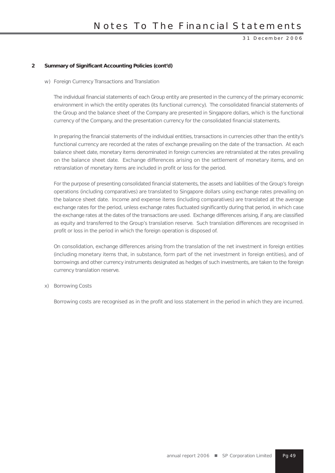## **2 Summary of Significant Accounting Policies (cont'd)**

w) Foreign Currency Transactions and Translation

The individual financial statements of each Group entity are presented in the currency of the primary economic environment in which the entity operates (its functional currency). The consolidated financial statements of the Group and the balance sheet of the Company are presented in Singapore dollars, which is the functional currency of the Company, and the presentation currency for the consolidated financial statements.

In preparing the financial statements of the individual entities, transactions in currencies other than the entity's functional currency are recorded at the rates of exchange prevailing on the date of the transaction. At each balance sheet date, monetary items denominated in foreign currencies are retranslated at the rates prevailing on the balance sheet date. Exchange differences arising on the settlement of monetary items, and on retranslation of monetary items are included in profit or loss for the period.

For the purpose of presenting consolidated financial statements, the assets and liabilities of the Group's foreign operations (including comparatives) are translated to Singapore dollars using exchange rates prevailing on the balance sheet date. Income and expense items (including comparatives) are translated at the average exchange rates for the period, unless exchange rates fluctuated significantly during that period, in which case the exchange rates at the dates of the transactions are used. Exchange differences arising, if any, are classified as equity and transferred to the Group's translation reserve. Such translation differences are recognised in profit or loss in the period in which the foreign operation is disposed of.

On consolidation, exchange differences arising from the translation of the net investment in foreign entities (including monetary items that, in substance, form part of the net investment in foreign entities), and of borrowings and other currency instruments designated as hedges of such investments, are taken to the foreign currency translation reserve.

x) Borrowing Costs

Borrowing costs are recognised as in the profit and loss statement in the period in which they are incurred.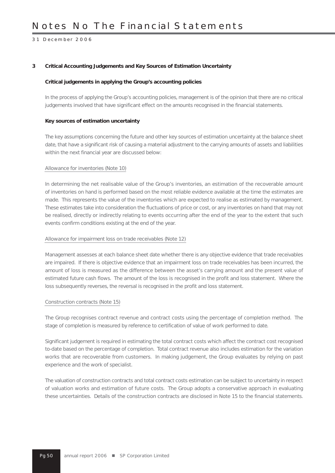## **3 Critical Accounting Judgements and Key Sources of Estimation Uncertainty**

#### *Critical judgements in applying the Group's accounting policies*

In the process of applying the Group's accounting policies, management is of the opinion that there are no critical judgements involved that have significant effect on the amounts recognised in the financial statements.

### *Key sources of estimation uncertainty*

The key assumptions concerning the future and other key sources of estimation uncertainty at the balance sheet date, that have a significant risk of causing a material adjustment to the carrying amounts of assets and liabilities within the next financial year are discussed below:

### Allowance for inventories (Note 10)

In determining the net realisable value of the Group's inventories, an estimation of the recoverable amount of inventories on hand is performed based on the most reliable evidence available at the time the estimates are made. This represents the value of the inventories which are expected to realise as estimated by management. These estimates take into consideration the fluctuations of price or cost, or any inventories on hand that may not be realised, directly or indirectly relating to events occurring after the end of the year to the extent that such events confirm conditions existing at the end of the year.

#### Allowance for impairment loss on trade receivables (Note 12)

Management assesses at each balance sheet date whether there is any objective evidence that trade receivables are impaired. If there is objective evidence that an impairment loss on trade receivables has been incurred, the amount of loss is measured as the difference between the asset's carrying amount and the present value of estimated future cash flows. The amount of the loss is recognised in the profit and loss statement. Where the loss subsequently reverses, the reversal is recognised in the profit and loss statement.

#### Construction contracts (Note 15)

The Group recognises contract revenue and contract costs using the percentage of completion method. The stage of completion is measured by reference to certification of value of work performed to date.

Significant judgement is required in estimating the total contract costs which affect the contract cost recognised to-date based on the percentage of completion. Total contract revenue also includes estimation for the variation works that are recoverable from customers. In making judgement, the Group evaluates by relying on past experience and the work of specialist.

The valuation of construction contracts and total contract costs estimation can be subject to uncertainty in respect of valuation works and estimation of future costs. The Group adopts a conservative approach in evaluating these uncertainties. Details of the construction contracts are disclosed in Note 15 to the financial statements.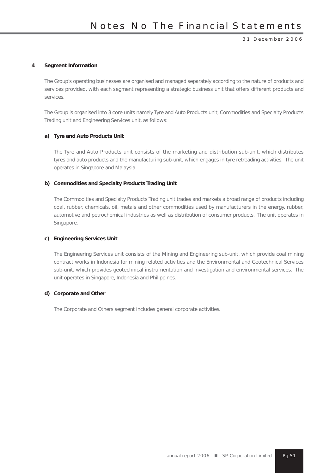## **4 Segment Information**

The Group's operating businesses are organised and managed separately according to the nature of products and services provided, with each segment representing a strategic business unit that offers different products and services.

The Group is organised into 3 core units namely Tyre and Auto Products unit, Commodities and Specialty Products Trading unit and Engineering Services unit, as follows:

## **a) Tyre and Auto Products Unit**

The Tyre and Auto Products unit consists of the marketing and distribution sub-unit, which distributes tyres and auto products and the manufacturing sub-unit, which engages in tyre retreading activities. The unit operates in Singapore and Malaysia.

## **b) Commodities and Specialty Products Trading Unit**

The Commodities and Specialty Products Trading unit trades and markets a broad range of products including coal, rubber, chemicals, oil, metals and other commodities used by manufacturers in the energy, rubber, automotive and petrochemical industries as well as distribution of consumer products. The unit operates in Singapore.

## **c) Engineering Services Unit**

The Engineering Services unit consists of the Mining and Engineering sub-unit, which provide coal mining contract works in Indonesia for mining related activities and the Environmental and Geotechnical Services sub-unit, which provides geotechnical instrumentation and investigation and environmental services. The unit operates in Singapore, Indonesia and Philippines.

## **d) Corporate and Other**

The Corporate and Others segment includes general corporate activities.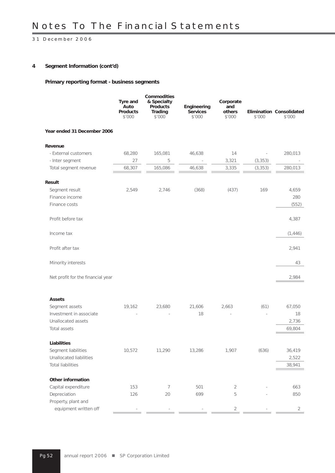## **4 Segment Information (cont'd)**

## **Primary reporting format - business segments**

|                                   | Tyre and<br>Auto<br><b>Products</b><br>\$'000 | Commodities<br>& Specialty<br><b>Products</b><br>Trading<br>\$'000 | Engineering<br><b>Services</b><br>\$'000 | Corporate<br>and<br>others<br>\$'000 | \$'000   | Elimination Consolidated<br>\$'000 |
|-----------------------------------|-----------------------------------------------|--------------------------------------------------------------------|------------------------------------------|--------------------------------------|----------|------------------------------------|
| Year ended 31 December 2006       |                                               |                                                                    |                                          |                                      |          |                                    |
| Revenue                           |                                               |                                                                    |                                          |                                      |          |                                    |
| - External customers              | 68,280                                        | 165,081                                                            | 46,638                                   | 14                                   | ÷,       | 280,013                            |
| - Inter segment                   | 27                                            | 5                                                                  |                                          | 3,321                                | (3, 353) |                                    |
| Total segment revenue             | 68,307                                        | 165,086                                                            | 46,638                                   | 3,335                                | (3, 353) | 280,013                            |
| Result                            |                                               |                                                                    |                                          |                                      |          |                                    |
| Segment result                    | 2,549                                         | 2,746                                                              | (368)                                    | (437)                                | 169      | 4,659                              |
| Finance income                    |                                               |                                                                    |                                          |                                      |          | 280                                |
| Finance costs                     |                                               |                                                                    |                                          |                                      |          | (552)                              |
| Profit before tax                 |                                               |                                                                    |                                          |                                      |          | 4,387                              |
| Income tax                        |                                               |                                                                    |                                          |                                      |          | (1,446)                            |
| Profit after tax                  |                                               |                                                                    |                                          |                                      |          | 2,941                              |
| Minority interests                |                                               |                                                                    |                                          |                                      |          | 43                                 |
| Net profit for the financial year |                                               |                                                                    |                                          |                                      |          | 2,984                              |
| <b>Assets</b>                     |                                               |                                                                    |                                          |                                      |          |                                    |
| Segment assets                    | 19,162                                        | 23,680                                                             | 21,606                                   | 2,663                                | (61)     | 67,050                             |
| Investment in associate           |                                               |                                                                    | 18                                       |                                      |          | 18                                 |
| Unallocated assets                |                                               |                                                                    |                                          |                                      |          | 2,736                              |
| Total assets                      |                                               |                                                                    |                                          |                                      |          | 69,804                             |
| Liabilities                       |                                               |                                                                    |                                          |                                      |          |                                    |
| Segment liabilities               | 10,572                                        | 11,290                                                             | 13,286                                   | 1,907                                | (636)    | 36,419                             |
| Unallocated liabilities           |                                               |                                                                    |                                          |                                      |          | 2,522                              |
| <b>Total liabilities</b>          |                                               |                                                                    |                                          |                                      |          | 38,941                             |
| Other information                 |                                               |                                                                    |                                          |                                      |          |                                    |
| Capital expenditure               | 153                                           | 7                                                                  | 501                                      | 2                                    |          | 663                                |
| Depreciation                      | 126                                           | $20\,$                                                             | 699                                      | 5                                    |          | 850                                |
| Property, plant and               |                                               |                                                                    |                                          |                                      |          |                                    |
| equipment written off             |                                               |                                                                    |                                          | 2                                    |          | 2                                  |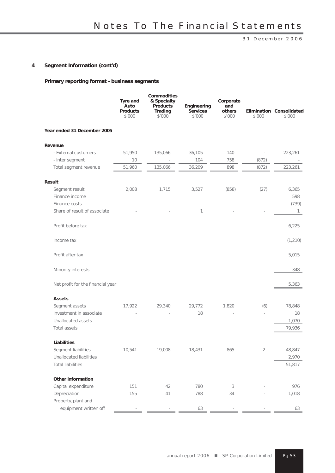# **4 Segment Information (cont'd)**

## **Primary reporting format - business segments**

|                                   | Tyre and<br>Auto<br><b>Products</b><br>\$'000 | Commodities<br>& Specialty<br><b>Products</b><br>Trading<br>\$'000 | Engineering<br><b>Services</b><br>\$'000 | Corporate<br>and<br>others<br>\$'000 | \$'000                   | Elimination Consolidated<br>\$'000 |
|-----------------------------------|-----------------------------------------------|--------------------------------------------------------------------|------------------------------------------|--------------------------------------|--------------------------|------------------------------------|
| Year ended 31 December 2005       |                                               |                                                                    |                                          |                                      |                          |                                    |
| Revenue                           |                                               |                                                                    |                                          |                                      |                          |                                    |
| - External customers              | 51,950                                        | 135,066                                                            | 36,105                                   | 140                                  | $\overline{\phantom{a}}$ | 223,261                            |
| - Inter segment                   | 10                                            |                                                                    | 104                                      | 758                                  | (872)                    |                                    |
| Total segment revenue             | 51,960                                        | 135,066                                                            | 36,209                                   | 898                                  | (872)                    | 223,261                            |
| Result                            |                                               |                                                                    |                                          |                                      |                          |                                    |
| Segment result                    | 2,008                                         | 1,715                                                              | 3,527                                    | (858)                                | (27)                     | 6,365                              |
| Finance income                    |                                               |                                                                    |                                          |                                      |                          | 598                                |
| Finance costs                     |                                               |                                                                    |                                          |                                      |                          | (739)                              |
| Share of result of associate      |                                               |                                                                    | 1                                        |                                      |                          | $\mathbb{1}$                       |
| Profit before tax                 |                                               |                                                                    |                                          |                                      |                          | 6,225                              |
| Income tax                        |                                               |                                                                    |                                          |                                      |                          | (1, 210)                           |
| Profit after tax                  |                                               |                                                                    |                                          |                                      |                          | 5,015                              |
| Minority interests                |                                               |                                                                    |                                          |                                      |                          | 348                                |
| Net profit for the financial year |                                               |                                                                    |                                          |                                      |                          | 5,363                              |
| <b>Assets</b>                     |                                               |                                                                    |                                          |                                      |                          |                                    |
| Segment assets                    | 17,922                                        | 29,340                                                             | 29,772                                   | 1,820                                | (6)                      | 78,848                             |
| Investment in associate           |                                               |                                                                    | 18                                       |                                      |                          | 18                                 |
| Unallocated assets                |                                               |                                                                    |                                          |                                      |                          | 1,070                              |
| Total assets                      |                                               |                                                                    |                                          |                                      |                          | 79,936                             |
| Liabilities                       |                                               |                                                                    |                                          |                                      |                          |                                    |
| Segment liabilities               | 10,541                                        | 19,008                                                             | 18,431                                   | 865                                  | $\overline{2}$           | 48,847                             |
| Unallocated liabilities           |                                               |                                                                    |                                          |                                      |                          | 2,970                              |
| <b>Total liabilities</b>          |                                               |                                                                    |                                          |                                      |                          | 51,817                             |
| Other information                 |                                               |                                                                    |                                          |                                      |                          |                                    |
| Capital expenditure               | 151                                           | 42                                                                 | 780                                      | 3                                    |                          | 976                                |
| Depreciation                      | 155                                           | 41                                                                 | 788                                      | 34                                   |                          | 1,018                              |
| Property, plant and               |                                               |                                                                    |                                          |                                      |                          |                                    |
| equipment written off             |                                               |                                                                    | 63                                       |                                      |                          | 63                                 |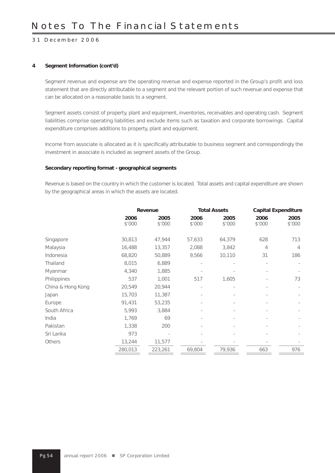# 31 December 2006

## **4 Segment Information (cont'd)**

Segment revenue and expense are the operating revenue and expense reported in the Group's profit and loss statement that are directly attributable to a segment and the relevant portion of such revenue and expense that can be allocated on a reasonable basis to a segment.

Segment assets consist of property, plant and equipment, inventories, receivables and operating cash. Segment liabilities comprise operating liabilities and exclude items such as taxation and corporate borrowings. Capital expenditure comprises additions to property, plant and equipment.

Income from associate is allocated as it is specifically attributable to business segment and correspondingly the investment in associate is included as segment assets of the Group.

#### **Secondary reporting format - geographical segments**

Revenue is based on the country in which the customer is located. Total assets and capital expenditure are shown by the geographical areas in which the assets are located.

|                   |                | Revenue        |                | <b>Total Assets</b> |                | <b>Capital Expenditure</b> |  |
|-------------------|----------------|----------------|----------------|---------------------|----------------|----------------------------|--|
|                   | 2006<br>\$'000 | 2005<br>\$'000 | 2006<br>\$'000 | 2005<br>\$'000      | 2006<br>\$'000 | 2005<br>\$'000             |  |
| Singapore         | 30,813         | 47,944         | 57,633         | 64,379              | 628            | 713                        |  |
| Malaysia          | 16,488         | 13,357         | 2,088          | 3,842               | 4              | 4                          |  |
| Indonesia         | 68,820         | 50,889         | 9,566          | 10,110              | 31             | 186                        |  |
| Thailand          | 8,015          | 6,889          |                |                     |                |                            |  |
| Myanmar           | 4,340          | 1,885          |                |                     |                |                            |  |
| Philippines       | 537            | 1,001          | 517            | 1,605               |                | 73                         |  |
| China & Hong Kong | 20,549         | 20,944         |                |                     |                |                            |  |
| Japan             | 15,703         | 11,387         |                |                     |                |                            |  |
| Europe            | 91,431         | 53,235         |                |                     |                |                            |  |
| South Africa      | 5,993          | 3,884          |                |                     |                |                            |  |
| India             | 1,769          | 69             |                |                     |                |                            |  |
| Pakistan          | 1,338          | 200            |                |                     |                |                            |  |
| Sri Lanka         | 973            |                |                |                     |                |                            |  |
| Others            | 13,244         | 11,577         |                |                     |                |                            |  |
|                   | 280,013        | 223,261        | 69,804         | 79,936              | 663            | 976                        |  |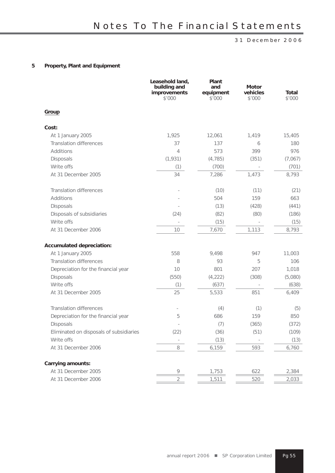# **5 Property, Plant and Equipment**

|                                         | Leasehold land,<br>building and<br>improvements<br>\$'000 | Plant<br>and<br>equipment<br>\$'000 | Motor<br>vehicles<br>\$'000 | Total<br>\$'000 |
|-----------------------------------------|-----------------------------------------------------------|-------------------------------------|-----------------------------|-----------------|
| Group                                   |                                                           |                                     |                             |                 |
| Cost:                                   |                                                           |                                     |                             |                 |
| At 1 January 2005                       | 1,925                                                     | 12,061                              | 1,419                       | 15,405          |
| <b>Translation differences</b>          | 37                                                        | 137                                 | 6                           | 180             |
| Additions                               | $\overline{4}$                                            | 573                                 | 399                         | 976             |
| Disposals                               | (1,931)                                                   | (4, 785)                            | (351)                       | (7,067)         |
| Write offs                              | (1)                                                       | (700)                               |                             | (701)           |
| At 31 December 2005                     | 34                                                        | 7,286                               | 1,473                       | 8,793           |
| <b>Translation differences</b>          |                                                           | (10)                                | (11)                        | (21)            |
| Additions                               |                                                           | 504                                 | 159                         | 663             |
| Disposals                               |                                                           | (13)                                | (428)                       | (441)           |
| Disposals of subsidiaries               | (24)                                                      | (82)                                | (80)                        | (186)           |
| Write offs                              |                                                           | (15)                                |                             | (15)            |
| At 31 December 2006                     | 10                                                        | 7,670                               | 1,113                       | 8,793           |
| Accumulated depreciation:               |                                                           |                                     |                             |                 |
| At 1 January 2005                       | 558                                                       | 9,498                               | 947                         | 11,003          |
| <b>Translation differences</b>          | 8                                                         | 93                                  | 5                           | 106             |
| Depreciation for the financial year     | 10                                                        | 801                                 | 207                         | 1,018           |
| Disposals                               | (550)                                                     | (4, 222)                            | (308)                       | (5,080)         |
| Write offs                              | (1)                                                       | (637)                               |                             | (638)           |
| At 31 December 2005                     | 25                                                        | 5,533                               | 851                         | 6,409           |
| <b>Translation differences</b>          |                                                           | (4)                                 | (1)                         | (5)             |
| Depreciation for the financial year     | 5                                                         | 686                                 | 159                         | 850             |
| Disposals                               |                                                           | (7)                                 | (365)                       | (372)           |
| Eliminated on disposals of subsidiaries | (22)                                                      | (36)                                | (51)                        | (109)           |
| Write offs                              |                                                           | (13)                                |                             | (13)            |
| At 31 December 2006                     | 8                                                         | 6,159                               | 593                         | 6,760           |
| Carrying amounts:                       |                                                           |                                     |                             |                 |
| At 31 December 2005                     | 9                                                         | 1,753                               | 622                         | 2,384           |
| At 31 December 2006                     | $\overline{2}$                                            | 1,511                               | 520                         | 2,033           |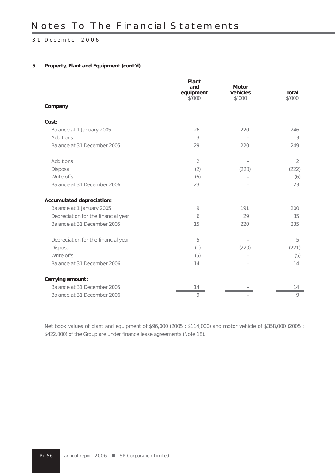# **5 Property, Plant and Equipment (cont'd)**

|                                     | Plant<br>and<br>equipment<br>\$'000 | Motor<br><b>Vehicles</b><br>\$'000 | <b>Total</b><br>\$'000 |
|-------------------------------------|-------------------------------------|------------------------------------|------------------------|
| Company                             |                                     |                                    |                        |
| Cost:                               |                                     |                                    |                        |
| Balance at 1 January 2005           | 26                                  | 220                                | 246                    |
| <b>Additions</b>                    | 3                                   |                                    | 3                      |
| Balance at 31 December 2005         | 29                                  | 220                                | 249                    |
| Additions                           | $\overline{2}$                      |                                    | 2                      |
| Disposal                            | (2)                                 | (220)                              | (222)                  |
| Write offs                          | (6)                                 |                                    | (6)                    |
| Balance at 31 December 2006         | 23                                  |                                    | 23                     |
| Accumulated depreciation:           |                                     |                                    |                        |
| Balance at 1 January 2005           | 9                                   | 191                                | 200                    |
| Depreciation for the financial year | 6                                   | 29                                 | 35                     |
| Balance at 31 December 2005         | 15                                  | 220                                | 235                    |
| Depreciation for the financial year | 5                                   |                                    | 5                      |
| Disposal                            | (1)                                 | (220)                              | (221)                  |
| Write offs                          | (5)                                 |                                    | (5)                    |
| Balance at 31 December 2006         | 14                                  |                                    | 14                     |
| Carrying amount:                    |                                     |                                    |                        |
| Balance at 31 December 2005         | 14                                  |                                    | 14                     |
| Balance at 31 December 2006         | 9                                   |                                    | 9                      |

Net book values of plant and equipment of \$96,000 (2005 : \$114,000) and motor vehicle of \$358,000 (2005 : \$422,000) of the Group are under finance lease agreements (Note 18).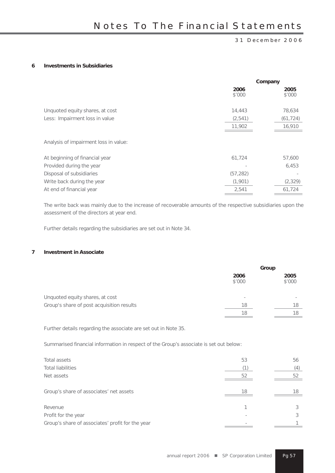# **6 Investments in Subsidiaries**

|                                       | Company        |                |
|---------------------------------------|----------------|----------------|
|                                       | 2006<br>\$'000 | 2005<br>\$'000 |
| Unquoted equity shares, at cost       | 14,443         | 78,634         |
| Less: Impairment loss in value        | (2, 541)       | (61, 724)      |
|                                       | 11,902         | 16,910         |
| Analysis of impairment loss in value: |                |                |
| At beginning of financial year        | 61,724         | 57,600         |
| Provided during the year              |                | 6,453          |
| Disposal of subsidiaries              | (57, 282)      |                |
| Write back during the year            | (1,901)        | (2, 329)       |
| At end of financial year              | 2,541          | 61,724         |

The write back was mainly due to the increase of recoverable amounts of the respective subsidiaries upon the assessment of the directors at year end.

Further details regarding the subsidiaries are set out in Note 34.

## **7 Investment in Associate**

|                                           | Group                    |                |
|-------------------------------------------|--------------------------|----------------|
|                                           | 2006<br>\$'000           | 2005<br>\$'000 |
| Unquoted equity shares, at cost           | $\overline{\phantom{a}}$ |                |
| Group's share of post acquisition results | 18                       | 18             |
|                                           | 18                       | 18             |

Further details regarding the associate are set out in Note 35.

Summarised financial information in respect of the Group's associate is set out below:

| Total assets                                     | 53 | 56  |
|--------------------------------------------------|----|-----|
| <b>Total liabilities</b>                         |    | (4) |
| Net assets                                       | 52 | 52  |
|                                                  |    |     |
| Group's share of associates' net assets          | 18 | 18  |
|                                                  |    |     |
| Revenue                                          |    |     |
| Profit for the year                              |    |     |
| Group's share of associates' profit for the year |    |     |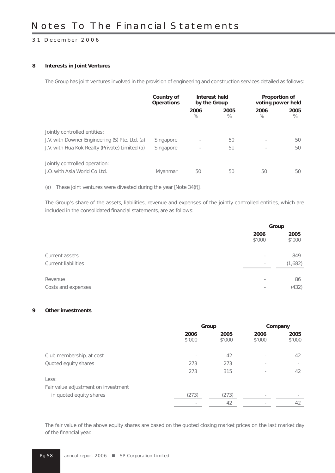# **8 Interests in Joint Ventures**

The Group has joint ventures involved in the provision of engineering and construction services detailed as follows:

|                                                | Interest held<br>Country of<br><b>Operations</b><br>by the Group |              |                       | Proportion of<br>voting power held |                       |
|------------------------------------------------|------------------------------------------------------------------|--------------|-----------------------|------------------------------------|-----------------------|
|                                                |                                                                  | 2006<br>$\%$ | 2005<br>$\frac{0}{0}$ | 2006<br>$\%$                       | 2005<br>$\frac{0}{0}$ |
| Jointly controlled entities:                   |                                                                  |              |                       |                                    |                       |
| J.V. with Downer Engineering (S) Pte. Ltd. (a) | Singapore                                                        | ۰            | 50                    | $\overline{\phantom{a}}$           | 50                    |
| J.V. with Hua Kok Realty (Private) Limited (a) | Singapore                                                        | ٠            | 51                    |                                    | 50                    |
| Jointly controlled operation:                  |                                                                  |              |                       |                                    |                       |
| J.O. with Asia World Co Ltd.                   | Myanmar                                                          | 50           | 50                    | 50                                 | 50                    |

(a) These joint ventures were divested during the year [Note 34(f)].

The Group's share of the assets, liabilities, revenue and expenses of the jointly controlled entities, which are included in the consolidated financial statements, are as follows:

|                            |                | Group          |  |
|----------------------------|----------------|----------------|--|
|                            | 2006<br>\$'000 | 2005<br>\$'000 |  |
| Current assets             |                | 849            |  |
| <b>Current liabilities</b> | $\sim$         | (1,682)        |  |
| Revenue                    |                | 86             |  |
| Costs and expenses         | $\sim$         | (432)          |  |

## **9 Other investments**

|                                     | Group          |                | Company        |                |
|-------------------------------------|----------------|----------------|----------------|----------------|
|                                     | 2006<br>\$'000 | 2005<br>\$'000 | 2006<br>\$'000 | 2005<br>\$'000 |
| Club membership, at cost            |                | 42             |                | 42             |
| Quoted equity shares                | 273            | 273            | $\sim$         |                |
|                                     | 273            | 315            |                | 42             |
| Less:                               |                |                |                |                |
| Fair value adjustment on investment |                |                |                |                |
| in quoted equity shares             | (273)          | (273)          |                |                |
|                                     |                | 42             |                | 42             |

The fair value of the above equity shares are based on the quoted closing market prices on the last market day of the financial year.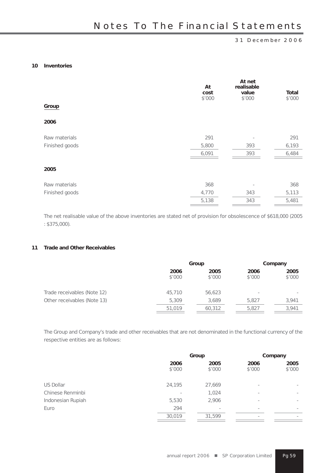# **10 Inventories**

|                | At<br>cost<br>\$'000 | At net<br>realisable<br>value<br>\$'000 | Total<br>\$'000 |
|----------------|----------------------|-----------------------------------------|-----------------|
| Group          |                      |                                         |                 |
| 2006           |                      |                                         |                 |
| Raw materials  | 291                  |                                         | 291             |
| Finished goods | 5,800                | 393                                     | 6,193           |
|                | 6,091                | 393                                     | 6,484           |
| 2005           |                      |                                         |                 |
| Raw materials  | 368                  | ٠                                       | 368             |
| Finished goods | 4,770                | 343                                     | 5,113           |
|                | 5,138                | 343                                     | 5,481           |
|                |                      |                                         |                 |

The net realisable value of the above inventories are stated net of provision for obsolescence of \$618,000 (2005 : \$375,000).

## **11 Trade and Other Receivables**

|                             |                | Group          |                          | Company        |
|-----------------------------|----------------|----------------|--------------------------|----------------|
|                             | 2006<br>\$'000 | 2005<br>\$'000 | 2006<br>\$'000           | 2005<br>\$'000 |
| Trade receivables (Note 12) | 45,710         | 56,623         | $\overline{\phantom{a}}$ |                |
| Other receivables (Note 13) | 5,309          | 3,689          | 5,827                    | 3,941          |
|                             | 51,019         | 60,312         | 5,827                    | 3,941          |

The Group and Company's trade and other receivables that are not denominated in the functional currency of the respective entities are as follows:

|                   |                | Group          |                          | Company                  |
|-------------------|----------------|----------------|--------------------------|--------------------------|
|                   | 2006<br>\$'000 | 2005<br>\$'000 | 2006<br>\$'000           | 2005<br>\$'000           |
| <b>US Dollar</b>  | 24,195         | 27,669         | $\overline{\phantom{a}}$ |                          |
| Chinese Renminbi  |                | 1,024          | $\overline{\phantom{a}}$ | ۰.                       |
| Indonesian Rupiah | 5,530          | 2,906          | $\sim$                   | $\overline{\phantom{a}}$ |
| Euro              | 294            | $\sim$         | $\overline{\phantom{a}}$ | $\sim$                   |
|                   | 30,019         | 31,599         | $\overline{\phantom{a}}$ |                          |
|                   |                |                |                          |                          |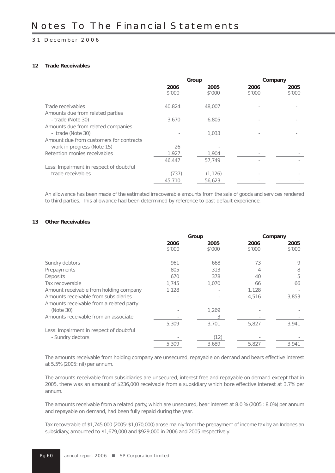## **12 Trade Receivables**

|                                         | Group          |                | Company        |                |
|-----------------------------------------|----------------|----------------|----------------|----------------|
|                                         | 2006<br>\$'000 | 2005<br>\$'000 | 2006<br>\$'000 | 2005<br>\$'000 |
| Trade receivables                       | 40,824         | 48,007         |                |                |
| Amounts due from related parties        |                |                |                |                |
| - trade (Note 30)                       | 3.670          | 6,805          |                |                |
| Amounts due from related companies      |                |                |                |                |
| - trade (Note 30)                       |                | 1,033          |                |                |
| Amount due from customers for contracts |                |                |                |                |
| work in progress (Note 15)              | 26             |                |                |                |
| Retention monies receivables            | 1,927          | 1,904          |                |                |
|                                         | 46,447         | 57.749         | ۰              |                |
| Less: Impairment in respect of doubtful |                |                |                |                |
| trade receivables                       | (737)          | (1, 126)       |                |                |
|                                         | 45,710         | 56,623         |                |                |

An allowance has been made of the estimated irrecoverable amounts from the sale of goods and services rendered to third parties. This allowance had been determined by reference to past default experience.

### **13 Other Receivables**

|                                         | Group          |                | Company        |                |
|-----------------------------------------|----------------|----------------|----------------|----------------|
|                                         | 2006<br>\$'000 | 2005<br>\$'000 | 2006<br>\$'000 | 2005<br>\$'000 |
| Sundry debtors                          | 961            | 668            | 73             | 9              |
| Prepayments                             | 805            | 313            | 4              | 8              |
| Deposits                                | 670            | 378            | 40             | 5              |
| Tax recoverable                         | 1.745          | 1.070          | 66             | 66             |
| Amount receivable from holding company  | 1,128          |                | 1,128          |                |
| Amounts receivable from subsidiaries    |                |                | 4,516          | 3,853          |
| Amounts receivable from a related party |                |                |                |                |
| (Note 30)                               |                | 1.269          |                |                |
| Amounts receivable from an associate    |                | 3              |                |                |
|                                         | 5,309          | 3,701          | 5,827          | 3.941          |
| Less: Impairment in respect of doubtful |                |                |                |                |
| - Sundry debtors                        |                | (12)           |                |                |
|                                         | 5,309          | 3,689          | 5,827          | 3,941          |
|                                         |                |                |                |                |

The amounts receivable from holding company are unsecured, repayable on demand and bears effective interest at 5.5% (2005: nil) per annum.

The amounts receivable from subsidiaries are unsecured, interest free and repayable on demand except that in 2005, there was an amount of \$236,000 receivable from a subsidiary which bore effective interest at 3.7% per annum.

The amounts receivable from a related party, which are unsecured, bear interest at 8.0 % (2005 : 8.0%) per annum and repayable on demand, had been fully repaid during the year.

Tax recoverable of \$1,745,000 (2005: \$1,070,000) arose mainly from the prepayment of income tax by an Indonesian subsidiary, amounted to \$1,679,000 and \$929,000 in 2006 and 2005 respectively.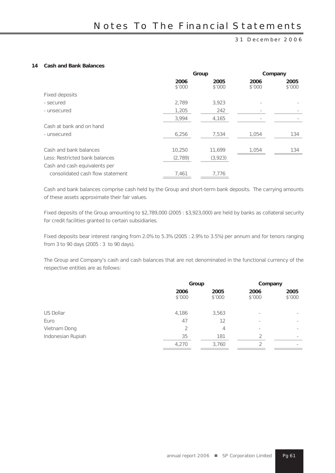# **14 Cash and Bank Balances**

|                                  | Group          |                |                          | Company        |
|----------------------------------|----------------|----------------|--------------------------|----------------|
|                                  | 2006<br>\$'000 | 2005<br>\$'000 | 2006<br>\$'000           | 2005<br>\$'000 |
| Fixed deposits                   |                |                |                          |                |
| - secured                        | 2,789          | 3,923          | $\overline{\phantom{a}}$ |                |
| - unsecured                      | 1,205          | 242            | ٠                        |                |
|                                  | 3,994          | 4,165          |                          |                |
| Cash at bank and on hand         |                |                |                          |                |
| - unsecured                      | 6.256          | 7.534          | 1.054                    | 134            |
| Cash and bank balances           | 10,250         | 11.699         | 1,054                    | 134            |
| Less: Restricted bank balances   | (2,789)        | (3,923)        |                          |                |
| Cash and cash equivalents per    |                |                |                          |                |
| consolidated cash flow statement | 7,461          | 7.776          |                          |                |

Cash and bank balances comprise cash held by the Group and short-term bank deposits. The carrying amounts of these assets approximate their fair values.

Fixed deposits of the Group amounting to \$2,789,000 (2005 : \$3,923,000) are held by banks as collateral security for credit facilities granted to certain subsidiaries.

Fixed deposits bear interest ranging from 2.0% to 5.3% (2005 : 2.9% to 3.5%) per annum and for tenors ranging from 3 to 90 days (2005 : 3 to 90 days).

The Group and Company's cash and cash balances that are not denominated in the functional currency of the respective entities are as follows:

|                   |                | Group          |                          | Company                  |
|-------------------|----------------|----------------|--------------------------|--------------------------|
|                   | 2006<br>\$'000 | 2005<br>\$'000 | 2006<br>\$'000           | 2005<br>\$'000           |
| <b>US Dollar</b>  | 4,186          | 3,563          | ۰                        | $\overline{\phantom{a}}$ |
| Euro              | 47             | 12             | $\overline{\phantom{a}}$ | $\sim$                   |
| Vietnam Dong      | $\mathcal{D}$  | 4              |                          | $\overline{\phantom{a}}$ |
| Indonesian Rupiah | 35             | 181            | 2                        | $\overline{\phantom{a}}$ |
|                   | 4,270          | 3,760          | 2                        |                          |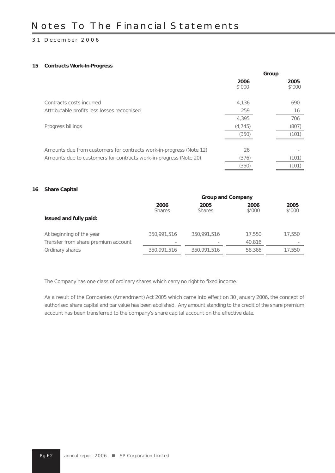# 31 December 2006

## **15 Contracts Work-In-Progress**

|                                                                     | Group          |                |
|---------------------------------------------------------------------|----------------|----------------|
|                                                                     | 2006<br>\$'000 | 2005<br>\$'000 |
| Contracts costs incurred                                            | 4,136          | 690            |
| Attributable profits less losses recognised                         | 259            | 16             |
|                                                                     | 4.395          | 706            |
| Progress billings                                                   | (4, 745)       | (807)          |
|                                                                     | (350)          | (101)          |
|                                                                     |                |                |
| Amounts due from customers for contracts work-in-progress (Note 12) | 26             |                |
| Amounts due to customers for contracts work-in-progress (Note 20)   | (376)          | (101)          |
|                                                                     | (350)          | (101)          |

### **16 Share Capital**

|                                     | <b>Group and Company</b> |                       |                |                |
|-------------------------------------|--------------------------|-----------------------|----------------|----------------|
|                                     | 2006<br><b>Shares</b>    | 2005<br><b>Shares</b> | 2006<br>\$'000 | 2005<br>\$'000 |
| Issued and fully paid:              |                          |                       |                |                |
| At beginning of the year            | 350,991,516              | 350,991,516           | 17,550         | 17,550         |
| Transfer from share premium account |                          |                       | 40,816         |                |
| Ordinary shares                     | 350,991,516              | 350,991,516           | 58,366         | 17,550         |

The Company has one class of ordinary shares which carry no right to fixed income.

As a result of the Companies (Amendment) Act 2005 which came into effect on 30 January 2006, the concept of authorised share capital and par value has been abolished. Any amount standing to the credit of the share premium account has been transferred to the company's share capital account on the effective date.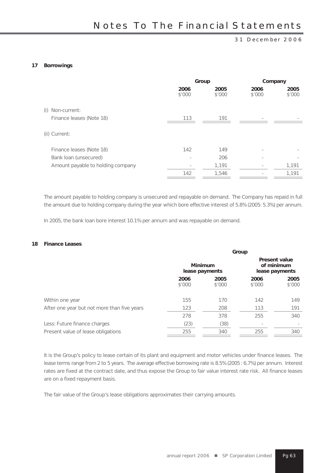## **17 Borrowings**

| Group                                                                                                              |                |                          | Company        |
|--------------------------------------------------------------------------------------------------------------------|----------------|--------------------------|----------------|
| 2006<br>\$'000                                                                                                     | 2005<br>\$'000 | 2006<br>\$'000           | 2005<br>\$'000 |
|                                                                                                                    |                |                          |                |
| 113                                                                                                                | 191            |                          |                |
|                                                                                                                    |                |                          |                |
| 142                                                                                                                | 149            | $\overline{\phantom{a}}$ |                |
| $\overline{\phantom{a}}$                                                                                           | 206            | ٠                        | ۰              |
| $\overline{\phantom{a}}$                                                                                           | 1,191          | ٠                        | 1,191          |
| 142                                                                                                                | 1,546          |                          | 1,191          |
| Finance leases (Note 18)<br>Finance leases (Note 18)<br>Bank loan (unsecured)<br>Amount payable to holding company |                |                          |                |

The amount payable to holding company is unsecured and repayable on demand. The Company has repaid in full the amount due to holding company during the year which bore effective interest of 5.8% (2005: 5.3%) per annum.

In 2005, the bank loan bore interest 10.1% per annum and was repayable on demand.

### **18 Finance Leases**

|                                             | Group                            |                |                |                                                      |
|---------------------------------------------|----------------------------------|----------------|----------------|------------------------------------------------------|
|                                             | <b>Minimum</b><br>lease payments |                |                | <b>Present value</b><br>of minimum<br>lease payments |
|                                             | 2006<br>\$'000                   | 2005<br>\$'000 | 2006<br>\$'000 | 2005<br>\$'000                                       |
| Within one year                             | 155                              | 170            | 142            | 149                                                  |
| After one year but not more than five years | 123                              | 208            | 113            | 191                                                  |
|                                             | 278                              | 378            | 255            | 340                                                  |
| Less: Future finance charges                | (23)                             | (38)           | $\sim$         |                                                      |
| Present value of lease obligations          | 255                              | 340            | 255            | 340                                                  |

It is the Group's policy to lease certain of its plant and equipment and motor vehicles under finance leases. The lease terms range from 2 to 5 years. The average effective borrowing rate is 8.5% (2005 : 6.7%) per annum. Interest rates are fixed at the contract date, and thus expose the Group to fair value interest rate risk. All finance leases are on a fixed repayment basis.

The fair value of the Group's lease obligations approximates their carrying amounts.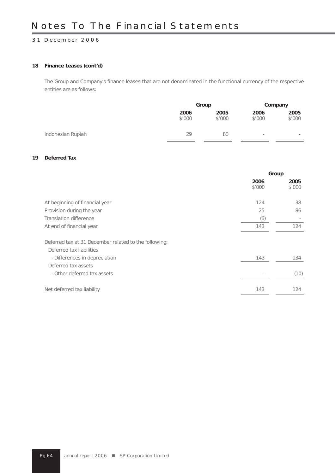# **18 Finance Leases (cont'd)**

The Group and Company's finance leases that are not denominated in the functional currency of the respective entities are as follows:

|                   |                | Group          |                | Company        |
|-------------------|----------------|----------------|----------------|----------------|
|                   | 2006<br>\$'000 | 2005<br>\$'000 | 2006<br>\$'000 | 2005<br>\$'000 |
| Indonesian Rupiah | 29             | 80             |                | $\sim$         |

## **19 Deferred Tax**

|                                                       | Group          |                |
|-------------------------------------------------------|----------------|----------------|
|                                                       | 2006<br>\$'000 | 2005<br>\$'000 |
| At beginning of financial year                        | 124            | 38             |
| Provision during the year                             | 25             | 86             |
| <b>Translation difference</b>                         | (6)            |                |
| At end of financial year                              | 143            | 124            |
| Deferred tax at 31 December related to the following: |                |                |
| Deferred tax liabilities                              |                |                |
| - Differences in depreciation                         | 143            | 134            |
| Deferred tax assets                                   |                |                |
| - Other deferred tax assets                           |                | (10)           |
| Net deferred tax liability                            | 143            | 124            |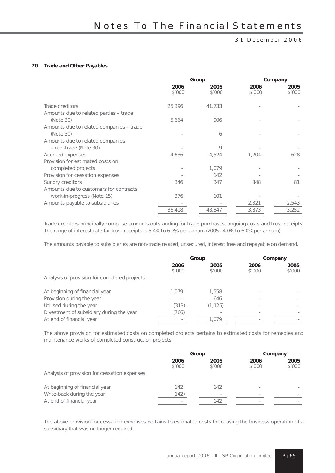# **20 Trade and Other Payables**

|                                          | Group          |                | Company        |                |
|------------------------------------------|----------------|----------------|----------------|----------------|
|                                          | 2006<br>\$'000 | 2005<br>\$'000 | 2006<br>\$'000 | 2005<br>\$'000 |
| Trade creditors                          | 25,396         | 41,733         |                |                |
| Amounts due to related parties - trade   |                |                |                |                |
| (Note 30)                                | 5,664          | 906            |                |                |
| Amounts due to related companies - trade |                |                |                |                |
| (Note 30)                                |                | 6              |                |                |
| Amounts due to related companies         |                |                |                |                |
| - non-trade (Note 30)                    |                | 9              |                |                |
| Accrued expenses                         | 4,636          | 4,524          | 1,204          | 628            |
| Provision for estimated costs on         |                |                |                |                |
| completed projects                       |                | 1,079          |                |                |
| Provision for cessation expenses         |                | 142            |                |                |
| Sundry creditors                         | 346            | 347            | 348            | 81             |
| Amounts due to customers for contracts   |                |                |                |                |
| work-in-progress (Note 15)               | 376            | 101            |                |                |
| Amounts payable to subsidiaries          |                |                | 2,321          | 2,543          |
|                                          | 36,418         | 48,847         | 3,873          | 3,252          |

Trade creditors principally comprise amounts outstanding for trade purchases, ongoing costs and trust receipts. The range of interest rate for trust receipts is 5.4% to 6.7% per annum (2005 : 4.0% to 6.0% per annum).

The amounts payable to subsidiaries are non-trade related, unsecured, interest free and repayable on demand.

|                                               | Group          |                |                          | Company        |
|-----------------------------------------------|----------------|----------------|--------------------------|----------------|
|                                               | 2006<br>\$'000 | 2005<br>\$'000 | 2006<br>\$'000           | 2005<br>\$'000 |
| Analysis of provision for completed projects: |                |                |                          |                |
| At beginning of financial year                | 1.079          | 1,558          | ۰                        |                |
| Provision during the year                     |                | 646            | $\sim$                   |                |
| Utilised during the year                      | (313)          | (1, 125)       | ۰                        |                |
| Divestment of subsidiary during the year      | (766)          |                | $\sim$                   |                |
| At end of financial year                      |                | 1.079          | $\overline{\phantom{a}}$ |                |

The above provision for estimated costs on completed projects pertains to estimated costs for remedies and maintenance works of completed construction projects.

|                                               | Group          |                |                | Company        |
|-----------------------------------------------|----------------|----------------|----------------|----------------|
|                                               | 2006<br>\$'000 | 2005<br>\$'000 | 2006<br>\$'000 | 2005<br>\$'000 |
| Analysis of provision for cessation expenses: |                |                |                |                |
| At beginning of financial year                | 142            | 142            | $\sim$         |                |
| Write-back during the year                    | (142)          | $\sim$         | $\sim$         |                |
| At end of financial year                      |                | 142            | ۰              |                |

The above provision for cessation expenses pertains to estimated costs for ceasing the business operation of a subsidiary that was no longer required.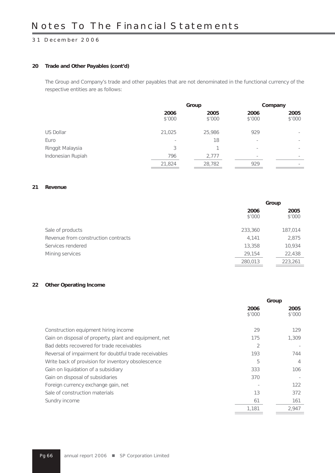# 31 December 2006

## **20 Trade and Other Payables (cont'd)**

The Group and Company's trade and other payables that are not denominated in the functional currency of the respective entities are as follows:

|                   | Group                    |                | Company        |                          |
|-------------------|--------------------------|----------------|----------------|--------------------------|
|                   | 2006<br>\$'000           | 2005<br>\$'000 | 2006<br>\$'000 | 2005<br>\$'000           |
| <b>US Dollar</b>  | 21,025                   | 25,986         | 929            | $\sim$                   |
| Euro              | $\overline{\phantom{a}}$ | 18             |                | $\overline{\phantom{a}}$ |
| Ringgit Malaysia  | 3                        |                | $\sim$         | $\sim$                   |
| Indonesian Rupiah | 796                      | 2,777          | $\sim$         | $\sim$                   |
|                   | 21,824                   | 28,782         | 929            | ۰                        |
|                   |                          |                |                |                          |

## **21 Revenue**

|                                     | Group          |                |
|-------------------------------------|----------------|----------------|
|                                     | 2006<br>\$'000 | 2005<br>\$'000 |
| Sale of products                    | 233,360        | 187,014        |
| Revenue from construction contracts | 4,141          | 2,875          |
| Services rendered                   | 13,358         | 10,934         |
| Mining services                     | 29,154         | 22,438         |
|                                     | 280,013        | 223,261        |

## **22 Other Operating Income**

|                                                        | Group          |                |
|--------------------------------------------------------|----------------|----------------|
|                                                        | 2006<br>\$'000 | 2005<br>\$'000 |
| Construction equipment hiring income                   | 29             | 129            |
| Gain on disposal of property, plant and equipment, net | 175            | 1,309          |
| Bad debts recovered for trade receivables              | 2              |                |
| Reversal of impairment for doubtful trade receivables  | 193            | 744            |
| Write back of provision for inventory obsolescence     | 5              | 4              |
| Gain on liquidation of a subsidiary                    | 333            | 106            |
| Gain on disposal of subsidiaries                       | 370            |                |
| Foreign currency exchange gain, net                    |                | 122            |
| Sale of construction materials                         | 13             | 372            |
| Sundry income                                          | 61             | 161            |
|                                                        | 1,181          | 2.947          |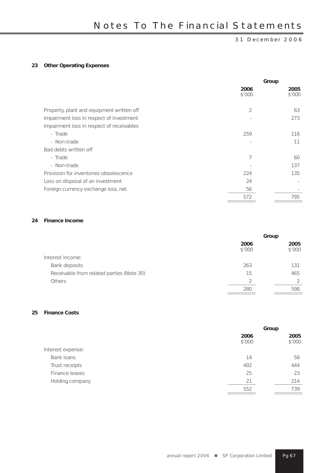# **23 Other Operating Expenses**

|                                           |                | Group          |
|-------------------------------------------|----------------|----------------|
|                                           | 2006<br>\$'000 | 2005<br>\$'000 |
| Property, plant and equipment written off | 2              | 63             |
| Impairment loss in respect of investment  |                | 273            |
| Impairment loss in respect of receivables |                |                |
| - Trade                                   | 259            | 116            |
| - Non-trade                               |                | 11             |
| Bad debts written off                     |                |                |
| - Trade                                   | 7              | 60             |
| - Non-trade                               |                | 137            |
| Provision for inventories obsolescence    | 224            | 135            |
| Loss on disposal of an investment         | 24             |                |
| Foreign currency exchange loss, net       | 56             |                |
|                                           | 572            | 795            |
|                                           |                |                |

## **24 Finance Income**

|                                           | Group          |                |
|-------------------------------------------|----------------|----------------|
|                                           | 2006<br>\$'000 | 2005<br>\$'000 |
| Interest income:                          |                |                |
| Bank deposits                             | 263            | 131            |
| Receivable from related parties (Note 30) | 15             | 465            |
| <b>Others</b>                             | っ              |                |
|                                           | 280            | 598            |
|                                           |                |                |

## **25 Finance Costs**

|                   | Group          |                |
|-------------------|----------------|----------------|
|                   | 2006<br>\$'000 | 2005<br>\$'000 |
| Interest expense: |                |                |
| Bank loans        | 14             | 58             |
| Trust receipts    | 492            | 444            |
| Finance leases    | 25             | 23             |
| Holding company   | 21             | 214            |
|                   | 552            | 739            |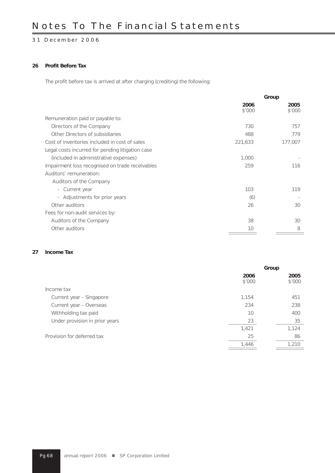# 31 December 2006

# **26 Profit Before Tax**

The profit before tax is arrived at after charging (crediting) the following:

|                                                  | Group          |                |
|--------------------------------------------------|----------------|----------------|
|                                                  | 2006<br>\$'000 | 2005<br>\$'000 |
| Remuneration paid or payable to:                 |                |                |
| Directors of the Company                         | 730            | 757            |
| Other Directors of subsidiaries                  | 488            | 779            |
| Cost of inventories included in cost of sales    | 221,633        | 177,007        |
| Legal costs incurred for pending litigation case |                |                |
| (included in administrative expenses)            | 1,000          |                |
| Impairment loss recognised on trade receivables  | 259            | 116            |
| Auditors' remuneration:                          |                |                |
| Auditors of the Company                          |                |                |
| Current year<br>$\sim$                           | 103            | 119            |
| - Adjustments for prior years                    | (6)            |                |
| Other auditors                                   | 26             | 30             |
| Fees for non-audit services by:                  |                |                |
| Auditors of the Company                          | 38             | 30             |
| Other auditors                                   | 10             | 8              |
|                                                  |                |                |

## **27 Income Tax**

| 2006<br>\$'000<br>Income tax<br>1,154<br>Current year - Singapore<br>Current year - Overseas<br>234<br>Withholding tax paid<br>10<br>Under provision in prior years<br>23<br>1,421<br>Provision for deferred tax<br>25<br>1,446 | Group |                |
|---------------------------------------------------------------------------------------------------------------------------------------------------------------------------------------------------------------------------------|-------|----------------|
|                                                                                                                                                                                                                                 |       | 2005<br>\$'000 |
|                                                                                                                                                                                                                                 |       |                |
|                                                                                                                                                                                                                                 |       | 451            |
|                                                                                                                                                                                                                                 |       | 238            |
|                                                                                                                                                                                                                                 |       | 400            |
|                                                                                                                                                                                                                                 |       | 35             |
|                                                                                                                                                                                                                                 |       | 1,124          |
|                                                                                                                                                                                                                                 |       | 86             |
|                                                                                                                                                                                                                                 |       | 1,210          |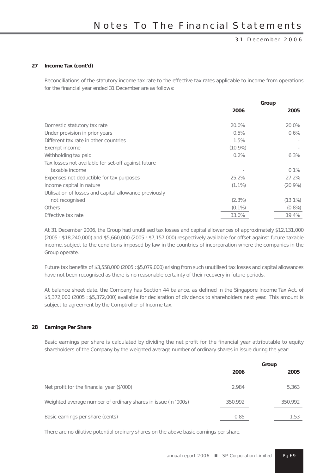## **27 Income Tax (cont'd)**

Reconciliations of the statutory income tax rate to the effective tax rates applicable to income from operations for the financial year ended 31 December are as follows:

|                                                        | Group      |            |
|--------------------------------------------------------|------------|------------|
|                                                        | 2006       | 2005       |
| Domestic statutory tax rate                            | 20.0%      | 20.0%      |
| Under provision in prior years                         | 0.5%       | 0.6%       |
| Different tax rate in other countries                  | 1.5%       |            |
| Exempt income                                          | $(10.9\%)$ |            |
| Withholding tax paid                                   | 0.2%       | 6.3%       |
| Tax losses not available for set-off against future    |            |            |
| taxable income                                         |            | 0.1%       |
| Expenses not deductible for tax purposes               | 25.2%      | 27.2%      |
| Income capital in nature                               | $(1.1\%)$  | $(20.9\%)$ |
| Utilisation of losses and capital allowance previously |            |            |
| not recognised                                         | $(2.3\%)$  | $(13.1\%)$ |
| <b>Others</b>                                          | $(0.1\%)$  | $(0.8\%)$  |
| Effective tax rate                                     | 33.0%      | 19.4%      |

At 31 December 2006, the Group had unutilised tax losses and capital allowances of approximately \$12,131,000 (2005 : \$18,240,000) and \$5,660,000 (2005 : \$7,157,000) respectively available for offset against future taxable income, subject to the conditions imposed by law in the countries of incorporation where the companies in the Group operate.

Future tax benefits of \$3,558,000 (2005 : \$5,079,000) arising from such unutilised tax losses and capital allowances have not been recognised as there is no reasonable certainty of their recovery in future periods.

At balance sheet date, the Company has Section 44 balance, as defined in the Singapore Income Tax Act, of \$5,372,000 (2005 : \$5,372,000) available for declaration of dividends to shareholders next year. This amount is subject to agreement by the Comptroller of Income tax.

#### **28 Earnings Per Share**

Basic earnings per share is calculated by dividing the net profit for the financial year attributable to equity shareholders of the Company by the weighted average number of ordinary shares in issue during the year:

|                                                                | Group   |  |         |
|----------------------------------------------------------------|---------|--|---------|
|                                                                | 2006    |  | 2005    |
| Net profit for the financial year (\$'000)                     | 2,984   |  | 5,363   |
| Weighted average number of ordinary shares in issue (in '000s) | 350,992 |  | 350,992 |
| Basic earnings per share (cents)                               | 0.85    |  | 1.53    |

There are no dilutive potential ordinary shares on the above basic earnings per share.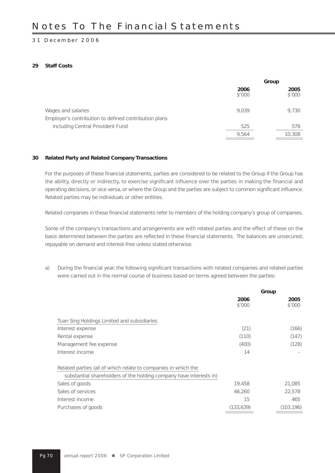## **29 Staff Costs**

|                                                                             | Group          |                |
|-----------------------------------------------------------------------------|----------------|----------------|
|                                                                             | 2006<br>\$'000 | 2005<br>\$'000 |
| Wages and salaries<br>Employer's contribution to defined contribution plans | 9.039          | 9.730          |
| including Central Provident Fund                                            | 525            | 578            |
|                                                                             | 9,564          | 10,308         |
|                                                                             |                |                |

## **30 Related Party and Related Company Transactions**

For the purposes of these financial statements, parties are considered to be related to the Group if the Group has the ability, directly or indirectly, to exercise significant influence over the parties in making the financial and operating decisions, or vice versa, or where the Group and the parties are subject to common significant influence. Related parties may be individuals or other entities.

Related companies in these financial statements refer to members of the holding company's group of companies.

Some of the company's transactions and arrangements are with related parties and the effect of these on the basis determined between the parties are reflected in these financial statements. The balances are unsecured, repayable on demand and interest-free unless stated otherwise.

a) During the financial year, the following significant transactions with related companies and related parties were carried out in the normal course of business based on terms agreed between the parties:

|                                                                    | Group          |                |
|--------------------------------------------------------------------|----------------|----------------|
|                                                                    | 2006<br>\$'000 | 2005<br>\$'000 |
| Tuan Sing Holdings Limited and subsidiaries                        |                |                |
| Interest expense                                                   | (21)           | (166)          |
| Rental expense                                                     | (110)          | (147)          |
| Management fee expense                                             | (400)          | (128)          |
| Interest income                                                    | 14             |                |
| Related parties (all of which relate to companies in which the     |                |                |
| substantial shareholders of the holding company have interests in) |                |                |
| Sales of goods                                                     | 19,458         | 21,085         |
| Sales of services                                                  | 46,260         | 22,578         |
| Interest income                                                    | 15             | 465            |
| Purchases of goods                                                 | (133, 639)     | (103, 196)     |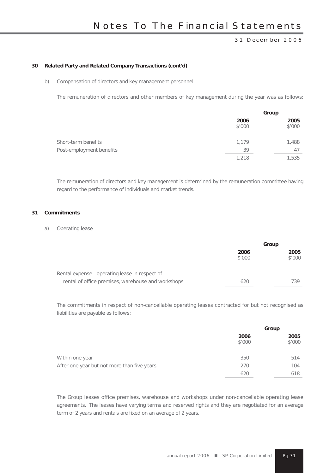# 31 December 2006

## **30 Related Party and Related Company Transactions (cont'd)**

#### b) Compensation of directors and key management personnel

The remuneration of directors and other members of key management during the year was as follows:

|                          | Group          |                |
|--------------------------|----------------|----------------|
|                          | 2006<br>\$'000 | 2005<br>\$'000 |
| Short-term benefits      | 1,179          | 1,488          |
| Post-employment benefits | 39             | 47             |
|                          | 1,218          | 1,535          |

The remuneration of directors and key management is determined by the remuneration committee having regard to the performance of individuals and market trends.

### **31 Commitments**

#### a) Operating lease

|                                                    | Group          |                |
|----------------------------------------------------|----------------|----------------|
|                                                    | 2006<br>\$'000 | 2005<br>\$'000 |
| Rental expense - operating lease in respect of     |                |                |
| rental of office premises, warehouse and workshops | 620            | 739            |

The commitments in respect of non-cancellable operating leases contracted for but not recognised as liabilities are payable as follows:

|                                             | Group          |                |
|---------------------------------------------|----------------|----------------|
|                                             | 2006<br>\$'000 | 2005<br>\$'000 |
| Within one year                             | 350            | 514            |
| After one year but not more than five years | 270            | 104            |
|                                             | 620            | 618            |

The Group leases office premises, warehouse and workshops under non-cancellable operating lease agreements. The leases have varying terms and reserved rights and they are negotiated for an average term of 2 years and rentals are fixed on an average of 2 years.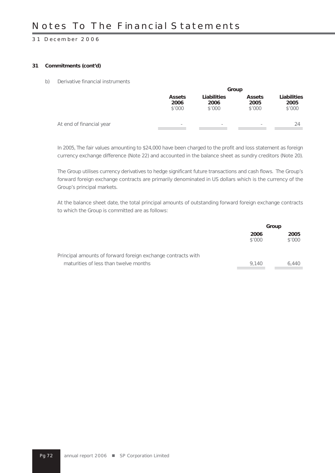# Notes To The Financial Statements

#### 31 December 2006

#### **31 Commitments (cont'd)**

b) Derivative financial instruments

|                          | Group                           |                               |                                 |                               |  |
|--------------------------|---------------------------------|-------------------------------|---------------------------------|-------------------------------|--|
|                          | <b>Assets</b><br>2006<br>\$'000 | Liabilities<br>2006<br>\$'000 | <b>Assets</b><br>2005<br>\$'000 | Liabilities<br>2005<br>\$'000 |  |
| At end of financial year | <b>Section</b>                  | <b>Section</b>                | <b>Section</b>                  | 24                            |  |

In 2005, The fair values amounting to \$24,000 have been charged to the profit and loss statement as foreign currency exchange difference (Note 22) and accounted in the balance sheet as sundry creditors (Note 20).

The Group utilises currency derivatives to hedge significant future transactions and cash flows. The Group's forward foreign exchange contracts are primarily denominated in US dollars which is the currency of the Group's principal markets.

At the balance sheet date, the total principal amounts of outstanding forward foreign exchange contracts to which the Group is committed are as follows:

|                                                              |                | Group          |
|--------------------------------------------------------------|----------------|----------------|
|                                                              | 2006<br>\$'000 | 2005<br>\$'000 |
| Principal amounts of forward foreign exchange contracts with |                |                |
| maturities of less than twelve months                        | 9.140          | 6,440          |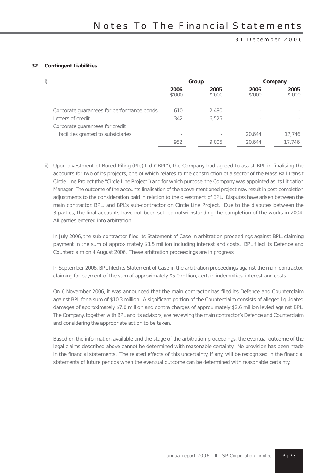#### **32 Contingent Liabilities**

| i) |                                            |                | Group          |                          | Company        |
|----|--------------------------------------------|----------------|----------------|--------------------------|----------------|
|    |                                            | 2006<br>\$'000 | 2005<br>\$'000 | 2006<br>\$'000           | 2005<br>\$'000 |
|    | Corporate guarantees for performance bonds | 610            | 2,480          | $\sim$                   |                |
|    | Letters of credit                          | 342            | 6.525          | $\overline{\phantom{a}}$ |                |
|    | Corporate guarantees for credit            |                |                |                          |                |
|    | facilities granted to subsidiaries         | ۰              | $\sim$         | 20,644                   | 17,746         |
|    |                                            | 952            | 9,005          | 20.644                   | 17.746         |
|    |                                            |                |                |                          |                |

ii) Upon divestment of Bored Piling (Pte) Ltd ("BPL"), the Company had agreed to assist BPL in finalising the accounts for two of its projects, one of which relates to the construction of a sector of the Mass Rail Transit Circle Line Project (the "Circle Line Project") and for which purpose, the Company was appointed as its Litigation Manager. The outcome of the accounts finalisation of the above-mentioned project may result in post-completion adjustments to the consideration paid in relation to the divestment of BPL. Disputes have arisen between the main contractor, BPL, and BPL's sub-contractor on Circle Line Project. Due to the disputes between the 3 parties, the final accounts have not been settled notwithstanding the completion of the works in 2004. All parties entered into arbitration.

In July 2006, the sub-contractor filed its Statement of Case in arbitration proceedings against BPL, claiming payment in the sum of approximately \$3.5 million including interest and costs. BPL filed its Defence and Counterclaim on 4 August 2006. These arbitration proceedings are in progress.

In September 2006, BPL filed its Statement of Case in the arbitration proceedings against the main contractor, claiming for payment of the sum of approximately \$5.0 million, certain indemnities, interest and costs.

On 6 November 2006, it was announced that the main contractor has filed its Defence and Counterclaim against BPL for a sum of \$10.3 million. A significant portion of the Counterclaim consists of alleged liquidated damages of approximately \$7.0 million and contra charges of approximately \$2.6 million levied against BPL. The Company, together with BPL and its advisors, are reviewing the main contractor's Defence and Counterclaim and considering the appropriate action to be taken.

Based on the information available and the stage of the arbitration proceedings, the eventual outcome of the legal claims described above cannot be determined with reasonable certainty. No provision has been made in the financial statements. The related effects of this uncertainty, if any, will be recognised in the financial statements of future periods when the eventual outcome can be determined with reasonable certainty.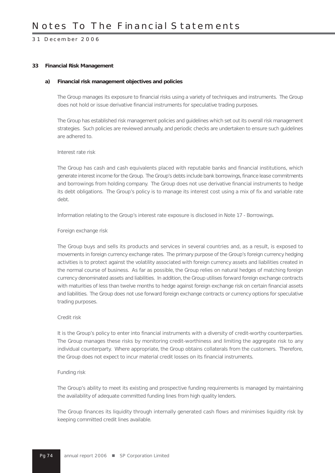#### **33 Financial Risk Management**

#### **a) Financial risk management objectives and policies**

The Group manages its exposure to financial risks using a variety of techniques and instruments. The Group does not hold or issue derivative financial instruments for speculative trading purposes.

The Group has established risk management policies and guidelines which set out its overall risk management strategies. Such policies are reviewed annually, and periodic checks are undertaken to ensure such guidelines are adhered to.

#### *Interest rate risk*

The Group has cash and cash equivalents placed with reputable banks and financial institutions, which generate interest income for the Group. The Group's debts include bank borrowings, finance lease commitments and borrowings from holding company. The Group does not use derivative financial instruments to hedge its debt obligations. The Group's policy is to manage its interest cost using a mix of fix and variable rate debt.

Information relating to the Group's interest rate exposure is disclosed in Note 17 - Borrowings.

#### *Foreign exchange risk*

The Group buys and sells its products and services in several countries and, as a result, is exposed to movements in foreign currency exchange rates. The primary purpose of the Group's foreign currency hedging activities is to protect against the volatility associated with foreign currency assets and liabilities created in the normal course of business. As far as possible, the Group relies on natural hedges of matching foreign currency denominated assets and liabilities. In addition, the Group utilises forward foreign exchange contracts with maturities of less than twelve months to hedge against foreign exchange risk on certain financial assets and liabilities. The Group does not use forward foreign exchange contracts or currency options for speculative trading purposes.

#### *Credit risk*

It is the Group's policy to enter into financial instruments with a diversity of credit-worthy counterparties. The Group manages these risks by monitoring credit-worthiness and limiting the aggregate risk to any individual counterparty. Where appropriate, the Group obtains collaterals from the customers. Therefore, the Group does not expect to incur material credit losses on its financial instruments.

#### *Funding risk*

The Group's ability to meet its existing and prospective funding requirements is managed by maintaining the availability of adequate committed funding lines from high quality lenders.

The Group finances its liquidity through internally generated cash flows and minimises liquidity risk by keeping committed credit lines available.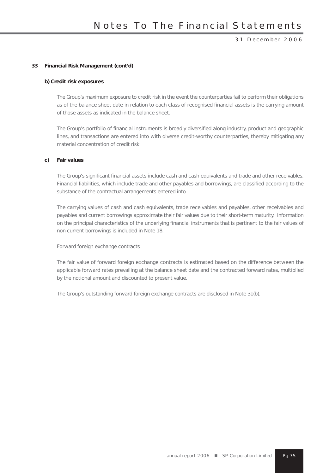#### **33 Financial Risk Management (cont'd)**

#### **b) Credit risk exposures**

The Group's maximum exposure to credit risk in the event the counterparties fail to perform their obligations as of the balance sheet date in relation to each class of recognised financial assets is the carrying amount of those assets as indicated in the balance sheet.

The Group's portfolio of financial instruments is broadly diversified along industry, product and geographic lines, and transactions are entered into with diverse credit-worthy counterparties, thereby mitigating any material concentration of credit risk.

#### **c) Fair values**

The Group's significant financial assets include cash and cash equivalents and trade and other receivables. Financial liabilities, which include trade and other payables and borrowings, are classified according to the substance of the contractual arrangements entered into.

The carrying values of cash and cash equivalents, trade receivables and payables, other receivables and payables and current borrowings approximate their fair values due to their short-term maturity. Information on the principal characteristics of the underlying financial instruments that is pertinent to the fair values of non current borrowings is included in Note 18.

#### *Forward foreign exchange contracts*

The fair value of forward foreign exchange contracts is estimated based on the difference between the applicable forward rates prevailing at the balance sheet date and the contracted forward rates, multiplied by the notional amount and discounted to present value.

The Group's outstanding forward foreign exchange contracts are disclosed in Note 31(b).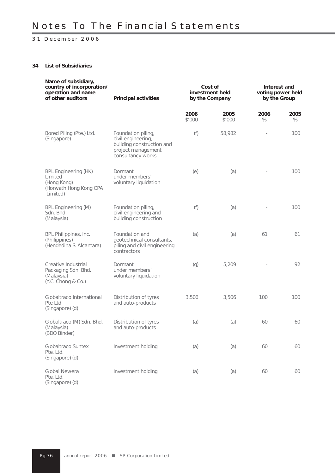## **34 List of Subsidiaries**

| Name of subsidiary,<br>country of incorporation/<br>operation and name<br>of other auditors | <b>Principal activities</b>                                                                                      | Cost of<br>investment held<br>by the Company |                | Interest and<br>voting power held<br>by the Group |              |  |
|---------------------------------------------------------------------------------------------|------------------------------------------------------------------------------------------------------------------|----------------------------------------------|----------------|---------------------------------------------------|--------------|--|
|                                                                                             |                                                                                                                  | 2006<br>\$'000                               | 2005<br>\$'000 | 2006<br>$\%$                                      | 2005<br>$\%$ |  |
| Bored Piling (Pte.) Ltd.<br>(Singapore)                                                     | Foundation piling,<br>civil engineering,<br>building construction and<br>project management<br>consultancy works | (f)                                          | 58,982         |                                                   | 100          |  |
| BPL Engineering (HK)<br>Limited<br>(Hong Kong)<br>(Horwath Hong Kong CPA<br>Limited)        | Dormant<br>under members'<br>voluntary liquidation                                                               | (e)                                          | (a)            |                                                   | 100          |  |
| <b>BPL Engineering (M)</b><br>Sdn. Bhd.<br>(Malaysia)                                       | Foundation piling,<br>civil engineering and<br>building construction                                             | (f)                                          | (a)            |                                                   | 100          |  |
| BPL Philippines, Inc.<br>(Philippines)<br>(Hendedina S. Alcantara)                          | Foundation and<br>geotechnical consultants,<br>piling and civil engineering<br>contractors                       | (a)                                          | (a)            | 61                                                | 61           |  |
| Creative Industrial<br>Packaging Sdn. Bhd.<br>(Malaysia)<br>(Y.C. Chong & Co.)              | Dormant<br>under members'<br>voluntary liquidation                                                               | (g)                                          | 5,209          |                                                   | 92           |  |
| Globaltraco International<br>Pte Ltd<br>(Singapore) (d)                                     | Distribution of tyres<br>and auto-products                                                                       | 3,506                                        | 3,506          | 100                                               | 100          |  |
| Globaltraco (M) Sdn. Bhd.<br>(Malaysia)<br>(BDO Binder)                                     | Distribution of tyres<br>and auto-products                                                                       | (a)                                          | (a)            | 60                                                | 60           |  |
| Globaltraco Suntex<br>Pte. Ltd.<br>(Singapore) (d)                                          | Investment holding                                                                                               | (a)                                          | (a)            | 60                                                | 60           |  |
| Global Newera<br>Pte. Ltd.<br>(Singapore) (d)                                               | Investment holding                                                                                               | (a)                                          | (a)            | 60                                                | 60           |  |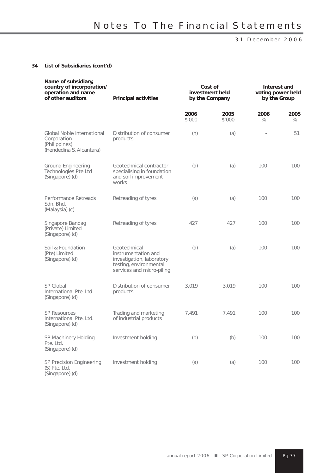# **34 List of Subsidiaries (cont'd)**

| Name of subsidiary,<br>country of incorporation/<br>operation and name<br>of other auditors | <b>Principal activities</b>                                                                                             | Cost of<br>investment held<br>by the Company |                | Interest and<br>voting power held<br>by the Group |              |  |
|---------------------------------------------------------------------------------------------|-------------------------------------------------------------------------------------------------------------------------|----------------------------------------------|----------------|---------------------------------------------------|--------------|--|
|                                                                                             |                                                                                                                         | 2006<br>\$'000                               | 2005<br>\$'000 | 2006<br>$\%$                                      | 2005<br>$\%$ |  |
| Global Noble International<br>Corporation<br>(Philippines)<br>(Hendedina S. Alcantara)      | Distribution of consumer<br>products                                                                                    | (h)                                          | (a)            |                                                   | 51           |  |
| <b>Ground Engineering</b><br>Technologies Pte Ltd<br>(Singapore) (d)                        | Geotechnical contractor<br>specialising in foundation<br>and soil improvement<br>works                                  | (a)                                          | (a)            | 100                                               | 100          |  |
| Performance Retreads<br>Sdn. Bhd.<br>(Malaysia) (c)                                         | Retreading of tyres                                                                                                     | (a)                                          | (a)            | 100                                               | 100          |  |
| Singapore Bandag<br>(Private) Limited<br>(Singapore) (d)                                    | Retreading of tyres                                                                                                     | 427                                          | 427            | 100                                               | 100          |  |
| Soil & Foundation<br>(Pte) Limited<br>(Singapore) (d)                                       | Geotechnical<br>instrumentation and<br>investigation, laboratory<br>testing, environmental<br>services and micro-piling | (a)                                          | (a)            | 100                                               | 100          |  |
| SP Global<br>International Pte. Ltd.<br>(Singapore) (d)                                     | Distribution of consumer<br>products                                                                                    | 3,019                                        | 3,019          | 100                                               | 100          |  |
| <b>SP Resources</b><br>International Pte. Ltd.<br>(Singapore) (d)                           | Trading and marketing<br>of industrial products                                                                         | 7,491                                        | 7,491          | 100                                               | 100          |  |
| SP Machinery Holding<br>Pte. Ltd.<br>(Singapore) (d)                                        | Investment holding                                                                                                      | (b)                                          | (b)            | 100                                               | 100          |  |
| SP Precision Engineering<br>(S) Pte. Ltd.<br>(Singapore) (d)                                | Investment holding                                                                                                      | (a)                                          | (a)            | 100                                               | 100          |  |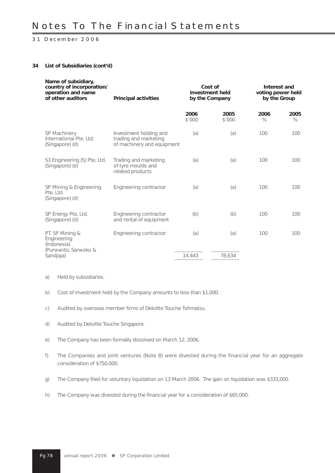## **34 List of Subsidiaries (cont'd)**

| Name of subsidiary,<br>country of incorporation/<br>operation and name<br>of other auditors | <b>Principal activities</b>                                                   | Cost of<br>investment held<br>by the Company |                | Interest and<br>voting power held<br>by the Group |              |  |
|---------------------------------------------------------------------------------------------|-------------------------------------------------------------------------------|----------------------------------------------|----------------|---------------------------------------------------|--------------|--|
|                                                                                             |                                                                               | 2006<br>\$'000                               | 2005<br>\$'000 | 2006<br>$\frac{0}{0}$                             | 2005<br>$\%$ |  |
| <b>SP Machinery</b><br>International Pte. Ltd.<br>(Singapore) (d)                           | Investment holding and<br>trading and marketing<br>of machinery and equipment | (a)                                          | (a)            | 100                                               | 100          |  |
| S3 Engineering (S) Pte. Ltd.<br>(Singapore) (d)                                             | Trading and marketing<br>of tyre moulds and<br>related products               | (a)                                          | (a)            | 100                                               | 100          |  |
| SP Mining & Engineering<br>Pte. Ltd.<br>(Singapore) (d)                                     | Engineering contractor                                                        | (a)                                          | (a)            | 100                                               | 100          |  |
| SP Energy Pte. Ltd.<br>(Singapore) (d)                                                      | Engineering contractor<br>and rental of equipment                             | (b)                                          | (b)            | 100                                               | 100          |  |
| PT. SP Mining &<br>Engineering<br>(Indonesia)                                               | Engineering contractor                                                        | (a)                                          | (a)            | 100                                               | 100          |  |
| (Purwanto, Sarwoko &<br>Sandjaja)                                                           |                                                                               | 14,443                                       | 78,634         |                                                   |              |  |
|                                                                                             |                                                                               |                                              |                |                                                   |              |  |

- a) Held by subsidiaries.
- b) Cost of investment held by the Company amounts to less than \$1,000.
- c) Audited by overseas member firms of Deloitte Touche Tohmatsu.
- d) Audited by Deloitte Touche Singapore.
- e) The Company has been formally dissolved on March 12, 2006.
- f) The Companies and joint ventures (Note 8) were divested during the financial year for an aggregate consideration of \$750,000.
- g) The Company filed for voluntary liquidation on 13 March 2006. The gain on liquidation was \$333,000.
- h) The Company was divested during the financial year for a consideration of \$65,000.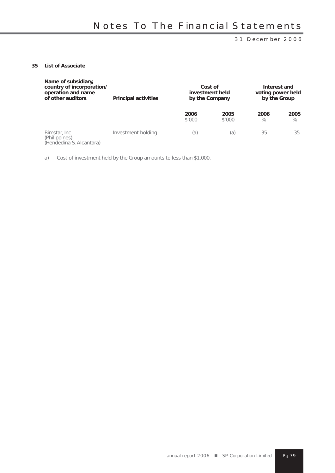## **35 List of Associate**

| Name of subsidiary,<br>country of incorporation/<br>operation and name<br>of other auditors | <b>Principal activities</b> |                | Cost of<br>investment held<br>by the Company | Interest and<br>voting power held<br>by the Group |              |
|---------------------------------------------------------------------------------------------|-----------------------------|----------------|----------------------------------------------|---------------------------------------------------|--------------|
|                                                                                             |                             | 2006<br>\$'000 | 2005<br>\$'000                               | 2006<br>$\%$                                      | 2005<br>$\%$ |
| Bimstar, Inc.<br>(Philippines)<br>(Hendedina S. Alcantara)                                  | Investment holding          | (a)            | (a)                                          | 35                                                | 35           |

a) Cost of investment held by the Group amounts to less than \$1,000.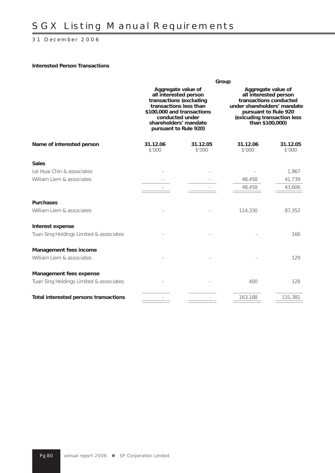## **Interested Person Transactions**

|                                         |                                                                                                                                                                                                     |                    | Group                                                                                                                                                                          |                    |
|-----------------------------------------|-----------------------------------------------------------------------------------------------------------------------------------------------------------------------------------------------------|--------------------|--------------------------------------------------------------------------------------------------------------------------------------------------------------------------------|--------------------|
|                                         | Aggregate value of<br>all interested person<br>transactions (excluding<br>transactions less than<br>\$100,000 and transactions<br>conducted under<br>shareholders' mandate<br>pursuant to Rule 920) |                    | Aggregate value of<br>all interested person<br>transactions conducted<br>under shareholders' mandate<br>pursuant to Rule 920<br>(exicuding transaction less<br>than \$100,000) |                    |
| Name of interested person               | 31.12.06<br>\$'000                                                                                                                                                                                  | 31.12.05<br>\$'000 | 31.12.06<br>\$'000                                                                                                                                                             | 31.12.05<br>\$'000 |
| <b>Sales</b>                            |                                                                                                                                                                                                     |                    |                                                                                                                                                                                |                    |
| Lei Huai Chin & associates              |                                                                                                                                                                                                     |                    |                                                                                                                                                                                | 1,867              |
| William Liem & associates               |                                                                                                                                                                                                     |                    | 48,458                                                                                                                                                                         | 41,739             |
|                                         |                                                                                                                                                                                                     |                    | 48,458                                                                                                                                                                         | 43,606             |
| <b>Purchases</b>                        |                                                                                                                                                                                                     |                    |                                                                                                                                                                                |                    |
| William Liem & associates               |                                                                                                                                                                                                     |                    | 114,330                                                                                                                                                                        | 87,352             |
| Interest expense                        |                                                                                                                                                                                                     |                    |                                                                                                                                                                                |                    |
| Tuan Sing Holdings Limited & associates |                                                                                                                                                                                                     |                    |                                                                                                                                                                                | 166                |
| Management fees income                  |                                                                                                                                                                                                     |                    |                                                                                                                                                                                |                    |
| William Liem & associates               |                                                                                                                                                                                                     |                    |                                                                                                                                                                                | 129                |
| Management fees expense                 |                                                                                                                                                                                                     |                    |                                                                                                                                                                                |                    |
| Tuan Sing Holdings Limited & associates |                                                                                                                                                                                                     |                    | 400                                                                                                                                                                            | 128                |
| Total interested persons transactions   |                                                                                                                                                                                                     |                    | 163,188                                                                                                                                                                        | 131,381            |
|                                         |                                                                                                                                                                                                     |                    |                                                                                                                                                                                |                    |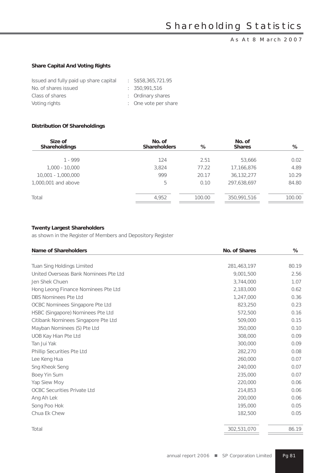# As At 8 March 2007

# **Share Capital And Voting Rights**

| Issued and fully paid up share capital | $\therefore$ S\$58,365,721.95 |
|----------------------------------------|-------------------------------|
| No. of shares issued                   | : 350.991.516                 |
| Class of shares                        | : Ordinary shares             |
| Voting rights                          | : One vote per share          |

## **Distribution Of Shareholdings**

| Size of              | No. of              |        | No. of        |        |
|----------------------|---------------------|--------|---------------|--------|
| Shareholdings        | <b>Shareholders</b> | %      | <b>Shares</b> | %      |
| $1 - 999$            | 124                 | 2.51   | 53,666        | 0.02   |
| $1,000 - 10,000$     | 3,824               | 77.22  | 17,166,876    | 4.89   |
| $10,001 - 1,000,000$ | 999                 | 20.17  | 36, 132, 277  | 10.29  |
| 1,000,001 and above  | 5                   | 0.10   | 297,638,697   | 84.80  |
| Total                | 4,952               | 100.00 | 350,991,516   | 100.00 |

## **Twenty Largest Shareholders**

as shown in the Register of Members and Depository Register

| Name of Shareholders                  | No. of Shares | $\%$  |
|---------------------------------------|---------------|-------|
|                                       |               |       |
| Tuan Sing Holdings Limited            | 281,463,197   | 80.19 |
| United Overseas Bank Nominees Pte Ltd | 9,001,500     | 2.56  |
| Jen Shek Chuen                        | 3,744,000     | 1.07  |
| Hong Leong Finance Nominees Pte Ltd   | 2,183,000     | 0.62  |
| DBS Nominees Pte Ltd                  | 1,247,000     | 0.36  |
| OCBC Nominees Singapore Pte Ltd       | 823,250       | 0.23  |
| HSBC (Singapore) Nominees Pte Ltd     | 572,500       | 0.16  |
| Citibank Nominees Singapore Pte Ltd   | 509,000       | 0.15  |
| Mayban Nominees (S) Pte Ltd           | 350,000       | 0.10  |
| UOB Kay Hian Pte Ltd                  | 308,000       | 0.09  |
| Tan Jui Yak                           | 300,000       | 0.09  |
| Phillip Securities Pte Ltd            | 282,270       | 0.08  |
| Lee Keng Hua                          | 260,000       | 0.07  |
| Sng Kheok Seng                        | 240,000       | 0.07  |
| Boey Yin Sum                          | 235,000       | 0.07  |
| Yap Siew Moy                          | 220,000       | 0.06  |
| <b>OCBC Securities Private Ltd</b>    | 214,853       | 0.06  |
| Ang Ah Lek                            | 200,000       | 0.06  |
| Song Poo Hok                          | 195,000       | 0.05  |
| Chua Ek Chew                          | 182,500       | 0.05  |
| Total                                 | 302,531,070   | 86.19 |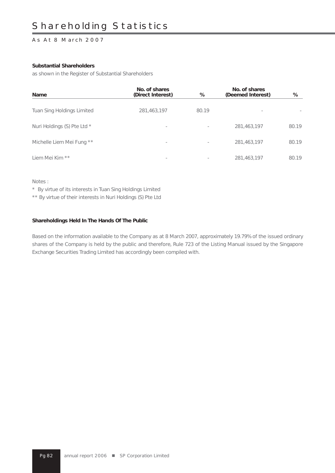# As At 8 March 2007

## **Substantial Shareholders**

as shown in the Register of Substantial Shareholders

| <b>Name</b>                 | No. of shares<br>(Direct Interest) | %                        | No. of shares<br>(Deemed Interest) | %     |
|-----------------------------|------------------------------------|--------------------------|------------------------------------|-------|
| Tuan Sing Holdings Limited  | 281,463,197                        | 80.19                    | ٠                                  |       |
| Nuri Holdings (S) Pte Ltd * | $\sim$                             | $\overline{\phantom{a}}$ | 281,463,197                        | 80.19 |
| Michelle Liem Mei Fung **   | ٠                                  | $\sim$                   | 281,463,197                        | 80.19 |
| Liem Mei Kim **             | $\sim$                             | $\overline{\phantom{a}}$ | 281,463,197                        | 80.19 |

Notes :

\* By virtue of its interests in Tuan Sing Holdings Limited

\*\* By virtue of their interests in Nuri Holdings (S) Pte Ltd

#### **Shareholdings Held In The Hands Of The Public**

Based on the information available to the Company as at 8 March 2007, approximately 19.79% of the issued ordinary shares of the Company is held by the public and therefore, Rule 723 of the Listing Manual issued by the Singapore Exchange Securities Trading Limited has accordingly been compiled with.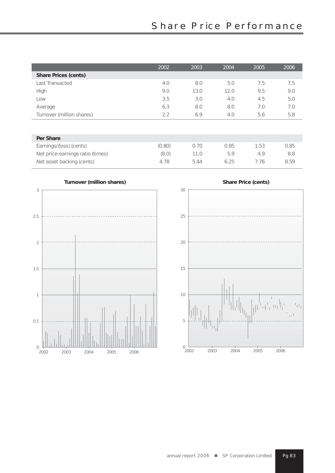|                             | 2002 | 2003 | 2004 | 2005 | 2006 |
|-----------------------------|------|------|------|------|------|
| <b>Share Prices (cents)</b> |      |      |      |      |      |
| Last Transacted             | 4.0  | 8.0  | 5.0  | 7.5  | 7.5  |
| High                        | 9.0  | 13.0 | 12.0 | 9.5  | 9.0  |
| Low                         | 3.5  | 3.0  | 4.0  | 4.5  | 5.0  |
| Average                     | 6.3  | 8.0  | 8.0  | 7.0  | 7.0  |
| Turnover (million shares)   | 2.2  | 6.9  | 4.0  | 5.6  | 5.8  |
|                             |      |      |      |      |      |

| Per Share                        |        |      |      |                 |      |
|----------------------------------|--------|------|------|-----------------|------|
| Earnings/(loss) (cents)          | (0.80) | 0.70 | 0.85 | 1.53            | 0.85 |
| Net price-earnings ratio (times) | (8.0)  | 11.0 | 5.9  | 4.9             | 8.8  |
| Net asset backing (cents)        | 4.78   | 5.44 | 6.25 | $^{\prime}$ .76 | 8.59 |





# **Share Price (cents)**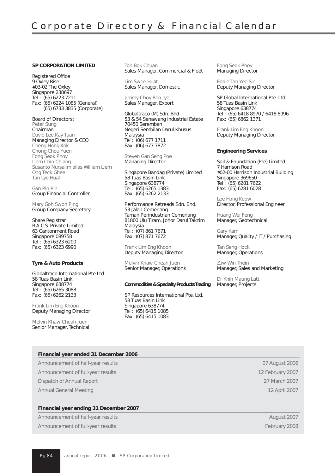#### **SP CORPORATION LIMITED**

Registered Office 9 Oxley Rise #03-02 The Oxley Singapore 238697 Tel : (65) 6223 7211 Fax: (65) 6224 1085 (General) (65) 6733 3835 (Corporate)

Board of Directors: Peter Sung *Chairman* David Lee Kay Tuan *Managing Director & CEO* Cheng Hong Kok Chong Chou Yuen Fong Seok Phoy Liem Chin Chiang Susanto Nursalim alias William Liem Ong Teck Ghee Tan Lye Huat

Gan Pin Pin *Group Financial Controller*

Mary Goh Swon Ping *Group Company Secretary*

Share Registrar B.A.C.S. Private Limited 63 Cantonment Road Singapore 089758 Tel : (65) 6323 6200 Fax: (65) 6323 6990

#### **Tyre & Auto Products**

Globaltraco International Pte Ltd 58 Tuas Basin Link Singapore 638774 Tel : (65) 6265 3088 Fax: (65) 6262 2133

Frank Lim Eng Khoon *Deputy Managing Director*

Melvin Khaw Cheah Juen *Senior Manager, Technical*

Toh Bok Chuan *Sales Manager, Commercial & Fleet*

Lim Swee Huat *Sales Manager, Domestic*

Jimmy Choy Ren Jye *Sales Manager, Export*

Globaltraco (M) Sdn. Bhd. 53 & 54 Senawang Industrial Estate 70450 Seremban Negeri Sembilan Darul Khusus Malaysia Tel : (06) 677 1711 Fax: (06) 677 7872

Steven Gan Seng Poe *Managing Director*

Singapore Bandag (Private) Limited 58 Tuas Basin Link Singapore 638774 Tel : (65) 6265 1383 Fax: (65) 6262 2133

Performance Retreads Sdn. Bhd. 53 Jalan Cemerlang Taman Perindustrian Cemerlang 81800 Ulu Tiram, Johor Darul Takzim Malaysia Tel : (07) 861 7671 Fax: (07) 871 7672

Frank Lim Eng Khoon *Deputy Managing Director*

Melvin Khaw Cheah Juen *Senior Manager, Operations*

#### **Commodities & Specialty Products Trading**

SP Resources International Pte. Ltd. 58 Tuas Basin Link Singapore 638774 Tel : (65) 6415 1085 Fax: (65) 6415 1083

Fong Seok Phoy *Managing Director*

Eddie Tan Yee Sin *Deputy Managing Director*

SP Global International Pte. Ltd. 58 Tuas Basin Link Singapore 638774 Tel : (65) 6418 8970 / 6418 8996 Fax: (65) 6862 1371

Frank Lim Eng Khoon *Deputy Managing Director*

#### **Engineering Services**

Soil & Foundation (Pte) Limited 7 Harrison Road #02-00 Harrison Industrial Building Singapore 369650 Tel : (65) 6281 7622 Fax: (65) 6281 6028

Lee Hong Keow *Director, Professional Engineer*

Huang Wei Feng *Manager, Geotechnical*

Gary Kam *Manager, Quality / IT / Purchasing*

Tan Seng Hock *Manager, Operations*

Zaw Win Thein *Manager, Sales and Marketing*

Dr Khin Maung Latt *Manager, Projects*

#### **Financial year ended 31 December 2006**

Announcement of half-year results **07 August 2006** 2006 Announcement of full-year results 12 February 2007 Dispatch of Annual Report 27 March 2007 Annual General Meeting 12 April 2007 12 April 2007 12 April 2007 12 April 2007 12 April 2007

#### **Financial year ending 31 December 2007**

Announcement of half-year results August 2007 and the state of the state of the state August 2007 Announcement of full-year results February 2008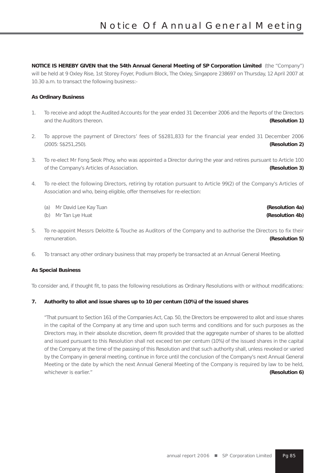**NOTICE IS HEREBY GIVEN that the 54th Annual General Meeting of SP Corporation Limited** (the "Company") will be held at 9 Oxley Rise, 1st Storey Foyer, Podium Block, The Oxley, Singapore 238697 on Thursday, 12 April 2007 at 10.30 a.m. to transact the following business:-

## **As Ordinary Business**

- 1. To receive and adopt the Audited Accounts for the year ended 31 December 2006 and the Reports of the Directors and the Auditors thereon. **(Resolution 1)**
- 2. To approve the payment of Directors' fees of S\$281,833 for the financial year ended 31 December 2006 (2005: S\$251,250). **(Resolution 2)**
- 3. To re-elect Mr Fong Seok Phoy, who was appointed a Director during the year and retires pursuant to Article 100 of the Company's Articles of Association. **(Resolution 3)**
- 4. To re-elect the following Directors, retiring by rotation pursuant to Article 99(2) of the Company's Articles of Association and who, being eligible, offer themselves for re-election:
	- (a) Mr David Lee Kay Tuan **(Resolution 4a)**
	- (b) Mr Tan Lye Huat **(Resolution 4b)**
- 5. To re-appoint Messrs Deloitte & Touche as Auditors of the Company and to authorise the Directors to fix their remuneration. **(Resolution 5)**
- 6. To transact any other ordinary business that may properly be transacted at an Annual General Meeting.

## **As Special Business**

To consider and, if thought fit, to pass the following resolutions as Ordinary Resolutions with or without modifications:

#### **7. Authority to allot and issue shares up to 10 per centum (10%) of the issued shares**

"That pursuant to Section 161 of the Companies Act, Cap. 50, the Directors be empowered to allot and issue shares in the capital of the Company at any time and upon such terms and conditions and for such purposes as the Directors may, in their absolute discretion, deem fit provided that the aggregate number of shares to be allotted and issued pursuant to this Resolution shall not exceed ten per centum (10%) of the issued shares in the capital of the Company at the time of the passing of this Resolution and that such authority shall, unless revoked or varied by the Company in general meeting, continue in force until the conclusion of the Company's next Annual General Meeting or the date by which the next Annual General Meeting of the Company is required by law to be held, whichever is earlier." **(Resolution 6) (Resolution 6)**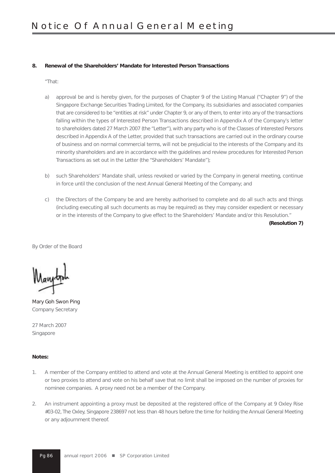## **8. Renewal of the Shareholders' Mandate for Interested Person Transactions**

"That:

- a) approval be and is hereby given, for the purposes of Chapter 9 of the Listing Manual ("Chapter 9") of the Singapore Exchange Securities Trading Limited, for the Company, its subsidiaries and associated companies that are considered to be "entities at risk" under Chapter 9, or any of them, to enter into any of the transactions falling within the types of Interested Person Transactions described in Appendix A of the Company's letter to shareholders dated 27 March 2007 (the "Letter"), with any party who is of the Classes of Interested Persons described in Appendix A of the Letter, provided that such transactions are carried out in the ordinary course of business and on normal commercial terms, will not be prejudicial to the interests of the Company and its minority shareholders and are in accordance with the guidelines and review procedures for Interested Person Transactions as set out in the Letter (the "Shareholders' Mandate");
- b) such Shareholders' Mandate shall, unless revoked or varied by the Company in general meeting, continue in force until the conclusion of the next Annual General Meeting of the Company; and
- c) the Directors of the Company be and are hereby authorised to complete and do all such acts and things (including executing all such documents as may be required) as they may consider expedient or necessary or in the interests of the Company to give effect to the Shareholders' Mandate and/or this Resolution."

**(Resolution 7)**

By Order of the Board

Mary Goh Swon Ping Company Secretary

27 March 2007 Singapore

#### **Notes:**

- 1. A member of the Company entitled to attend and vote at the Annual General Meeting is entitled to appoint one or two proxies to attend and vote on his behalf save that no limit shall be imposed on the number of proxies for nominee companies. A proxy need not be a member of the Company.
- 2. An instrument appointing a proxy must be deposited at the registered office of the Company at 9 Oxley Rise #03-02, The Oxley, Singapore 238697 not less than 48 hours before the time for holding the Annual General Meeting or any adjournment thereof.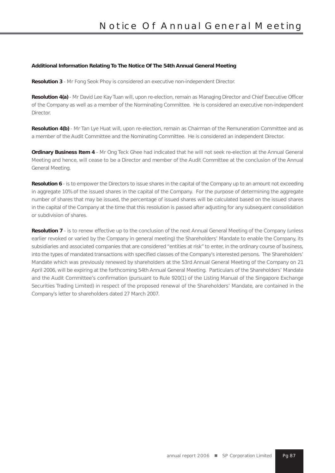#### **Additional Information Relating To The Notice Of The 54th Annual General Meeting**

**Resolution 3** - Mr Fong Seok Phoy is considered an executive non-independent Director.

**Resolution 4(a)** - Mr David Lee Kay Tuan will, upon re-election, remain as Managing Director and Chief Executive Officer of the Company as well as a member of the Norminating Committee. He is considered an executive non-independent Director

Resolution 4(b) - Mr Tan Lye Huat will, upon re-election, remain as Chairman of the Remuneration Committee and as a member of the Audit Committee and the Nominating Committee. He is considered an independent Director.

**Ordinary Business Item 4** - Mr Ong Teck Ghee had indicated that he will not seek re-election at the Annual General Meeting and hence, will cease to be a Director and member of the Audit Committee at the conclusion of the Annual General Meeting.

**Resolution 6** - is to empower the Directors to issue shares in the capital of the Company up to an amount not exceeding in aggregate 10% of the issued shares in the capital of the Company. For the purpose of determining the aggregate number of shares that may be issued, the percentage of issued shares will be calculated based on the issued shares in the capital of the Company at the time that this resolution is passed after adjusting for any subsequent consolidation or subdivision of shares.

**Resolution 7** - is to renew effective up to the conclusion of the next Annual General Meeting of the Company (unless earlier revoked or varied by the Company in general meeting) the Shareholders' Mandate to enable the Company, its subsidiaries and associated companies that are considered "entities at risk" to enter, in the ordinary course of business, into the types of mandated transactions with specified classes of the Company's interested persons. The Shareholders' Mandate which was previously renewed by shareholders at the 53rd Annual General Meeting of the Company on 21 April 2006, will be expiring at the forthcoming 54th Annual General Meeting. Particulars of the Shareholders' Mandate and the Audit Committee's confirmation (pursuant to Rule 920(1) of the Listing Manual of the Singapore Exchange Securities Trading Limited) in respect of the proposed renewal of the Shareholders' Mandate, are contained in the Company's letter to shareholders dated 27 March 2007.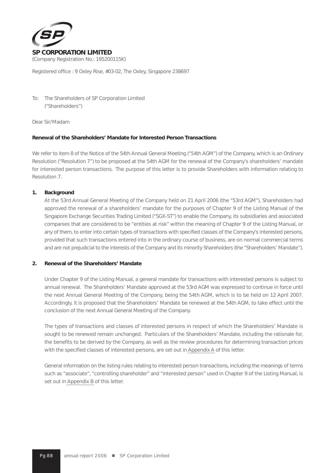

Registered office : 9 Oxley Rise, #03-02, The Oxley, Singapore 238697

To: The Shareholders of SP Corporation Limited ("Shareholders")

Dear Sir/Madam

#### **Renewal of the Shareholders' Mandate for Interested Person Transactions**

We refer to item 8 of the Notice of the 54th Annual General Meeting ("54th AGM") of the Company, which is an Ordinary Resolution ("Resolution 7") to be proposed at the 54th AGM for the renewal of the Company's shareholders' mandate for interested person transactions. The purpose of this letter is to provide Shareholders with information relating to Resolution 7.

#### **1. Background**

At the 53rd Annual General Meeting of the Company held on 21 April 2006 (the "53rd AGM"), Shareholders had approved the renewal of a shareholders' mandate for the purposes of Chapter 9 of the Listing Manual of the Singapore Exchange Securities Trading Limited ("SGX-ST") to enable the Company, its subsidiaries and associated companies that are considered to be "entities at risk" within the meaning of Chapter 9 of the Listing Manual, or any of them, to enter into certain types of transactions with specified classes of the Company's interested persons, provided that such transactions entered into in the ordinary course of business, are on normal commercial terms and are not prejudicial to the interests of the Company and its minority Shareholders (the "Shareholders' Mandate").

#### **2. Renewal of the Shareholders' Mandate**

Under Chapter 9 of the Listing Manual, a general mandate for transactions with interested persons is subject to annual renewal. The Shareholders' Mandate approved at the 53rd AGM was expressed to continue in force until the next Annual General Meeting of the Company, being the 54th AGM, which is to be held on 12 April 2007. Accordingly, it is proposed that the Shareholders' Mandate be renewed at the 54th AGM, to take effect until the conclusion of the next Annual General Meeting of the Company.

The types of transactions and classes of interested persons in respect of which the Shareholders' Mandate is sought to be renewed remain unchanged. Particulars of the Shareholders' Mandate, including the rationale for, the benefits to be derived by the Company, as well as the review procedures for determining transaction prices with the specified classes of interested persons, are set out in Appendix A of this letter.

General information on the listing rules relating to interested person transactions, including the meanings of terms such as "associate", "controlling shareholder" and "interested person" used in Chapter 9 of the Listing Manual, is set out in Appendix B of this letter.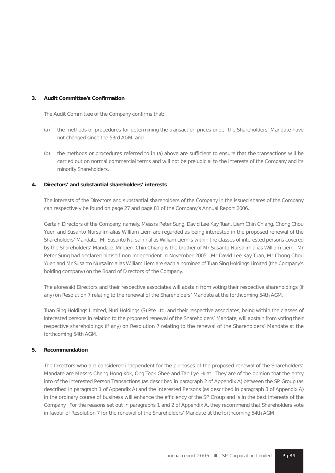#### **3. Audit Committee's Confirmation**

The Audit Committee of the Company confirms that:

- (a) the methods or procedures for determining the transaction prices under the Shareholders' Mandate have not changed since the 53rd AGM; and
- (b) the methods or procedures referred to in (a) above are sufficient to ensure that the transactions will be carried out on normal commercial terms and will not be prejudicial to the interests of the Company and its minority Shareholders.

#### **4. Directors' and substantial shareholders' interests**

The interests of the Directors and substantial shareholders of the Company in the issued shares of the Company can respectively be found on page 27 and page 81 of the Company's Annual Report 2006.

Certain Directors of the Company, namely, Messrs Peter Sung, David Lee Kay Tuan, Liem Chin Chiang, Chong Chou Yuen and Susanto Nursalim alias William Liem are regarded as being interested in the proposed renewal of the Shareholders' Mandate. Mr Susanto Nursalim alias William Liem is within the classes of interested persons covered by the Shareholders' Mandate. Mr Liem Chin Chiang is the brother of Mr Susanto Nursalim alias William Liem. Mr Peter Sung had declared himself non-Independent in November 2005. Mr David Lee Kay Tuan, Mr Chong Chou Yuen and Mr Susanto Nursalim alias William Liem are each a nominee of Tuan Sing Holdings Limited (the Company's holding company) on the Board of Directors of the Company.

The aforesaid Directors and their respective associates will abstain from voting their respective shareholdings (if any) on Resolution 7 relating to the renewal of the Shareholders' Mandate at the forthcoming 54th AGM.

Tuan Sing Holdings Limited, Nuri Holdings (S) Pte Ltd, and their respective associates, being within the classes of interested persons in relation to the proposed renewal of the Shareholders' Mandate, will abstain from voting their respective shareholdings (if any) on Resolution 7 relating to the renewal of the Shareholders' Mandate at the forthcoming 54th AGM.

#### **5. Recommendation**

The Directors who are considered independent for the purposes of the proposed renewal of the Shareholders' Mandate are Messrs Cheng Hong Kok, Ong Teck Ghee and Tan Lye Huat. They are of the opinion that the entry into of the Interested Person Transactions (as described in paragraph 2 of Appendix A) between the SP Group (as described in paragraph 1 of Appendix A) and the Interested Persons (as described in paragraph 3 of Appendix A) in the ordinary course of business will enhance the efficiency of the SP Group and is in the best interests of the Company. For the reasons set out in paragraphs 1 and 2 of Appendix A, they recommend that Shareholders vote in favour of Resolution 7 for the renewal of the Shareholders' Mandate at the forthcoming 54th AGM.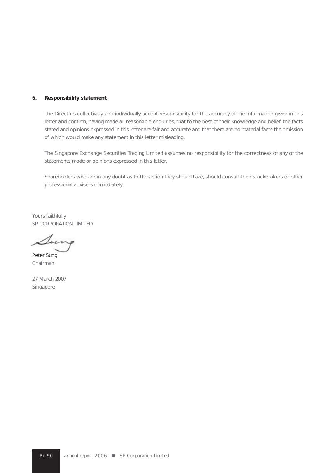#### **6. Responsibility statement**

The Directors collectively and individually accept responsibility for the accuracy of the information given in this letter and confirm, having made all reasonable enquiries, that to the best of their knowledge and belief, the facts stated and opinions expressed in this letter are fair and accurate and that there are no material facts the omission of which would make any statement in this letter misleading.

The Singapore Exchange Securities Trading Limited assumes no responsibility for the correctness of any of the statements made or opinions expressed in this letter.

Shareholders who are in any doubt as to the action they should take, should consult their stockbrokers or other professional advisers immediately.

Yours faithfully SP CORPORATION LIMITED

tur

Peter Sung Chairman

27 March 2007 Singapore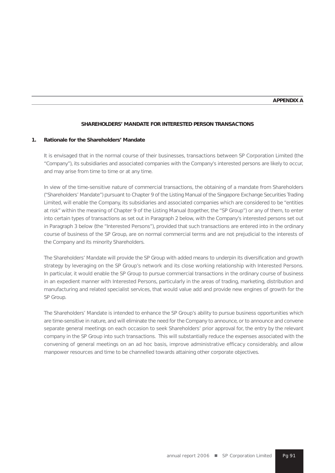#### **APPENDIX A**

#### **SHAREHOLDERS' MANDATE FOR INTERESTED PERSON TRANSACTIONS**

## **1. Rationale for the Shareholders' Mandate**

It is envisaged that in the normal course of their businesses, transactions between SP Corporation Limited (the "Company"), its subsidiaries and associated companies with the Company's interested persons are likely to occur, and may arise from time to time or at any time.

In view of the time-sensitive nature of commercial transactions, the obtaining of a mandate from Shareholders ("Shareholders' Mandate") pursuant to Chapter 9 of the Listing Manual of the Singapore Exchange Securities Trading Limited, will enable the Company, its subsidiaries and associated companies which are considered to be "entities at risk" within the meaning of Chapter 9 of the Listing Manual (together, the "SP Group") or any of them, to enter into certain types of transactions as set out in Paragraph 2 below, with the Company's interested persons set out in Paragraph 3 below (the "Interested Persons"), provided that such transactions are entered into in the ordinary course of business of the SP Group, are on normal commercial terms and are not prejudicial to the interests of the Company and its minority Shareholders.

The Shareholders' Mandate will provide the SP Group with added means to underpin its diversification and growth strategy by leveraging on the SP Group's network and its close working relationship with Interested Persons. In particular, it would enable the SP Group to pursue commercial transactions in the ordinary course of business in an expedient manner with Interested Persons, particularly in the areas of trading, marketing, distribution and manufacturing and related specialist services, that would value add and provide new engines of growth for the SP Group.

The Shareholders' Mandate is intended to enhance the SP Group's ability to pursue business opportunities which are time-sensitive in nature, and will eliminate the need for the Company to announce, or to announce and convene separate general meetings on each occasion to seek Shareholders' prior approval for, the entry by the relevant company in the SP Group into such transactions. This will substantially reduce the expenses associated with the convening of general meetings on an ad hoc basis, improve administrative efficacy considerably, and allow manpower resources and time to be channelled towards attaining other corporate objectives.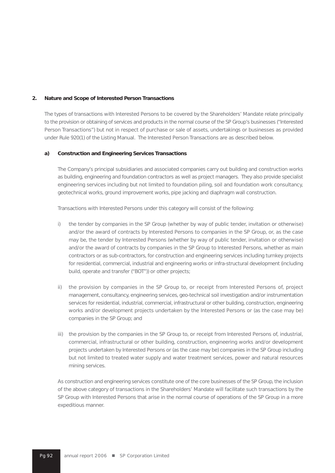#### **2. Nature and Scope of Interested Person Transactions**

The types of transactions with Interested Persons to be covered by the Shareholders' Mandate relate principally to the provision or obtaining of services and products in the normal course of the SP Group's businesses ("Interested Person Transactions") but not in respect of purchase or sale of assets, undertakings or businesses as provided under Rule 920(1) of the Listing Manual. The Interested Person Transactions are as described below.

#### *a) Construction and Engineering Services Transactions*

The Company's principal subsidiaries and associated companies carry out building and construction works as building, engineering and foundation contractors as well as project managers. They also provide specialist engineering services including but not limited to foundation piling, soil and foundation work consultancy, geotechnical works, ground improvement works, pipe jacking and diaphragm wall construction.

Transactions with Interested Persons under this category will consist of the following:

- i) the tender by companies in the SP Group (whether by way of public tender, invitation or otherwise) and/or the award of contracts by Interested Persons to companies in the SP Group, or, as the case may be, the tender by Interested Persons (whether by way of public tender, invitation or otherwise) and/or the award of contracts by companies in the SP Group to Interested Persons, whether as main contractors or as sub-contractors, for construction and engineering services including turnkey projects for residential, commercial, industrial and engineering works or infra-structural development (including build, operate and transfer ("BOT")) or other projects;
- ii) the provision by companies in the SP Group to, or receipt from Interested Persons of, project management, consultancy, engineering services, geo-technical soil investigation and/or instrumentation services for residential, industrial, commercial, infrastructural or other building, construction, engineering works and/or development projects undertaken by the Interested Persons or (as the case may be) companies in the SP Group; and
- iii) the provision by the companies in the SP Group to, or receipt from Interested Persons of, industrial, commercial, infrastructural or other building, construction, engineering works and/or development projects undertaken by Interested Persons or (as the case may be) companies in the SP Group including but not limited to treated water supply and water treatment services, power and natural resources mining services.

As construction and engineering services constitute one of the core businesses of the SP Group, the inclusion of the above category of transactions in the Shareholders' Mandate will facilitate such transactions by the SP Group with Interested Persons that arise in the normal course of operations of the SP Group in a more expeditious manner.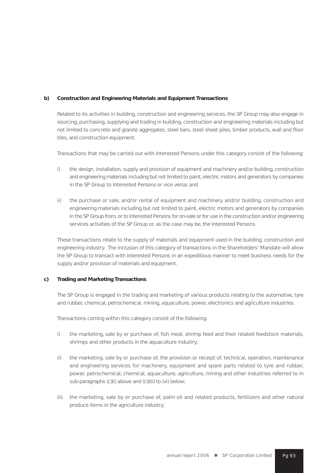#### *b) Construction and Engineering Materials and Equipment Transactions*

Related to its activities in building, construction and engineering services, the SP Group may also engage in sourcing, purchasing, supplying and trading in building, construction and engineering materials including but not limited to concrete and granite aggregates, steel bars, steel sheet piles, timber products, wall and floor tiles, and construction equipment.

Transactions that may be carried out with Interested Persons under this category consist of the following:

- i) the design, installation, supply and provision of equipment and machinery and/or building, construction and engineering materials including but not limited to paint, electric motors and generators by companies in the SP Group to Interested Persons or *vice versa*; and
- ii) the purchase or sale, and/or rental of equipment and machinery and/or building, construction and engineering materials including but not limited to paint, electric motors and generators by companies in the SP Group from, or to Interested Persons for on-sale or for use in the construction and/or engineering services activities of the SP Group or, as the case may be, the Interested Persons.

These transactions relate to the supply of materials and equipment used in the building, construction and engineering industry. The inclusion of this category of transactions in the Shareholders' Mandate will allow the SP Group to transact with Interested Persons in an expeditious manner to meet business needs for the supply and/or provision of materials and equipment.

#### *c) Trading and Marketing Transactions*

The SP Group is engaged in the trading and marketing of various products relating to the automotive, tyre and rubber, chemical, petrochemical, mining, aquaculture, power, electronics and agriculture industries.

Transactions coming within this category consist of the following:

- i) the marketing, sale by or purchase of, fish meal, shrimp feed and their related feedstock materials, shrimps and other products in the aquaculture industry;
- ii) the marketing, sale by or purchase of, the provision or receipt of, technical, operation, maintenance and engineering services for machinery, equipment and spare parts related to tyre and rubber, power, petrochemical, chemical, aquaculture, agriculture, mining and other industries referred to in sub-paragraphs (c)(i) above and (c)(iii) to (vi) below;
- iii) the marketing, sale by or purchase of, palm oil and related products, fertilizers and other natural produce items in the agriculture industry;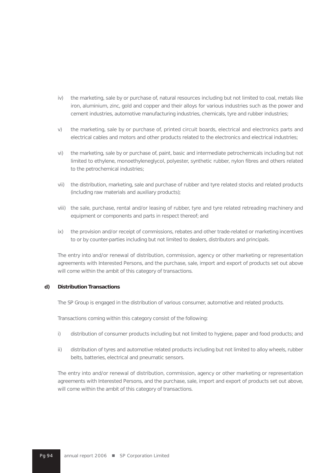- iv) the marketing, sale by or purchase of, natural resources including but not limited to coal, metals like iron, aluminium, zinc, gold and copper and their alloys for various industries such as the power and cement industries, automotive manufacturing industries, chemicals, tyre and rubber industries;
- v) the marketing, sale by or purchase of, printed circuit boards, electrical and electronics parts and electrical cables and motors and other products related to the electronics and electrical industries;
- vi) the marketing, sale by or purchase of, paint, basic and intermediate petrochemicals including but not limited to ethylene, monoethyleneglycol, polyester, synthetic rubber, nylon fibres and others related to the petrochemical industries;
- vii) the distribution, marketing, sale and purchase of rubber and tyre related stocks and related products (including raw materials and auxiliary products);
- viii) the sale, purchase, rental and/or leasing of rubber, tyre and tyre related retreading machinery and equipment or components and parts in respect thereof; and
- ix) the provision and/or receipt of commissions, rebates and other trade-related or marketing incentives to or by counter-parties including but not limited to dealers, distributors and principals.

The entry into and/or renewal of distribution, commission, agency or other marketing or representation agreements with Interested Persons, and the purchase, sale, import and export of products set out above will come within the ambit of this category of transactions.

#### *d) Distribution Transactions*

The SP Group is engaged in the distribution of various consumer, automotive and related products.

Transactions coming within this category consist of the following:

- i) distribution of consumer products including but not limited to hygiene, paper and food products; and
- ii) distribution of tyres and automotive related products including but not limited to alloy wheels, rubber belts, batteries, electrical and pneumatic sensors.

The entry into and/or renewal of distribution, commission, agency or other marketing or representation agreements with Interested Persons, and the purchase, sale, import and export of products set out above, will come within the ambit of this category of transactions.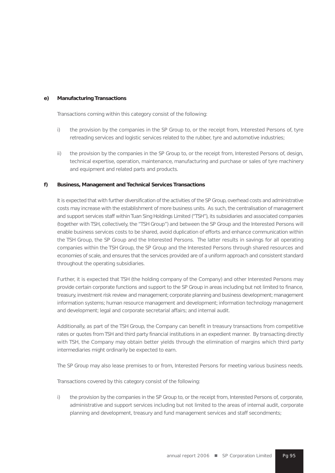#### *e) Manufacturing Transactions*

Transactions coming within this category consist of the following:

- i) the provision by the companies in the SP Group to, or the receipt from, Interested Persons of, tyre retreading services and logistic services related to the rubber, tyre and automotive industries;
- ii) the provision by the companies in the SP Group to, or the receipt from, Interested Persons of, design, technical expertise, operation, maintenance, manufacturing and purchase or sales of tyre machinery and equipment and related parts and products.

## *f) Business, Management and Technical Services Transactions*

It is expected that with further diversification of the activities of the SP Group, overhead costs and administrative costs may increase with the establishment of more business units. As such, the centralisation of management and support services staff within Tuan Sing Holdings Limited ("TSH"), its subsidiaries and associated companies (together with TSH, collectively, the "TSH Group") and between the SP Group and the Interested Persons will enable business services costs to be shared, avoid duplication of efforts and enhance communication within the TSH Group, the SP Group and the Interested Persons. The latter results in savings for all operating companies within the TSH Group, the SP Group and the Interested Persons through shared resources and economies of scale, and ensures that the services provided are of a uniform approach and consistent standard throughout the operating subsidiaries.

Further, it is expected that TSH (the holding company of the Company) and other Interested Persons may provide certain corporate functions and support to the SP Group in areas including but not limited to finance, treasury, investment risk review and management; corporate planning and business development; management information systems; human resource management and development; information technology management and development; legal and corporate secretarial affairs; and internal audit.

Additionally, as part of the TSH Group, the Company can benefit in treasury transactions from competitive rates or quotes from TSH and third party financial institutions in an expedient manner. By transacting directly with TSH, the Company may obtain better yields through the elimination of margins which third party intermediaries might ordinarily be expected to earn.

The SP Group may also lease premises to or from, Interested Persons for meeting various business needs.

Transactions covered by this category consist of the following:

i) the provision by the companies in the SP Group to, or the receipt from, Interested Persons of, corporate, administrative and support services including but not limited to the areas of internal audit, corporate planning and development, treasury and fund management services and staff secondments;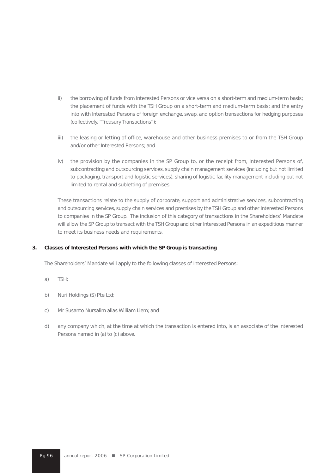- ii) the borrowing of funds from Interested Persons or *vice versa* on a short-term and medium-term basis; the placement of funds with the TSH Group on a short-term and medium-term basis; and the entry into with Interested Persons of foreign exchange, swap, and option transactions for hedging purposes (collectively, "Treasury Transactions");
- iii) the leasing or letting of office, warehouse and other business premises to or from the TSH Group and/or other Interested Persons; and
- iv) the provision by the companies in the SP Group to, or the receipt from, Interested Persons of, subcontracting and outsourcing services, supply chain management services (including but not limited to packaging, transport and logistic services), sharing of logistic facility management including but not limited to rental and subletting of premises.

These transactions relate to the supply of corporate, support and administrative services, subcontracting and outsourcing services, supply chain services and premises by the TSH Group and other Interested Persons to companies in the SP Group. The inclusion of this category of transactions in the Shareholders' Mandate will allow the SP Group to transact with the TSH Group and other Interested Persons in an expeditious manner to meet its business needs and requirements.

## **3. Classes of Interested Persons with which the SP Group is transacting**

The Shareholders' Mandate will apply to the following classes of Interested Persons:

- a) TSH;
- b) Nuri Holdings (S) Pte Ltd;
- c) Mr Susanto Nursalim alias William Liem; and
- d) any company which, at the time at which the transaction is entered into, is an associate of the Interested Persons named in (a) to (c) above.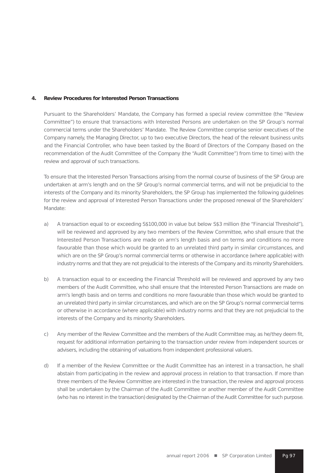#### **4. Review Procedures for Interested Person Transactions**

Pursuant to the Shareholders' Mandate, the Company has formed a special review committee (the "Review Committee") to ensure that transactions with Interested Persons are undertaken on the SP Group's normal commercial terms under the Shareholders' Mandate. The Review Committee comprise senior executives of the Company namely, the Managing Director, up to two executive Directors, the head of the relevant business units and the Financial Controller, who have been tasked by the Board of Directors of the Company (based on the recommendation of the Audit Committee of the Company (the "Audit Committee") from time to time) with the review and approval of such transactions.

To ensure that the Interested Person Transactions arising from the normal course of business of the SP Group are undertaken at arm's length and on the SP Group's normal commercial terms, and will not be prejudicial to the interests of the Company and its minority Shareholders, the SP Group has implemented the following guidelines for the review and approval of Interested Person Transactions under the proposed renewal of the Shareholders' Mandate:

- a) A transaction equal to or exceeding S\$100,000 in value but below S\$3 million (the "Financial Threshold"), will be reviewed and approved by any two members of the Review Committee, who shall ensure that the Interested Person Transactions are made on arm's length basis and on terms and conditions no more favourable than those which would be granted to an unrelated third party in similar circumstances, and which are on the SP Group's normal commercial terms or otherwise in accordance (where applicable) with industry norms and that they are not prejudicial to the interests of the Company and its minority Shareholders.
- b) A transaction equal to or exceeding the Financial Threshold will be reviewed and approved by any two members of the Audit Committee, who shall ensure that the Interested Person Transactions are made on arm's length basis and on terms and conditions no more favourable than those which would be granted to an unrelated third party in similar circumstances, and which are on the SP Group's normal commercial terms or otherwise in accordance (where applicable) with industry norms and that they are not prejudicial to the interests of the Company and its minority Shareholders.
- c) Any member of the Review Committee and the members of the Audit Committee may, as he/they deem fit, request for additional information pertaining to the transaction under review from independent sources or advisers, including the obtaining of valuations from independent professional valuers.
- d) If a member of the Review Committee or the Audit Committee has an interest in a transaction, he shall abstain from participating in the review and approval process in relation to that transaction. If more than three members of the Review Committee are interested in the transaction, the review and approval process shall be undertaken by the Chairman of the Audit Committee or another member of the Audit Committee (who has no interest in the transaction) designated by the Chairman of the Audit Committee for such purpose.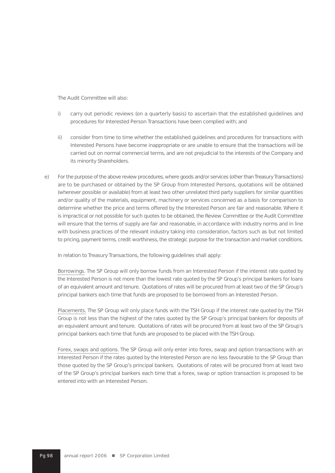The Audit Committee will also:

- i) carry out periodic reviews (on a quarterly basis) to ascertain that the established guidelines and procedures for Interested Person Transactions have been complied with; and
- ii) consider from time to time whether the established guidelines and procedures for transactions with Interested Persons have become inappropriate or are unable to ensure that the transactions will be carried out on normal commercial terms, and are not prejudicial to the interests of the Company and its minority Shareholders.
- e) For the purpose of the above review procedures, where goods and/or services (other than Treasury Transactions) are to be purchased or obtained by the SP Group from Interested Persons, quotations will be obtained (wherever possible or available) from at least two other unrelated third party suppliers for similar quantities and/or quality of the materials, equipment, machinery or services concerned as a basis for comparison to determine whether the price and terms offered by the Interested Person are fair and reasonable. Where it is impractical or not possible for such quotes to be obtained, the Review Committee or the Audit Committee will ensure that the terms of supply are fair and reasonable, in accordance with industry norms and in line with business practices of the relevant industry taking into consideration, factors such as but not limited to pricing, payment terms, credit worthiness, the strategic purpose for the transaction and market conditions.

In relation to Treasury Transactions, the following guidelines shall apply:

*Borrowings.* The SP Group will only borrow funds from an Interested Person if the interest rate quoted by the Interested Person is not more than the lowest rate quoted by the SP Group's principal bankers for loans of an equivalent amount and tenure. Quotations of rates will be procured from at least two of the SP Group's principal bankers each time that funds are proposed to be borrowed from an Interested Person.

*Placements.* The SP Group will only place funds with the TSH Group if the interest rate quoted by the TSH Group is not less than the highest of the rates quoted by the SP Group's principal bankers for deposits of an equivalent amount and tenure. Quotations of rates will be procured from at least two of the SP Group's principal bankers each time that funds are proposed to be placed with the TSH Group.

*Forex, swaps and options.* The SP Group will only enter into forex, swap and option transactions with an Interested Person if the rates quoted by the Interested Person are no less favourable to the SP Group than those quoted by the SP Group's principal bankers. Quotations of rates will be procured from at least two of the SP Group's principal bankers each time that a forex, swap or option transaction is proposed to be entered into with an Interested Person.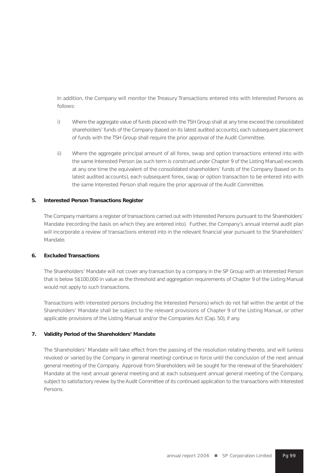In addition, the Company will monitor the Treasury Transactions entered into with Interested Persons as follows:

- i) Where the aggregate value of funds placed with the TSH Group shall at any time exceed the consolidated shareholders' funds of the Company (based on its latest audited accounts), each subsequent placement of funds with the TSH Group shall require the prior approval of the Audit Committee.
- ii) Where the aggregate principal amount of all forex, swap and option transactions entered into with the same Interested Person (as such term is construed under Chapter 9 of the Listing Manual) exceeds at any one time the equivalent of the consolidated shareholders' funds of the Company (based on its latest audited accounts), each subsequent forex, swap or option transaction to be entered into with the same Interested Person shall require the prior approval of the Audit Committee.

#### **5. Interested Person Transactions Register**

The Company maintains a register of transactions carried out with Interested Persons pursuant to the Shareholders' Mandate (recording the basis on which they are entered into). Further, the Company's annual internal audit plan will incorporate a review of transactions entered into in the relevant financial year pursuant to the Shareholders' Mandate.

#### **6. Excluded Transactions**

The Shareholders' Mandate will not cover any transaction by a company in the SP Group with an Interested Person that is below S\$100,000 in value as the threshold and aggregation requirements of Chapter 9 of the Listing Manual would not apply to such transactions.

Transactions with interested persons (including the Interested Persons) which do not fall within the ambit of the Shareholders' Mandate shall be subject to the relevant provisions of Chapter 9 of the Listing Manual, or other applicable provisions of the Listing Manual and/or the Companies Act (Cap. 50), if any.

#### **7. Validity Period of the Shareholders' Mandate**

The Shareholders' Mandate will take effect from the passing of the resolution relating thereto, and will (unless revoked or varied by the Company in general meeting) continue in force until the conclusion of the next annual general meeting of the Company. Approval from Shareholders will be sought for the renewal of the Shareholders' Mandate at the next annual general meeting and at each subsequent annual general meeting of the Company, subject to satisfactory review by the Audit Committee of its continued application to the transactions with Interested Persons.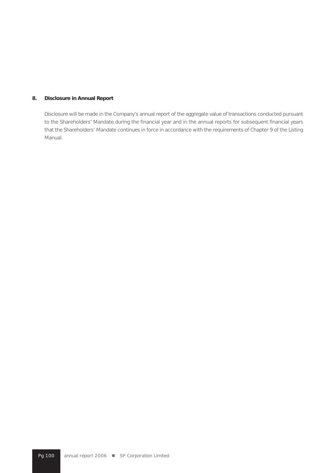## **8. Disclosure in Annual Report**

Disclosure will be made in the Company's annual report of the aggregate value of transactions conducted pursuant to the Shareholders' Mandate during the financial year and in the annual reports for subsequent financial years that the Shareholders' Mandate continues in force in accordance with the requirements of Chapter 9 of the Listing Manual.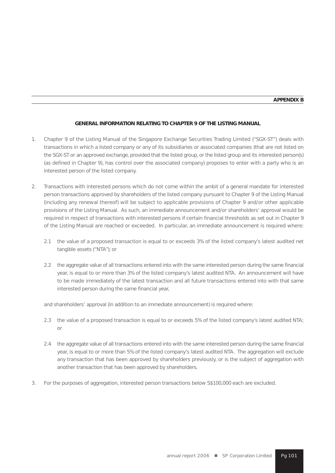## **GENERAL INFORMATION RELATING TO CHAPTER 9 OF THE LISTING MANUAL**

- 1. Chapter 9 of the Listing Manual of the Singapore Exchange Securities Trading Limited ("SGX-ST") deals with transactions in which a listed company or any of its subsidiaries or associated companies (that are not listed on the SGX-ST or an approved exchange, provided that the listed group, or the listed group and its interested person(s) (as defined in Chapter 9), has control over the associated company) proposes to enter with a party who is an interested person of the listed company.
- 2. Transactions with interested persons which do not come within the ambit of a general mandate for interested person transactions approved by shareholders of the listed company pursuant to Chapter 9 of the Listing Manual (including any renewal thereof) will be subject to applicable provisions of Chapter 9 and/or other applicable provisions of the Listing Manual. As such, an immediate announcement and/or shareholders' approval would be required in respect of transactions with interested persons if certain financial thresholds as set out in Chapter 9 of the Listing Manual are reached or exceeded. In particular, an immediate announcement is required where:
	- 2.1 the value of a proposed transaction is equal to or exceeds 3% of the listed company's latest audited net tangible assets ("NTA"); or
	- 2.2 the aggregate value of all transactions entered into with the same interested person during the same financial year, is equal to or more than 3% of the listed company's latest audited NTA. An announcement will have to be made immediately of the latest transaction and all future transactions entered into with that same interested person during the same financial year,

and shareholders' approval (in addition to an immediate announcement) is required where:

- 2.3 the value of a proposed transaction is equal to or exceeds 5% of the listed company's latest audited NTA; or
- 2.4 the aggregate value of all transactions entered into with the same interested person during the same financial year, is equal to or more than 5% of the listed company's latest audited NTA. The aggregation will exclude any transaction that has been approved by shareholders previously, or is the subject of aggregation with another transaction that has been approved by shareholders.
- 3. For the purposes of aggregation, interested person transactions below S\$100,000 each are excluded.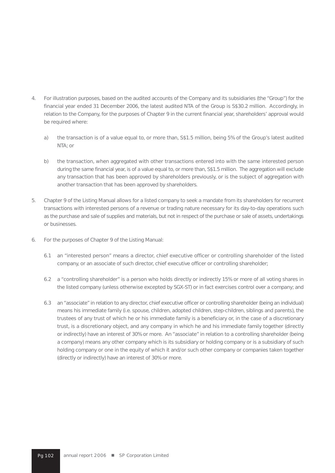- 4. For illustration purposes, based on the audited accounts of the Company and its subsidiaries (the "Group") for the financial year ended 31 December 2006, the latest audited NTA of the Group is S\$30.2 million. Accordingly, in relation to the Company, for the purposes of Chapter 9 in the current financial year, shareholders' approval would be required where:
	- a) the transaction is of a value equal to, or more than, S\$1.5 million, being 5% of the Group's latest audited NTA; or
	- b) the transaction, when aggregated with other transactions entered into with the same interested person during the same financial year, is of a value equal to, or more than, S\$1.5 million. The aggregation will exclude any transaction that has been approved by shareholders previously, or is the subject of aggregation with another transaction that has been approved by shareholders.
- 5. Chapter 9 of the Listing Manual allows for a listed company to seek a mandate from its shareholders for recurrent transactions with interested persons of a revenue or trading nature necessary for its day-to-day operations such as the purchase and sale of supplies and materials, but not in respect of the purchase or sale of assets, undertakings or businesses.
- 6. For the purposes of Chapter 9 of the Listing Manual:
	- 6.1 an "interested person" means a director, chief executive officer or controlling shareholder of the listed company, or an associate of such director, chief executive officer or controlling shareholder;
	- 6.2 a "controlling shareholder" is a person who holds directly or indirectly 15% or more of all voting shares in the listed company (unless otherwise excepted by SGX-ST) or in fact exercises control over a company; and
	- 6.3 an "associate" in relation to any director, chief executive officer or controlling shareholder (being an individual) means his immediate family (i.e. spouse, children, adopted children, step-children, siblings and parents), the trustees of any trust of which he or his immediate family is a beneficiary or, in the case of a discretionary trust, is a discretionary object, and any company in which he and his immediate family together (directly or indirectly) have an interest of 30% or more. An "associate" in relation to a controlling shareholder (being a company) means any other company which is its subsidiary or holding company or is a subsidiary of such holding company or one in the equity of which it and/or such other company or companies taken together (directly or indirectly) have an interest of 30% or more.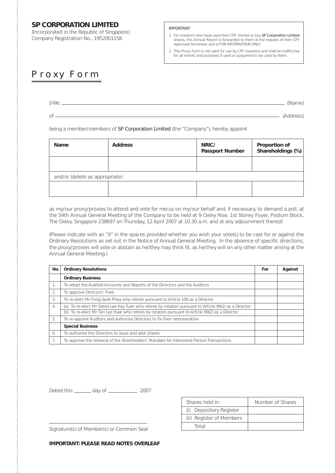# **SP CORPORATION LIMITED**

(Incorporated in the Republic of Singapore) Company Registration No.: 195200115K

#### IMPORTANT

1. For investors who have used their CPF monies to buy SP Corporation Limited shares, this Annual Report is forwarded to them at the request of their CPF Approved Nominees and is FOR INFORMATION ONLY.

2. This Proxy Form is not valid for use by CPF investors and shall be ineffective for all intents and purposes if used or purported to be used by them.

# Proxy Form

I/We (Name)

of <u>Constantine Constantine Constantine Constantine Constantine Constantine Constantine Constantine Constantine Constantine Constantine Constantine Constantine Constantine Constantine Constantine Constantine Constantine Co</u>

being a member/members of SP Corporation Limited (the "Company"), hereby appoint

| Name                           | <b>Address</b> | NRIC/<br>Passport Number | Proportion of<br>Shareholdings (%) |  |
|--------------------------------|----------------|--------------------------|------------------------------------|--|
|                                |                |                          |                                    |  |
| and/or (delete as appropriate) |                |                          |                                    |  |
|                                |                |                          |                                    |  |

as my/our proxy/proxies to attend and vote for me/us on my/our behalf and, if necessary, to demand a poll, at the 54th Annual General Meeting of the Company to be held at 9 Oxley Rise, 1st Storey Foyer, Podium Block, The Oxley, Singapore 238697 on Thursday, 12 April 2007 at 10.30 a.m. and at any adjournment thereof.

(Please indicate with an "X" in the spaces provided whether you wish your vote(s) to be cast for or against the Ordinary Resolutions as set out in the Notice of Annual General Meeting. In the absence of specific directions, the proxy/proxies will vote or abstain as he/they may think fit, as he/they will on any other matter arising at the Annual General Meeting.)

| No. | <b>Ordinary Resolutions</b>                                                                           | For | Against |
|-----|-------------------------------------------------------------------------------------------------------|-----|---------|
|     | <b>Ordinary Business</b>                                                                              |     |         |
| 1.  | To adopt the Audited Accounts and Reports of the Directors and the Auditors                           |     |         |
| 2.  | To approve Directors' Fees                                                                            |     |         |
| 3.  | To re-elect Mr Fong Seok Phoy who retires pursuant to Article 100 as a Director                       |     |         |
| 4.  | (a) To re-elect Mr David Lee Kay Tuan who retires by rotation pursuant to Article 99(2) as a Director |     |         |
|     | (b) To re-elect Mr Tan Lye Huat who retires by rotation pursuant to Article 99(2) as a Director       |     |         |
| 5.  | To re-appoint Auditors and authorise Directors to fix their remuneration                              |     |         |
|     | <b>Special Business</b>                                                                               |     |         |
| 6.  | To authorise the Directors to issue and allot shares                                                  |     |         |
|     | To approve the renewal of the Shareholders' Mandate for Interested Person Transactions                |     |         |

Dated this \_\_\_\_\_\_\_\_ day of \_\_\_\_\_\_\_\_\_\_\_\_\_\_ 2007

| Shares held in:          | Number of Shares |
|--------------------------|------------------|
| (i) Depository Register  |                  |
| (ii) Register of Members |                  |
| Total                    |                  |

Signature(s) of Member(s) or Common Seal

**IMPORTANT: PLEASE READ NOTES OVERLEAF**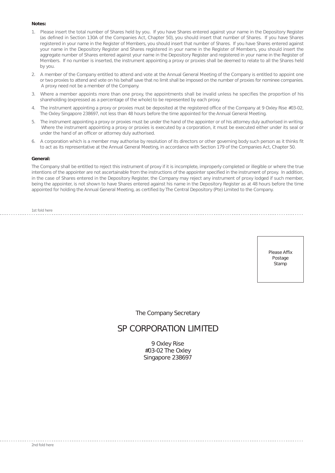#### **Notes:**

- 1. Please insert the total number of Shares held by you. If you have Shares entered against your name in the Depository Register (as defined in Section 130A of the Companies Act, Chapter 50), you should insert that number of Shares. If you have Shares registered in your name in the Register of Members, you should insert that number of Shares. If you have Shares entered against your name in the Depository Register and Shares registered in your name in the Register of Members, you should insert the aggregate number of Shares entered against your name in the Depository Register and registered in your name in the Register of Members. If no number is inserted, the instrument appointing a proxy or proxies shall be deemed to relate to all the Shares held by you.
- 2. A member of the Company entitled to attend and vote at the Annual General Meeting of the Company is entitled to appoint one or two proxies to attend and vote on his behalf save that no limit shall be imposed on the number of proxies for nominee companies. A proxy need not be a member of the Company.
- 3. Where a member appoints more than one proxy, the appointments shall be invalid unless he specifies the proportion of his shareholding (expressed as a percentage of the whole) to be represented by each proxy.
- 4. The instrument appointing a proxy or proxies must be deposited at the registered office of the Company at 9 Oxley Rise #03-02, The Oxley Singapore 238697, not less than 48 hours before the time appointed for the Annual General Meeting.
- 5. The instrument appointing a proxy or proxies must be under the hand of the appointer or of his attorney duly authorised in writing. Where the instrument appointing a proxy or proxies is executed by a corporation, it must be executed either under its seal or under the hand of an officer or attorney duly authorised.
- 6. A corporation which is a member may authorise by resolution of its directors or other governing body such person as it thinks fit to act as its representative at the Annual General Meeting, in accordance with Section 179 of the Companies Act, Chapter 50.

#### **General:**

The Company shall be entitled to reject this instrument of proxy if it is incomplete, improperly completed or illegible or where the true intentions of the appointer are not ascertainable from the instructions of the appointer specified in the instrument of proxy. In addition, in the case of Shares entered in the Depository Register, the Company may reject any instrument of proxy lodged if such member, being the appointer, is not shown to have Shares entered against his name in the Depository Register as at 48 hours before the time appointed for holding the Annual General Meeting, as certified by The Central Depository (Pte) Limited to the Company.

1st fold here

Please Affix Postage **Stamp** 

The Company Secretary

# SP CORPORATION LIMITED

9 Oxley Rise #03-02 The Oxley Singapore 238697